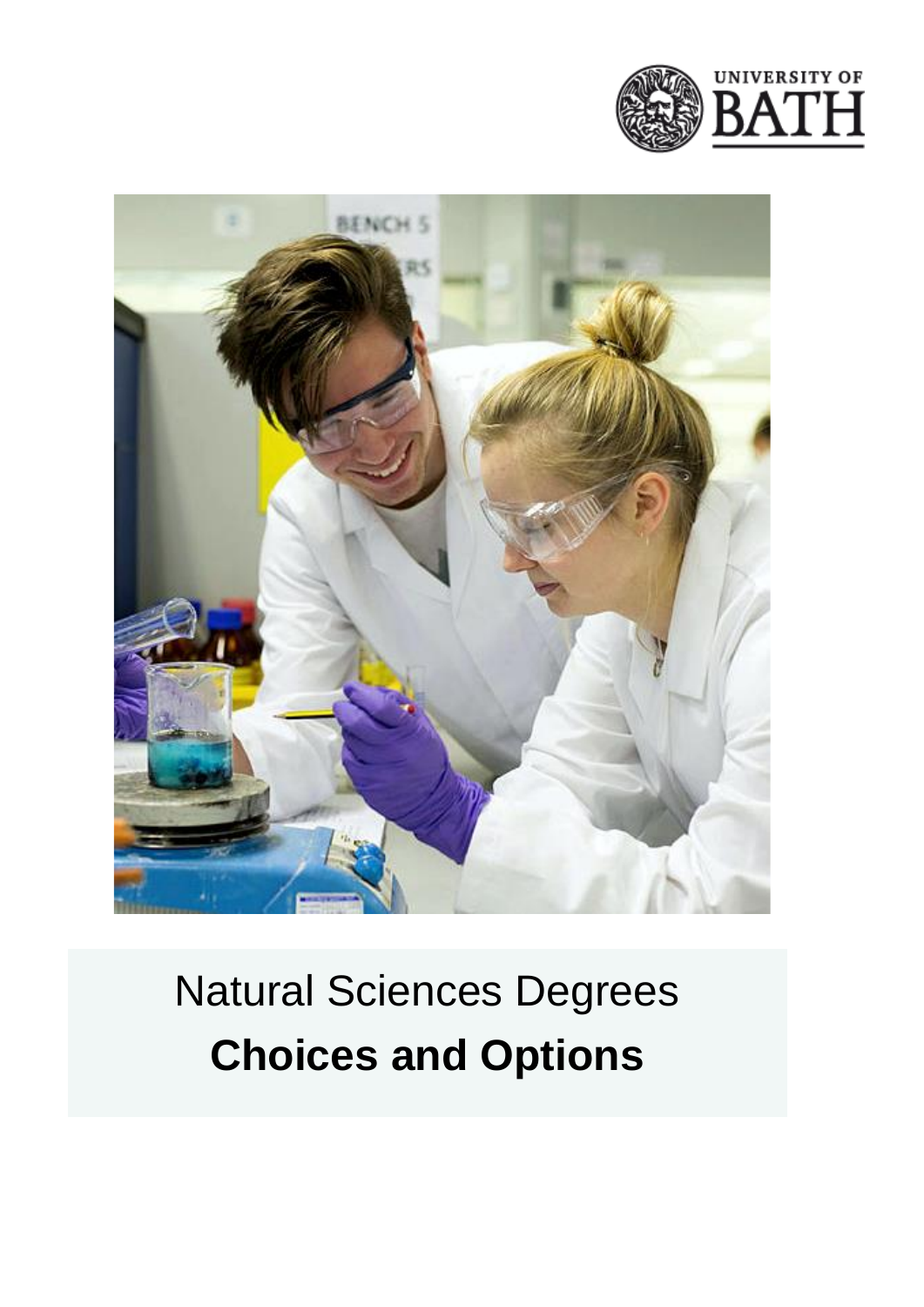



# Natural Sciences Degrees **Choices and Options**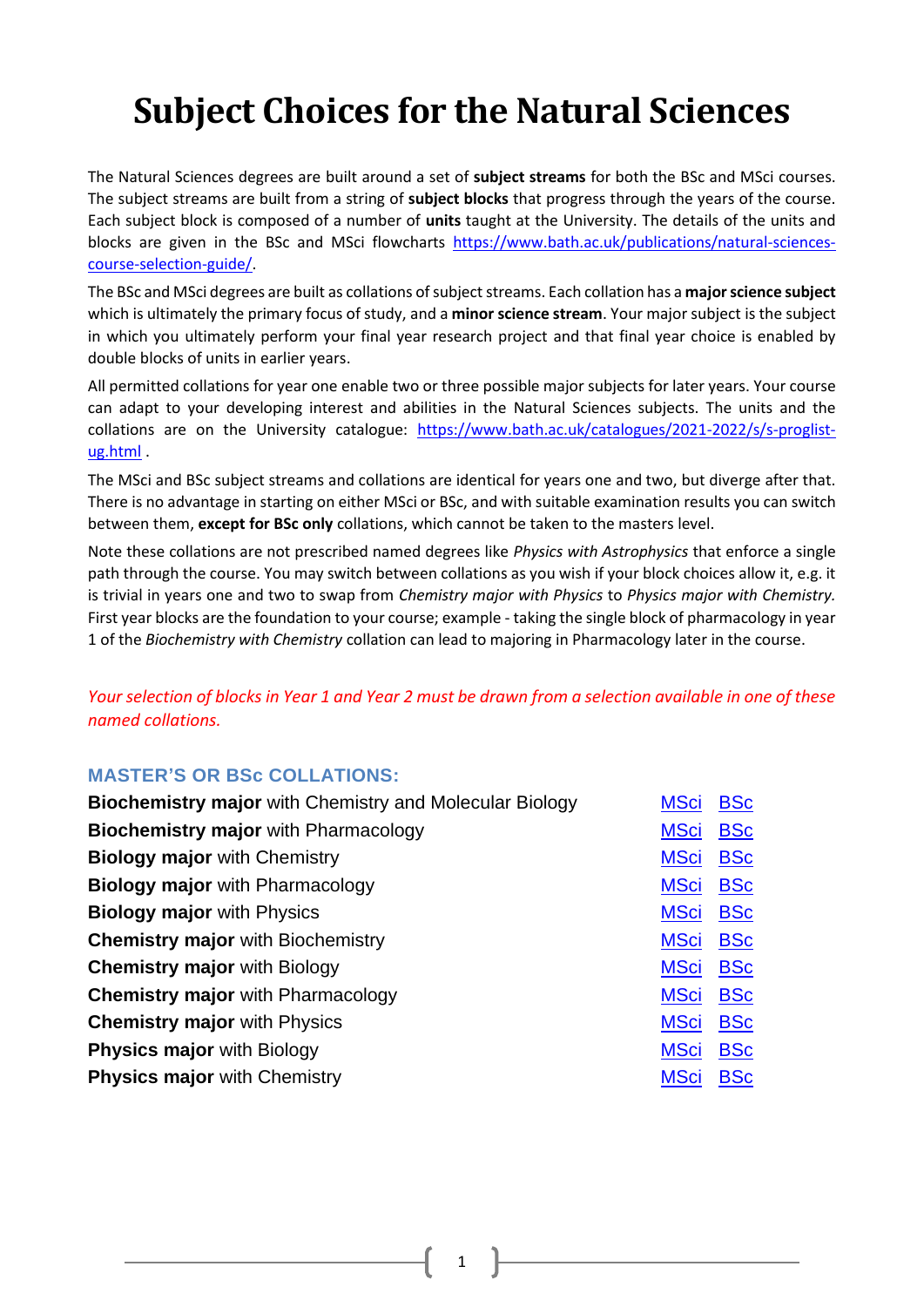# **Subject Choices for the Natural Sciences**

The Natural Sciences degrees are built around a set of **subject streams** for both the BSc and MSci courses. The subject streams are built from a string of **subject blocks** that progress through the years of the course. Each subject block is composed of a number of **units** taught at the University. The details of the units and blocks are given in the BSc and MSci flowcharts [https://www.bath.ac.uk/publications/natural-sciences](https://www.bath.ac.uk/publications/natural-sciences-course-selection-guide/)[course-selection-guide/.](https://www.bath.ac.uk/publications/natural-sciences-course-selection-guide/)

The BSc and MSci degrees are built as collations of subject streams. Each collation has a **major science subject** which is ultimately the primary focus of study, and a **minor science stream**. Your major subject is the subject in which you ultimately perform your final year research project and that final year choice is enabled by double blocks of units in earlier years.

All permitted collations for year one enable two or three possible major subjects for later years. Your course can adapt to your developing interest and abilities in the Natural Sciences subjects. The units and the collations are on the University catalogue: [https://www.bath.ac.uk/catalogues/2021-2022/s/s-proglist](https://www.bath.ac.uk/catalogues/2021-2022/s/s-proglist-ug.html)[ug.html](https://www.bath.ac.uk/catalogues/2021-2022/s/s-proglist-ug.html) .

The MSci and BSc subject streams and collations are identical for years one and two, but diverge after that. There is no advantage in starting on either MSci or BSc, and with suitable examination results you can switch between them, **except for BSc only** collations, which cannot be taken to the masters level.

Note these collations are not prescribed named degrees like *Physics with Astrophysics* that enforce a single path through the course. You may switch between collations as you wish if your block choices allow it, e.g. it is trivial in years one and two to swap from *Chemistry major with Physics* to *Physics major with Chemistry.* First year blocks are the foundation to your course; example - taking the single block of pharmacology in year 1 of the *Biochemistry with Chemistry* collation can lead to majoring in Pharmacology later in the course.

*Your selection of blocks in Year 1 and Year 2 must be drawn from a selection available in one of these named collations.* 

#### **MASTER'S OR BSc COLLATIONS:**

| <b>Biochemistry major with Chemistry and Molecular Biology</b> | <b>MSci</b> | <b>BSc</b> |
|----------------------------------------------------------------|-------------|------------|
| <b>Biochemistry major with Pharmacology</b>                    | <b>MSci</b> | <b>BSc</b> |
| <b>Biology major with Chemistry</b>                            | <b>MSci</b> | <b>BSc</b> |
| <b>Biology major</b> with Pharmacology                         | <b>MSci</b> | <b>BSc</b> |
| <b>Biology major with Physics</b>                              | <b>MSci</b> | <b>BSc</b> |
| <b>Chemistry major with Biochemistry</b>                       | <b>MSci</b> | <b>BSc</b> |
| <b>Chemistry major with Biology</b>                            | <b>MSci</b> | <b>BSc</b> |
| <b>Chemistry major</b> with Pharmacology                       | <b>MSci</b> | <b>BSc</b> |
| <b>Chemistry major with Physics</b>                            | <b>MSci</b> | <b>BSc</b> |
| <b>Physics major with Biology</b>                              | <b>MSci</b> | <b>BSc</b> |
| <b>Physics major with Chemistry</b>                            | <b>MSci</b> | <b>BSc</b> |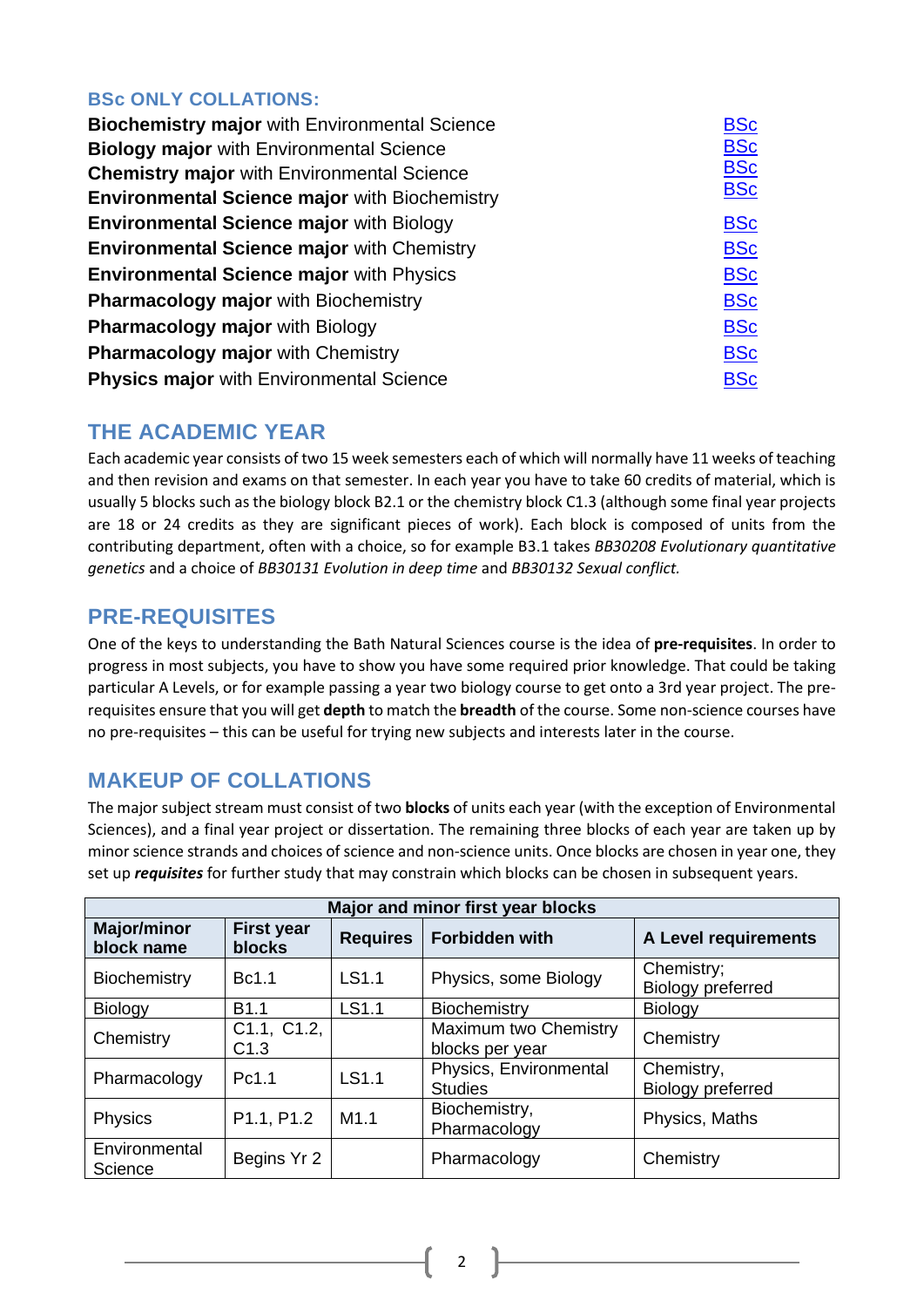### **BSc ONLY COLLATIONS:**

| <b>Biochemistry major with Environmental Science</b> | <b>BSc</b> |
|------------------------------------------------------|------------|
| <b>Biology major with Environmental Science</b>      | <b>BSc</b> |
| <b>Chemistry major with Environmental Science</b>    | <b>BSc</b> |
| <b>Environmental Science major with Biochemistry</b> | <b>BSc</b> |
| <b>Environmental Science major with Biology</b>      | <b>BSc</b> |
| <b>Environmental Science major with Chemistry</b>    | <b>BSc</b> |
| <b>Environmental Science major with Physics</b>      | <b>BSc</b> |
| <b>Pharmacology major with Biochemistry</b>          | <b>BSc</b> |
| <b>Pharmacology major with Biology</b>               | <b>BSc</b> |
| Pharmacology major with Chemistry                    | <b>BSc</b> |
| <b>Physics major with Environmental Science</b>      | <b>BSc</b> |

### **THE ACADEMIC YEAR**

Each academic year consists of two 15 week semesters each of which will normally have 11 weeks of teaching and then revision and exams on that semester. In each year you have to take 60 credits of material, which is usually 5 blocks such as the biology block B2.1 or the chemistry block C1.3 (although some final year projects are 18 or 24 credits as they are significant pieces of work). Each block is composed of units from the contributing department, often with a choice, so for example B3.1 takes *BB30208 Evolutionary quantitative genetics* and a choice of *BB30131 Evolution in deep time* and *BB30132 Sexual conflict.*

### **PRE-REQUISITES**

One of the keys to understanding the Bath Natural Sciences course is the idea of **pre-requisites**. In order to progress in most subjects, you have to show you have some required prior knowledge. That could be taking particular A Levels, or for example passing a year two biology course to get onto a 3rd year project. The prerequisites ensure that you will get **depth** to match the **breadth** of the course. Some non-science courses have no pre-requisites – this can be useful for trying new subjects and interests later in the course.

### **MAKEUP OF COLLATIONS**

The major subject stream must consist of two **blocks** of units each year (with the exception of Environmental Sciences), and a final year project or dissertation. The remaining three blocks of each year are taken up by minor science strands and choices of science and non-science units. Once blocks are chosen in year one, they set up *requisites* for further study that may constrain which blocks can be chosen in subsequent years.

| Major and minor first year blocks                                                                                  |                     |       |                                          |                                        |  |
|--------------------------------------------------------------------------------------------------------------------|---------------------|-------|------------------------------------------|----------------------------------------|--|
| <b>Major/minor</b><br><b>First year</b><br><b>Requires</b><br><b>Forbidden with</b><br>block name<br><b>blocks</b> |                     |       | A Level requirements                     |                                        |  |
| Biochemistry                                                                                                       | Bc1.1               | LS1.1 | Physics, some Biology                    | Chemistry;<br>Biology preferred        |  |
| Biology                                                                                                            | B <sub>1.1</sub>    | LS1.1 | Biochemistry                             | Biology                                |  |
| Chemistry                                                                                                          | C1.1, C1.2,<br>C1.3 |       | Maximum two Chemistry<br>blocks per year | Chemistry                              |  |
| Pharmacology                                                                                                       | Pc1.1               | LS1.1 | Physics, Environmental<br><b>Studies</b> | Chemistry,<br><b>Biology preferred</b> |  |
| Physics                                                                                                            | P1.1, P1.2          | M1.1  | Biochemistry,<br>Pharmacology            | Physics, Maths                         |  |
| Environmental<br>Science                                                                                           | Begins Yr 2         |       | Pharmacology                             | Chemistry                              |  |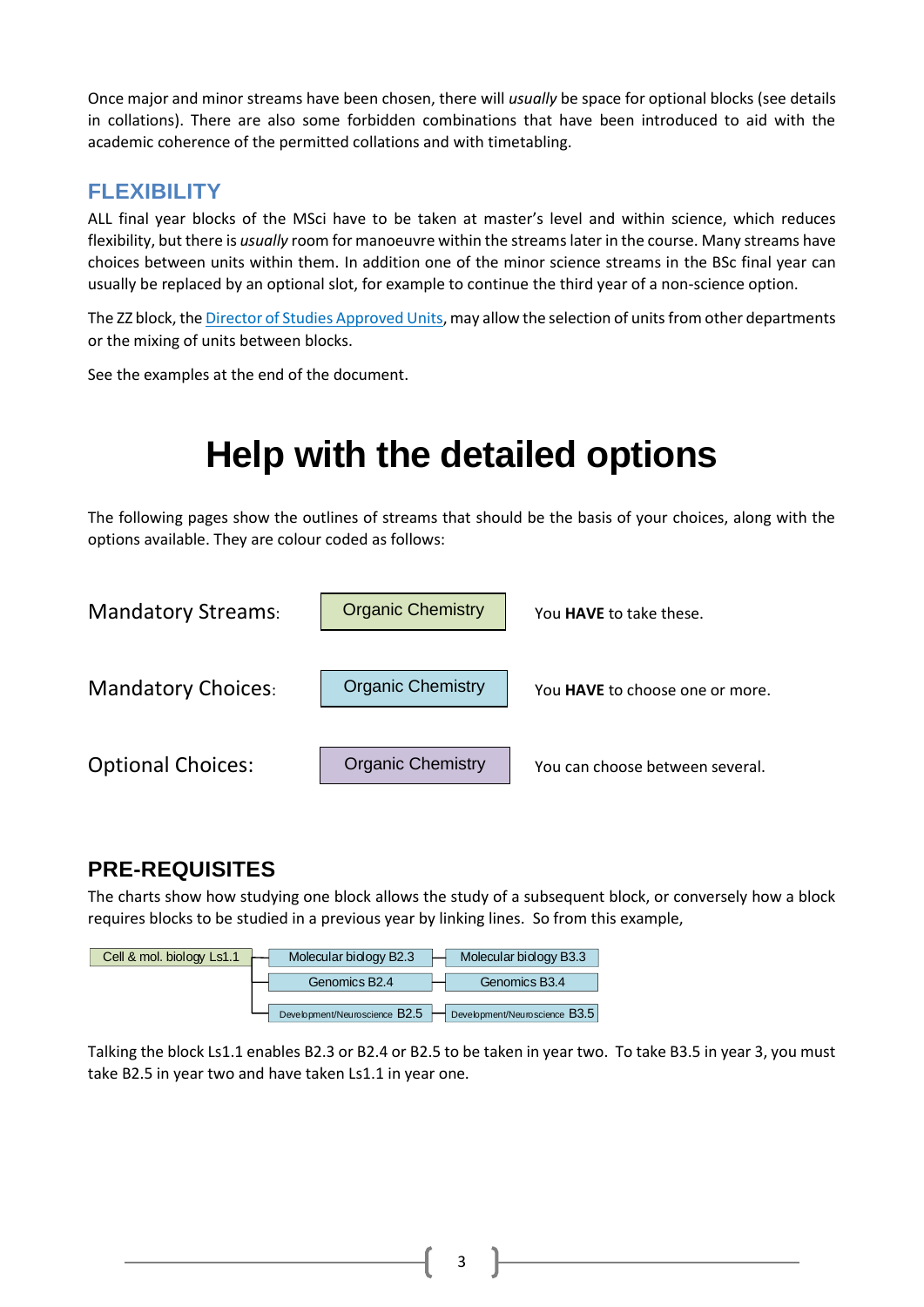Once major and minor streams have been chosen, there will *usually* be space for optional blocks (see details in collations). There are also some forbidden combinations that have been introduced to aid with the academic coherence of the permitted collations and with timetabling.

### **FLEXIBILITY**

ALL final year blocks of the MSci have to be taken at master's level and within science, which reduces flexibility, but there is *usually* room for manoeuvre within the streams later in the course. Many streams have choices between units within them. In addition one of the minor science streams in the BSc final year can usually be replaced by an optional slot, for example to continue the third year of a non-science option.

The ZZ block, th[e Director of Studies Approved Units,](#page-37-0) may allow the selection of units from other departments or the mixing of units between blocks.

See the examples at the end of the document.

# **Help with the detailed options**

The following pages show the outlines of streams that should be the basis of your choices, along with the options available. They are colour coded as follows:



### **PRE-REQUISITES**

The charts show how studying one block allows the study of a subsequent block, or conversely how a block requires blocks to be studied in a previous year by linking lines. So from this example,



Talking the block Ls1.1 enables B2.3 or B2.4 or B2.5 to be taken in year two. To take B3.5 in year 3, you must take B2.5 in year two and have taken Ls1.1 in year one.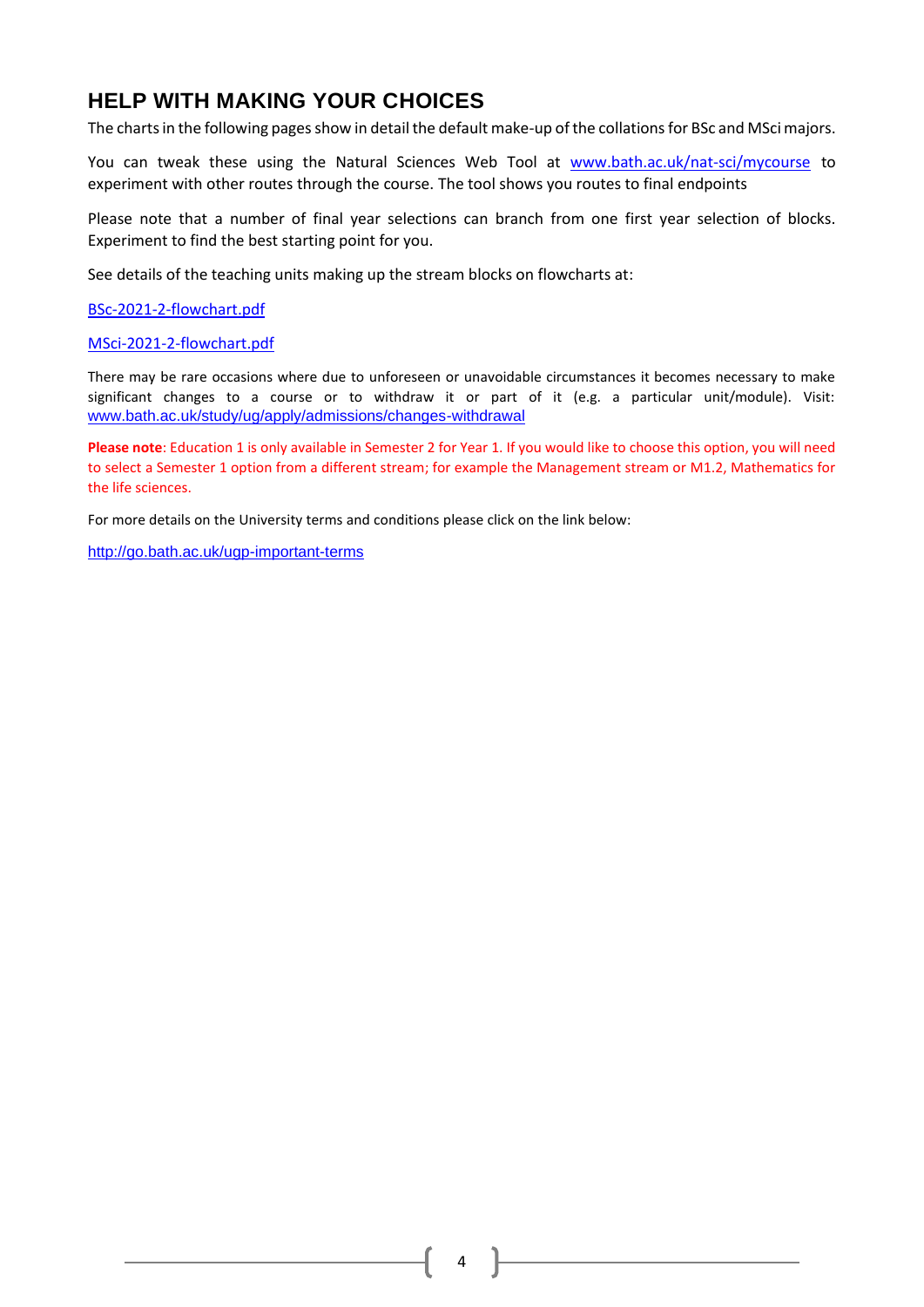### **HELP WITH MAKING YOUR CHOICES**

The charts in the following pages show in detail the default make-up of the collationsfor BSc and MSci majors.

You can tweak these using the Natural Sciences Web Tool at www.bath.ac.uk/nat-sci/mycourse to experiment with other routes through the course. The tool shows you routes to final endpoints

Please note that a number of final year selections can branch from one first year selection of blocks. Experiment to find the best starting point for you.

See details of the teaching units making up the stream blocks on flowcharts at:

[BSc-2021-2-flowchart.pdf](https://www.bath.ac.uk/publications/natural-sciences-course-selection-guide/attachments/BSc-2021-22-flowchart.pdf)

[MSci-2021-2-flowchart.pdf](https://www.bath.ac.uk/publications/natural-sciences-course-selection-guide/attachments/MSci-2021-22-flowchart.pdf)

There may be rare occasions where due to unforeseen or unavoidable circumstances it becomes necessary to make significant changes to a course or to withdraw it or part of it (e.g. a particular unit/module). Visit: [www.bath.ac.uk/study/ug/apply/admissions/changes-withdrawal](http://www.bath.ac.uk/study/ug/apply/admissions/changes-withdrawal)

**Please note**: Education 1 is only available in Semester 2 for Year 1. If you would like to choose this option, you will need to select a Semester 1 option from a different stream; for example the Management stream or M1.2, Mathematics for the life sciences.

For more details on the University terms and conditions please click on the link below:

<http://go.bath.ac.uk/ugp-important-terms>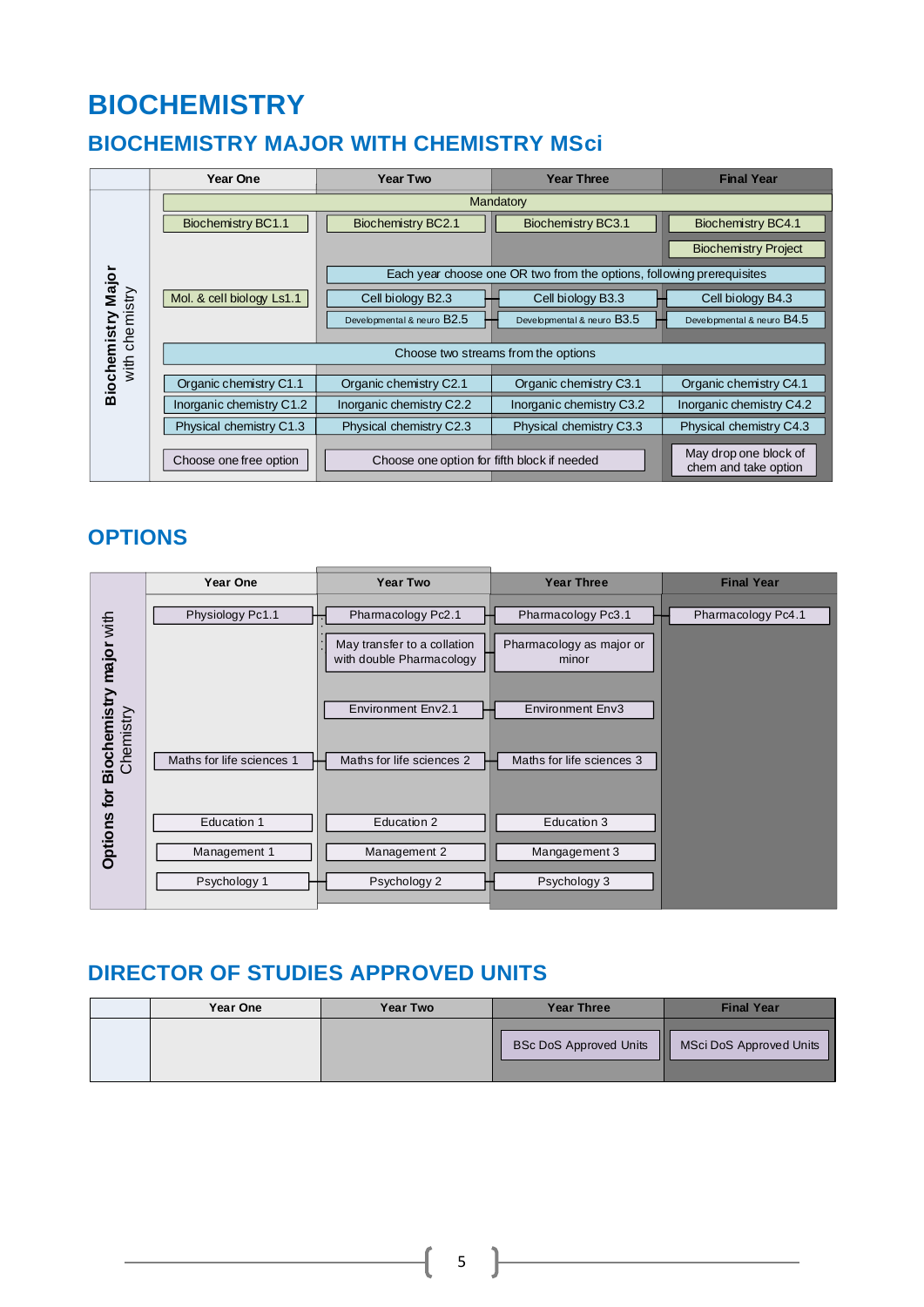# **BIOCHEMISTRY**

### <span id="page-5-0"></span>**BIOCHEMISTRY MAJOR WITH CHEMISTRY MSci**

|                    | Year One                            | <b>Year Two</b>                             | <b>Year Three</b>                                                     | <b>Final Year</b>                             |  |
|--------------------|-------------------------------------|---------------------------------------------|-----------------------------------------------------------------------|-----------------------------------------------|--|
|                    | Mandatory                           |                                             |                                                                       |                                               |  |
|                    | <b>Biochemistry BC1.1</b>           | <b>Biochemistry BC2.1</b>                   | <b>Biochemistry BC3.1</b>                                             | <b>Biochemistry BC4.1</b>                     |  |
|                    |                                     |                                             |                                                                       | <b>Biochemistry Project</b>                   |  |
|                    |                                     |                                             | Each year choose one OR two from the options, following prerequisites |                                               |  |
|                    | Mol. & cell biology Ls1.1           | Cell biology B2.3                           | Cell biology B3.3                                                     | Cell biology B4.3                             |  |
| chemistry          |                                     | Developmental & neuro B2.5                  | Developmental & neuro B3.5                                            | Developmental & neuro B4.5                    |  |
| Biochemistry Major | Choose two streams from the options |                                             |                                                                       |                                               |  |
| with               |                                     |                                             |                                                                       |                                               |  |
|                    | Organic chemistry C1.1              | Organic chemistry C2.1                      | Organic chemistry C3.1                                                | Organic chemistry C4.1                        |  |
|                    | Inorganic chemistry C1.2            | Inorganic chemistry C2.2                    | Inorganic chemistry C3.2                                              | Inorganic chemistry C4.2                      |  |
|                    | Physical chemistry C1.3             | Physical chemistry C2.3                     | Physical chemistry C3.3                                               | Physical chemistry C4.3                       |  |
|                    | Choose one free option              | Choose one option for fifth block if needed |                                                                       | May drop one block of<br>chem and take option |  |

### **OPTIONS**

|                                      | Year One                  | <b>Year Two</b>                                         | <b>Year Three</b>                 | <b>Final Year</b>  |
|--------------------------------------|---------------------------|---------------------------------------------------------|-----------------------------------|--------------------|
|                                      | Physiology Pc1.1          | Pharmacology Pc2.1                                      | Pharmacology Pc3.1                | Pharmacology Pc4.1 |
|                                      |                           | May transfer to a collation<br>with double Pharmacology | Pharmacology as major or<br>minor |                    |
| Biochemistry major with<br>Chemistry |                           | Environment Env2.1                                      | <b>Environment Env3</b>           |                    |
|                                      | Maths for life sciences 1 | Maths for life sciences 2                               | Maths for life sciences 3         |                    |
| <b>Options for</b>                   | Education 1               | Education 2                                             | Education 3                       |                    |
|                                      | Management 1              | Management 2                                            | Mangagement 3                     |                    |
|                                      | Psychology 1              | Psychology 2                                            | Psychology 3                      |                    |

### **DIRECTOR OF STUDIES APPROVED UNITS**

| Year One | <b>Year Two</b> | <b>Year Three</b>                  | <b>Final Year</b>       |
|----------|-----------------|------------------------------------|-------------------------|
|          |                 | Ш<br><b>BSc DoS Approved Units</b> | MSci DoS Approved Units |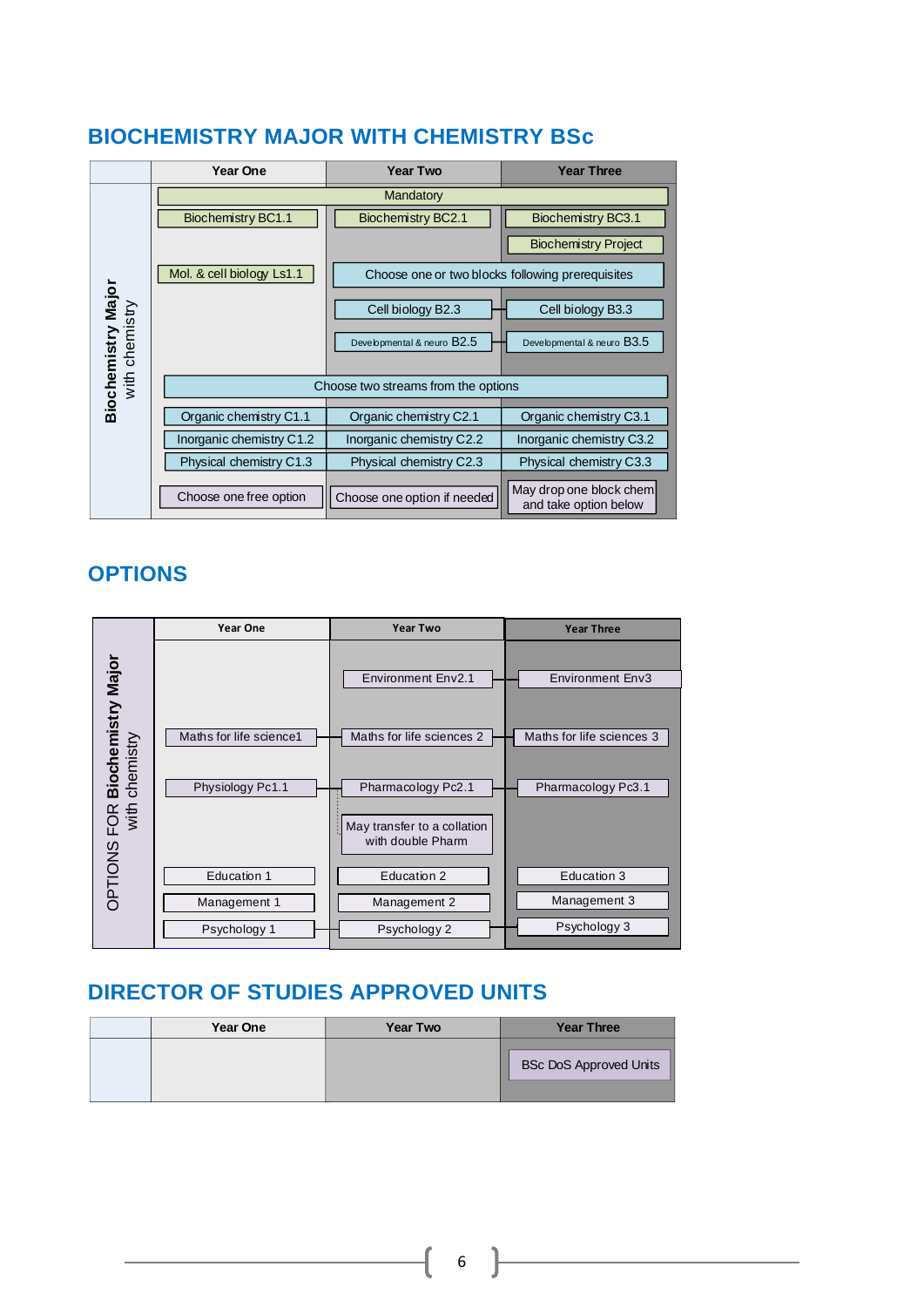### <span id="page-6-0"></span>**BIOCHEMISTRY MAJOR WITH CHEMISTRY BSc**

|                                      | <b>Year One</b>                     | <b>Year Two</b>                                  | <b>Year Three</b>                                |  |  |
|--------------------------------------|-------------------------------------|--------------------------------------------------|--------------------------------------------------|--|--|
|                                      |                                     | Mandatory                                        |                                                  |  |  |
|                                      | <b>Biochemistry BC1.1</b>           | <b>Biochemistry BC2.1</b>                        | <b>Biochemistry BC3.1</b>                        |  |  |
|                                      |                                     |                                                  | <b>Biochemistry Project</b>                      |  |  |
|                                      | Mol. & cell biology Ls1.1           | Choose one or two blocks following prerequisites |                                                  |  |  |
|                                      |                                     | Cell biology B2.3                                | Cell biology B3.3                                |  |  |
| Biochemistry Major<br>with chemistry |                                     | Developmental & neuro B2.5                       | Developmental & neuro B3.5                       |  |  |
|                                      | Choose two streams from the options |                                                  |                                                  |  |  |
|                                      | Organic chemistry C1.1              | Organic chemistry C2.1                           | Organic chemistry C3.1                           |  |  |
|                                      | Inorganic chemistry C1.2            | Inorganic chemistry C2.2                         | Inorganic chemistry C3.2                         |  |  |
|                                      | Physical chemistry C1.3             | Physical chemistry C2.3                          | Physical chemistry C3.3                          |  |  |
|                                      | Choose one free option              | Choose one option if needed                      | May drop one block chem<br>and take option below |  |  |

### **OPTIONS**



| <b>Year One</b> | <b>Year Two</b> | <b>Year Three</b>             |
|-----------------|-----------------|-------------------------------|
|                 |                 | <b>BSc DoS Approved Units</b> |
|                 |                 |                               |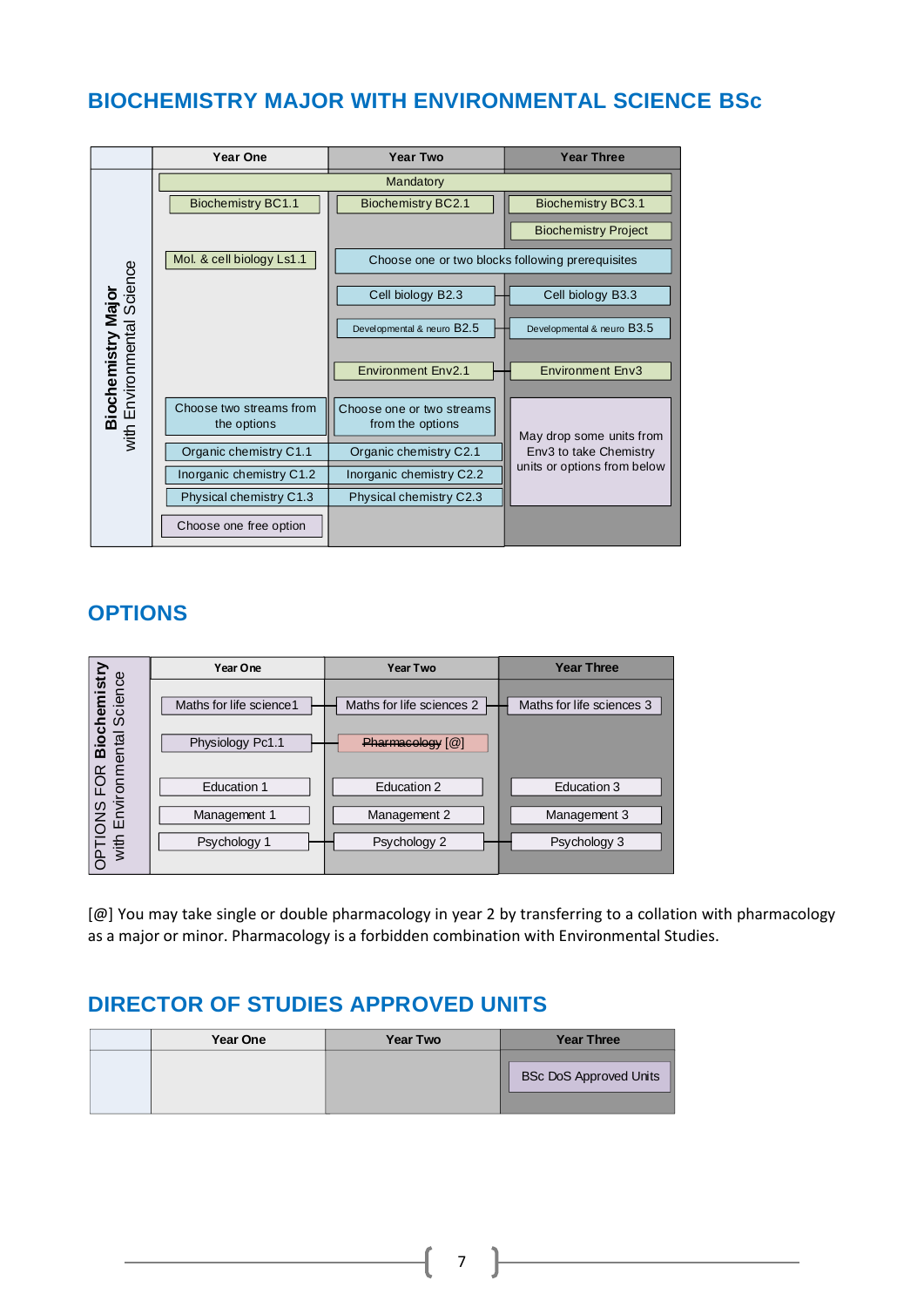### <span id="page-7-0"></span>**BIOCHEMISTRY MAJOR WITH ENVIRONMENTAL SCIENCE BSc**



### **OPTIONS**

|                                | Year One                 | <b>Year Two</b>           | <b>Year Three</b>         |
|--------------------------------|--------------------------|---------------------------|---------------------------|
| hemistry<br>cience<br>$\omega$ | Maths for life science 1 | Maths for life sciences 2 | Maths for life sciences 3 |
| Biocl<br>mental                | Physiology Pc1.1         | Pharmaeology [@]          |                           |
| $\alpha$<br>죤<br>viron         | <b>Education 1</b>       | Education 2               | Education 3               |
| <b>SNOI</b><br>品               | Management 1             | Management 2              | Management 3              |
| OPTI <sub>N</sub>              | Psychology 1             | Psychology 2              | Psychology 3              |

[@] You may take single or double pharmacology in year 2 by transferring to a collation with pharmacology as a major or minor. Pharmacology is a forbidden combination with Environmental Studies.

### **DIRECTOR OF STUDIES APPROVED UNITS**

| Year One | <b>Year Two</b> | <b>Year Three</b>             |
|----------|-----------------|-------------------------------|
|          |                 | <b>BSc DoS Approved Units</b> |

7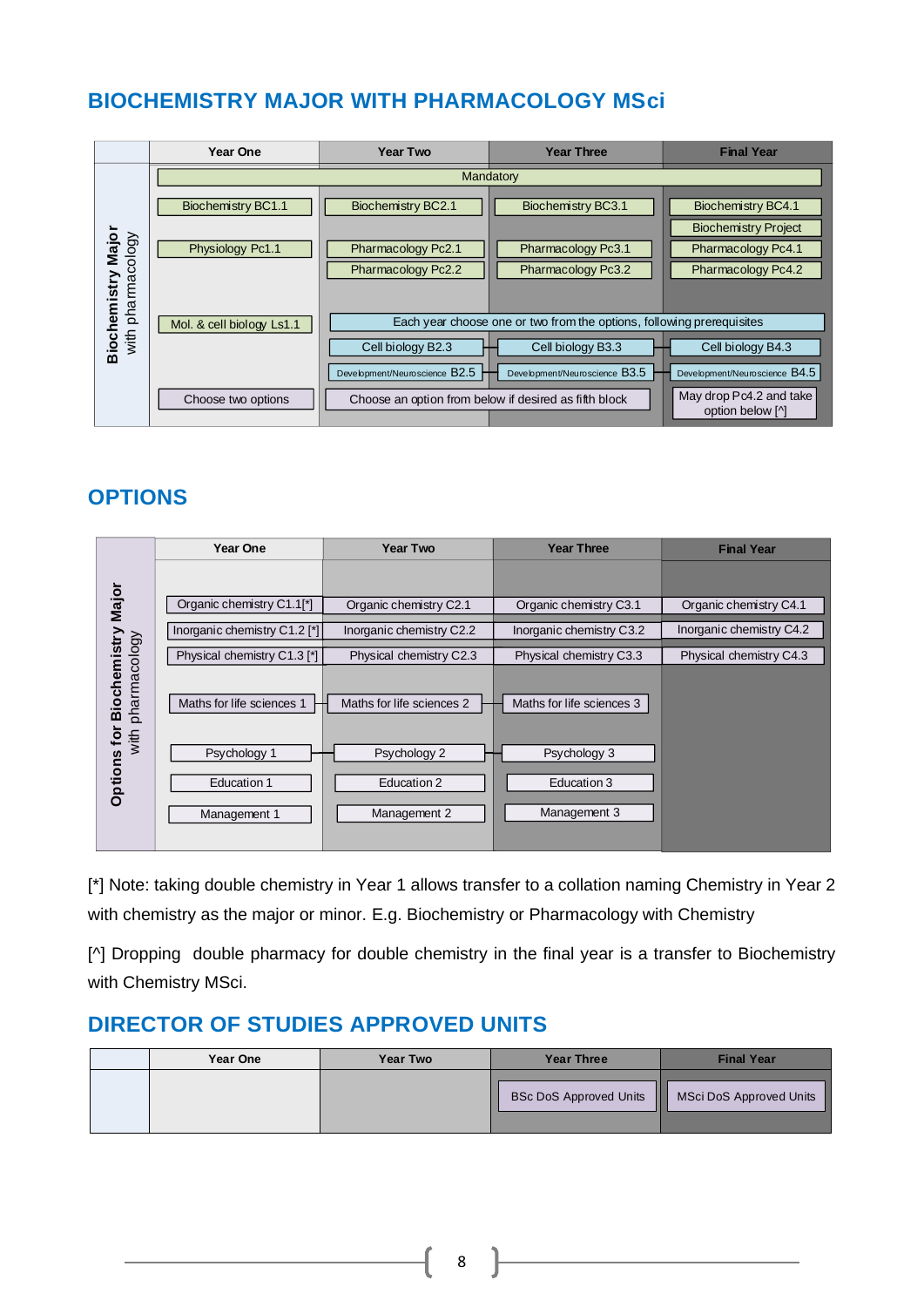### <span id="page-8-0"></span>**BIOCHEMISTRY MAJOR WITH PHARMACOLOGY MSci**

|                              | Year One                  | <b>Year Two</b>                                       | <b>Year Three</b>                                                     | <b>Final Year</b>                           |
|------------------------------|---------------------------|-------------------------------------------------------|-----------------------------------------------------------------------|---------------------------------------------|
|                              |                           |                                                       | Mandatory                                                             |                                             |
|                              | Biochemistry BC1.1        | Biochemistry BC2.1                                    | Biochemistry BC3.1                                                    | <b>Biochemistry BC4.1</b>                   |
|                              |                           |                                                       |                                                                       | <b>Biochemistry Project</b>                 |
| Major                        | Physiology Pc1.1          | Pharmacology Pc2.1                                    | Pharmacology Pc3.1                                                    | Pharmacology Pc4.1                          |
|                              |                           | Pharmacology Pc2.2                                    | Pharmacology Pc3.2                                                    | Pharmacology Pc4.2                          |
| pharmacology<br>Biochemistry | Mol. & cell biology Ls1.1 |                                                       | Each year choose one or two from the options, following prerequisites |                                             |
| $w$ ith                      |                           |                                                       |                                                                       |                                             |
|                              |                           | Cell biology B2.3                                     | Cell biology B3.3                                                     | Cell biology B4.3                           |
|                              |                           | Development/Neuroscience B2.5                         | Development/Neuroscience B3.5                                         | Development/Neuroscience B4.5               |
|                              | Choose two options        | Choose an option from below if desired as fifth block |                                                                       | May drop Pc4.2 and take<br>option below [^] |

### **OPTIONS**

|                                          | <b>Year One</b>              | <b>Year Two</b>           | <b>Year Three</b>         | <b>Final Year</b>        |
|------------------------------------------|------------------------------|---------------------------|---------------------------|--------------------------|
|                                          |                              |                           |                           |                          |
| Major                                    | Organic chemistry C1.1[*]    | Organic chemistry C2.1    | Organic chemistry C3.1    | Organic chemistry C4.1   |
|                                          | Inorganic chemistry C1.2 [*] | Inorganic chemistry C2.2  | Inorganic chemistry C3.2  | Inorganic chemistry C4.2 |
|                                          | Physical chemistry C1.3 [*]  | Physical chemistry C2.3   | Physical chemistry C3.3   | Physical chemistry C4.3  |
| <b>Biochemistry</b><br>pharmacology<br>₫ | Maths for life sciences 1    | Maths for life sciences 2 | Maths for life sciences 3 |                          |
| with                                     | Psychology 1                 | Psychology 2              | Psychology 3              |                          |
| <b>Options</b>                           | <b>Education 1</b>           | Education 2               | Education 3               |                          |
|                                          | Management 1                 | Management 2              | Management 3              |                          |
|                                          |                              |                           |                           |                          |

[\*] Note: taking double chemistry in Year 1 allows transfer to a collation naming Chemistry in Year 2 with chemistry as the major or minor. E.g. Biochemistry or Pharmacology with Chemistry

[^] Dropping double pharmacy for double chemistry in the final year is a transfer to Biochemistry with Chemistry MSci.

### **DIRECTOR OF STUDIES APPROVED UNITS**

| Year One | <b>Year Two</b> | <b>Year Three</b>                  | <b>Final Year</b>       |
|----------|-----------------|------------------------------------|-------------------------|
|          |                 | Ш<br><b>BSc DoS Approved Units</b> | MSci DoS Approved Units |

8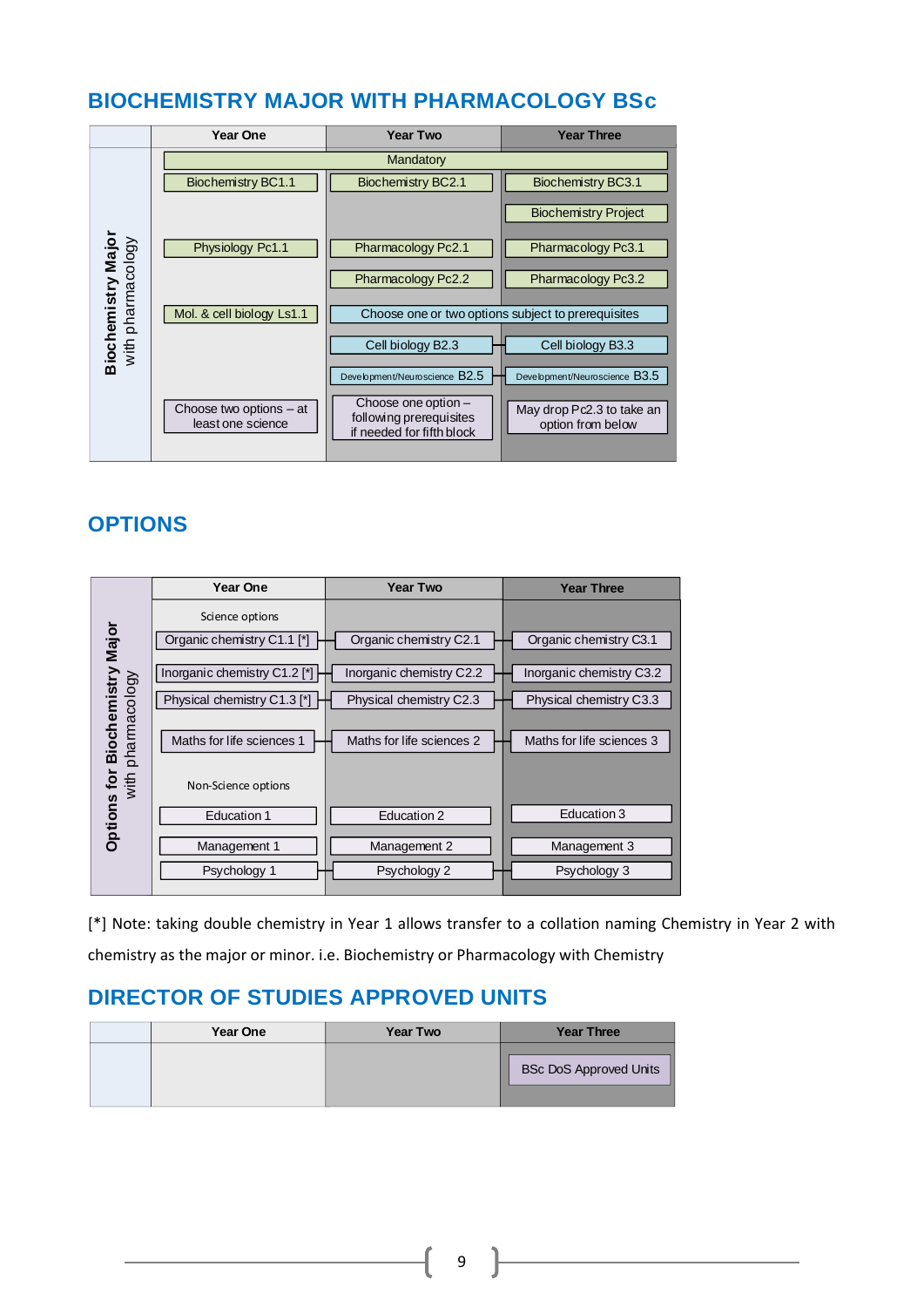### <span id="page-9-0"></span>**BIOCHEMISTRY MAJOR WITH PHARMACOLOGY BSc**

|                                         | Year One                                       | <b>Year Two</b>                                                                                              | <b>Year Three</b>                                                               |
|-----------------------------------------|------------------------------------------------|--------------------------------------------------------------------------------------------------------------|---------------------------------------------------------------------------------|
|                                         |                                                | Mandatory                                                                                                    |                                                                                 |
|                                         | <b>Biochemistry BC1.1</b>                      | Biochemistry BC2.1                                                                                           | Biochemistry BC3.1                                                              |
|                                         |                                                |                                                                                                              | <b>Biochemistry Project</b>                                                     |
|                                         | Physiology Pc1.1                               | Pharmacology Pc2.1                                                                                           | Pharmacology Pc3.1                                                              |
|                                         |                                                | Pharmacology Pc2.2                                                                                           | Pharmacology Pc3.2                                                              |
| Biochemistry Major<br>with pharmacology | Mol. & cell biology Ls1.1                      | Choose one or two options subject to prerequisites                                                           |                                                                                 |
|                                         |                                                | Cell biology B2.3                                                                                            | Cell biology B3.3                                                               |
|                                         | Choose two options $-$ at<br>least one science | Development/Neuroscience B2.5<br>Choose one option -<br>following prerequisites<br>if needed for fifth block | Development/Neuroscience B3.5<br>May drop Pc2.3 to take an<br>option from below |

### **OPTIONS**

|                              | Year One                                      | <b>Year Two</b>           | <b>Year Three</b>         |
|------------------------------|-----------------------------------------------|---------------------------|---------------------------|
| Major                        | Science options<br>Organic chemistry C1.1 [*] | Organic chemistry C2.1    | Organic chemistry C3.1    |
|                              | Inorganic chemistry C1.2 [*]                  | Inorganic chemistry C2.2  | Inorganic chemistry C3.2  |
|                              | Physical chemistry C1.3 [*]                   | Physical chemistry C2.3   | Physical chemistry C3.3   |
| Biochemistry<br>pharmacology | Maths for life sciences 1                     | Maths for life sciences 2 | Maths for life sciences 3 |
| with<br>Options for          | Non-Science options                           |                           |                           |
|                              | <b>Education 1</b>                            | Education 2               | Education 3               |
|                              | Management 1                                  | Management 2              | Management 3              |
|                              | Psychology 1                                  | Psychology 2              | Psychology 3              |
|                              |                                               |                           |                           |

[\*] Note: taking double chemistry in Year 1 allows transfer to a collation naming Chemistry in Year 2 with chemistry as the major or minor. i.e. Biochemistry or Pharmacology with Chemistry

| <b>Year One</b> | <b>Year Two</b> | <b>Year Three</b>      |
|-----------------|-----------------|------------------------|
|                 |                 | BSc DoS Approved Units |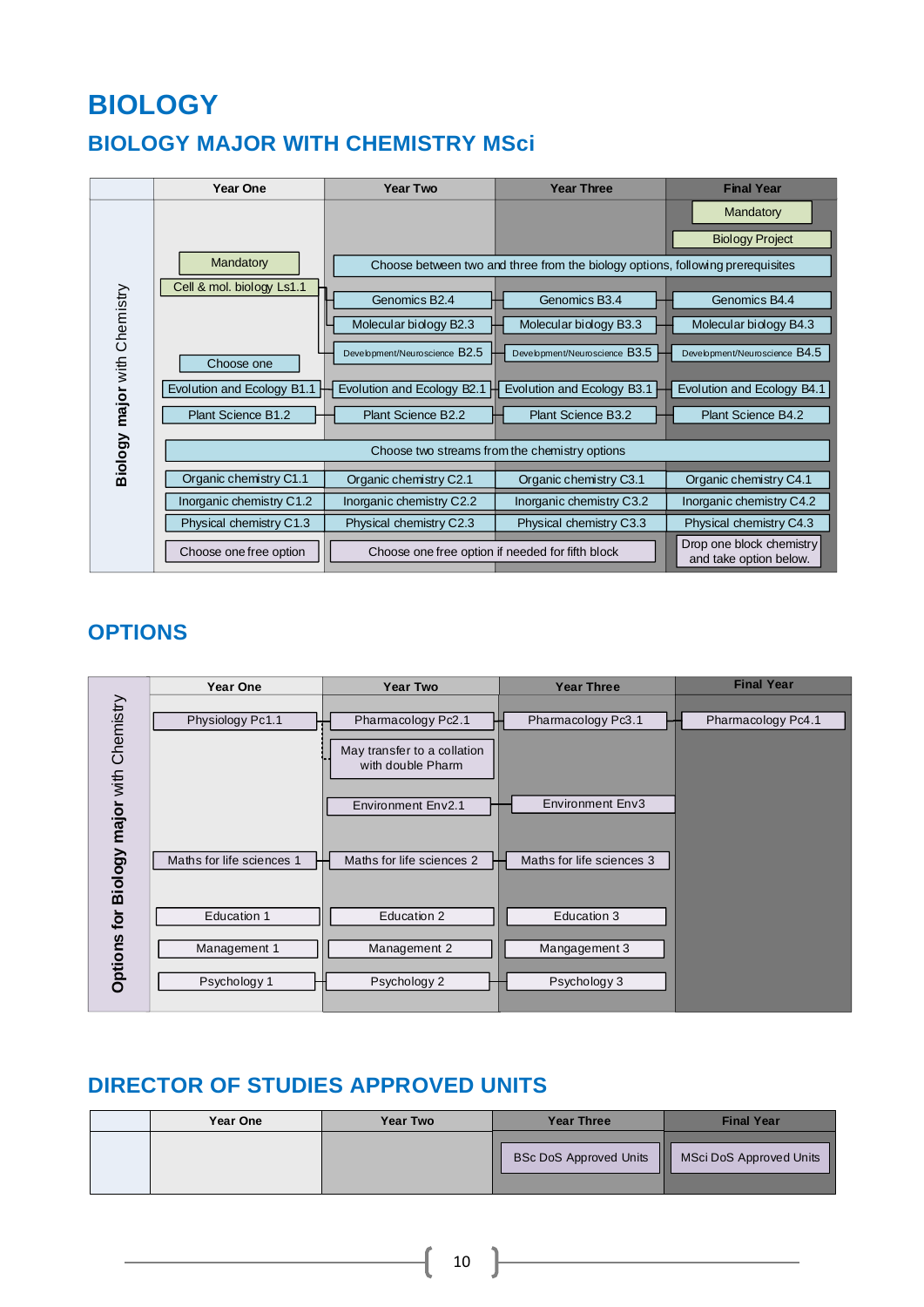## **BIOLOGY**

## <span id="page-10-0"></span>**BIOLOGY MAJOR WITH CHEMISTRY MSci**

|                              | <b>Year One</b>                               | <b>Year Two</b>                                  | <b>Year Three</b>                                                              | <b>Final Year</b>                                  |
|------------------------------|-----------------------------------------------|--------------------------------------------------|--------------------------------------------------------------------------------|----------------------------------------------------|
|                              |                                               |                                                  |                                                                                | Mandatory<br><b>Biology Project</b>                |
|                              | Mandatory                                     |                                                  | Choose between two and three from the biology options, following prerequisites |                                                    |
| Biology major with Chemistry | Cell & mol. biology Ls1.1                     | Genomics B <sub>2.4</sub>                        | Genomics B <sub>3.4</sub>                                                      | Genomics B4.4                                      |
|                              |                                               | Molecular biology B2.3                           | Molecular biology B3.3                                                         | Molecular biology B4.3                             |
|                              | Choose one                                    | Development/Neuroscience B2.5                    | Development/Neuroscience B3.5                                                  | Development/Neuroscience B4.5                      |
|                              | Evolution and Ecology B1.1                    | Evolution and Ecology B2.1                       | Evolution and Ecology B3.1                                                     | Evolution and Ecology B4.1                         |
|                              | Plant Science B1.2                            | Plant Science B2.2                               | Plant Science B3.2                                                             | Plant Science B4.2                                 |
|                              | Choose two streams from the chemistry options |                                                  |                                                                                |                                                    |
|                              | Organic chemistry C1.1                        | Organic chemistry C2.1                           | Organic chemistry C3.1                                                         | Organic chemistry C4.1                             |
|                              | Inorganic chemistry C1.2                      | Inorganic chemistry C2.2                         | Inorganic chemistry C3.2                                                       | Inorganic chemistry C4.2                           |
|                              | Physical chemistry C1.3                       | Physical chemistry C2.3                          | Physical chemistry C3.3                                                        | Physical chemistry C4.3                            |
|                              | Choose one free option                        | Choose one free option if needed for fifth block |                                                                                | Drop one block chemistry<br>and take option below. |

### **OPTIONS**

|                              | Year One                  | <b>Year Two</b>                                  | <b>Year Three</b>         | <b>Final Year</b>  |
|------------------------------|---------------------------|--------------------------------------------------|---------------------------|--------------------|
|                              | Physiology Pc1.1          | Pharmacology Pc2.1                               | Pharmacology Pc3.1        | Pharmacology Pc4.1 |
|                              |                           | May transfer to a collation<br>with double Pharm |                           |                    |
|                              |                           | Environment Env2.1                               | <b>Environment Env3</b>   |                    |
| Biology major with Chemistry | Maths for life sciences 1 | Maths for life sciences 2                        | Maths for life sciences 3 |                    |
| tor                          | Education 1               | Education 2                                      | Education 3               |                    |
| <b>Options</b>               | Management 1              | Management 2                                     | Mangagement 3             |                    |
|                              | Psychology 1              | Psychology 2                                     | Psychology 3              |                    |

### **DIRECTOR OF STUDIES APPROVED UNITS**

| Year One | Year Two | <b>Year Three</b>                  | <b>Final Year</b>       |
|----------|----------|------------------------------------|-------------------------|
|          |          | Ш<br><b>BSc DoS Approved Units</b> | MSci DoS Approved Units |

<u> 1989 - Johann Barn, mars ann an t-</u>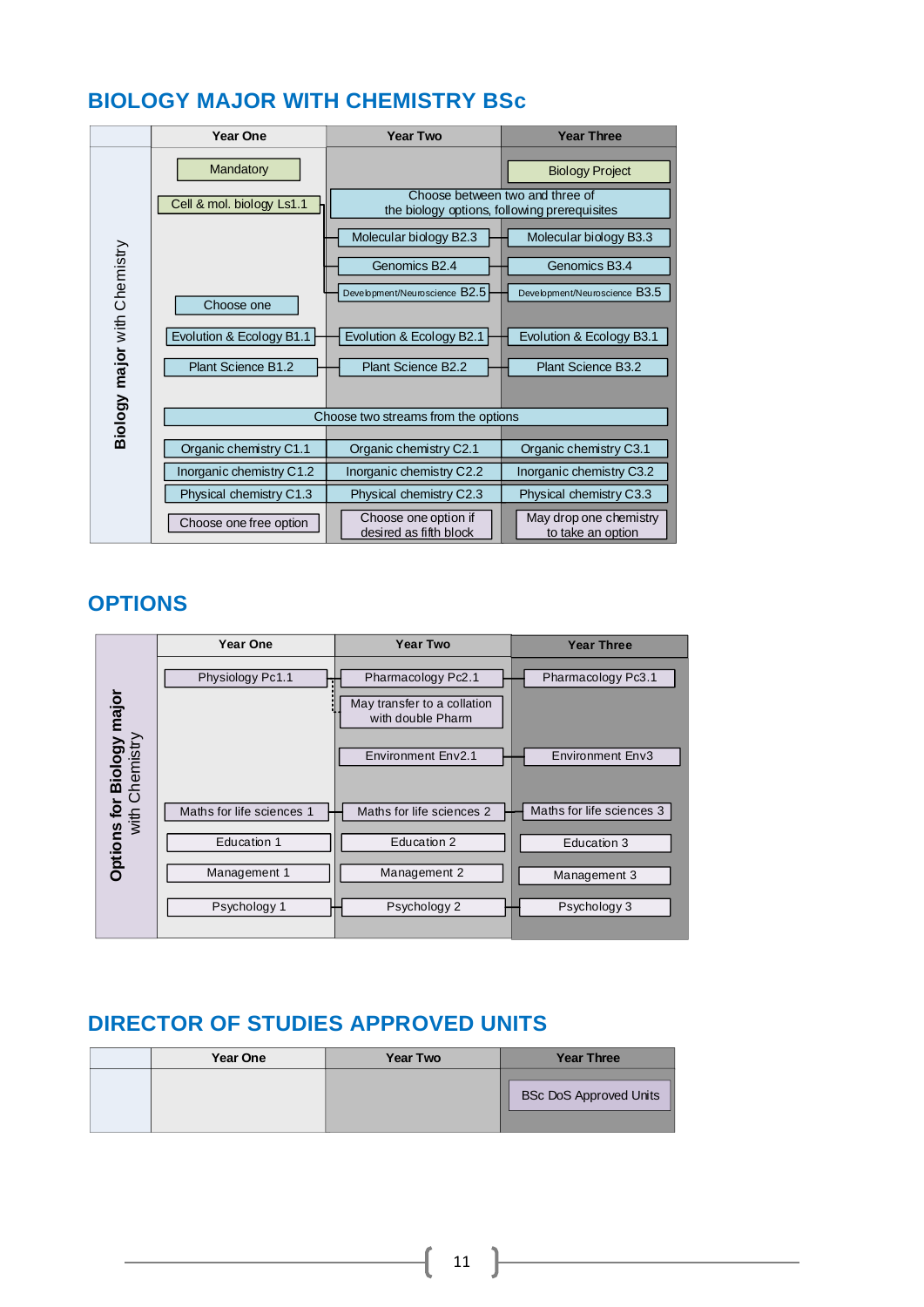### <span id="page-11-0"></span>**BIOLOGY MAJOR WITH CHEMISTRY BSc**

|                              | <b>Year One</b>           | <b>Year Two</b>                                | <b>Year Three</b>                           |
|------------------------------|---------------------------|------------------------------------------------|---------------------------------------------|
|                              | Mandatory                 |                                                | <b>Biology Project</b>                      |
|                              | Cell & mol. biology Ls1.1 | the biology options, following prerequisites   | Choose between two and three of             |
|                              |                           | Molecular biology B2.3                         | Molecular biology B3.3                      |
|                              |                           | Genomics B2.4                                  | Genomics B3.4                               |
|                              | Choose one                | Development/Neuroscience B2.5                  | Development/Neuroscience B3.5               |
|                              | Evolution & Ecology B1.1  | Evolution & Ecology B2.1                       | Evolution & Ecology B3.1                    |
| Biology major with Chemistry | Plant Science B1.2        | Plant Science B2.2                             | Plant Science B3.2                          |
|                              |                           | Choose two streams from the options            |                                             |
|                              |                           |                                                |                                             |
|                              | Organic chemistry C1.1    | Organic chemistry C2.1                         | Organic chemistry C3.1                      |
|                              | Inorganic chemistry C1.2  | Inorganic chemistry C2.2                       | Inorganic chemistry C3.2                    |
|                              | Physical chemistry C1.3   | Physical chemistry C2.3                        | Physical chemistry C3.3                     |
|                              | Choose one free option    | Choose one option if<br>desired as fifth block | May drop one chemistry<br>to take an option |

### **OPTIONS**

|                                             | Year One                  | <b>Year Two</b>                                                                              | <b>Year Three</b>                             |
|---------------------------------------------|---------------------------|----------------------------------------------------------------------------------------------|-----------------------------------------------|
| Options for Biology major<br>with Chemistry | Physiology Pc1.1          | Pharmacology Pc2.1<br>May transfer to a collation<br>with double Pharm<br>Environment Env2.1 | Pharmacology Pc3.1<br><b>Environment Env3</b> |
|                                             |                           |                                                                                              |                                               |
|                                             | Maths for life sciences 1 | Maths for life sciences 2                                                                    | Maths for life sciences 3                     |
|                                             | Education 1               | Education 2                                                                                  | Education 3                                   |
|                                             | Management 1              | Management 2                                                                                 | Management 3                                  |
|                                             | Psychology 1              | Psychology 2                                                                                 | Psychology 3                                  |

| Year One | <b>Year Two</b> | <b>Year Three</b>             |
|----------|-----------------|-------------------------------|
|          |                 | <b>BSc DoS Approved Units</b> |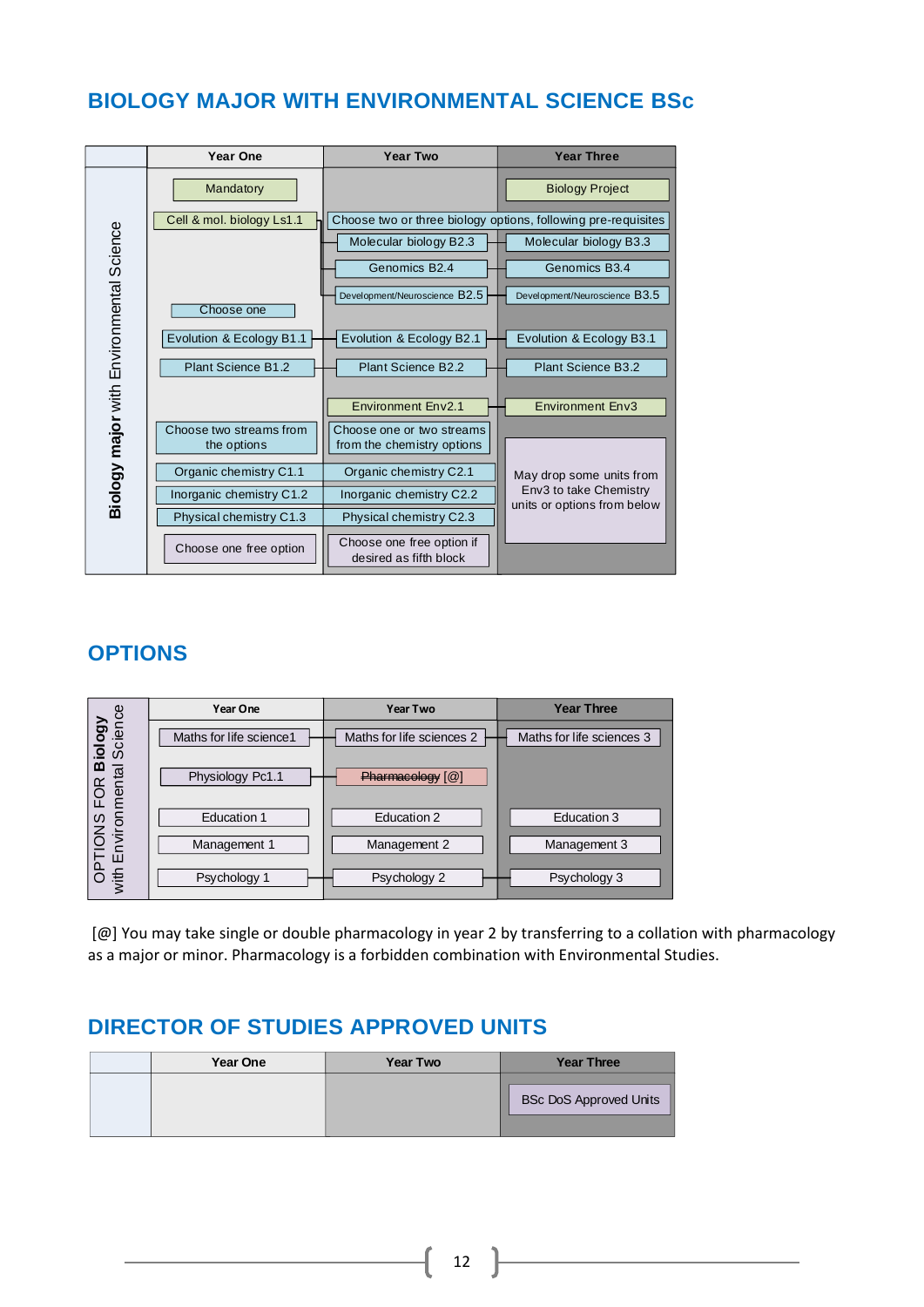### <span id="page-12-0"></span>**BIOLOGY MAJOR WITH ENVIRONMENTAL SCIENCE BSc**



### **OPTIONS**

|                                                                                    | Year One                 | <b>Year Two</b>           | <b>Year Three</b>         |
|------------------------------------------------------------------------------------|--------------------------|---------------------------|---------------------------|
| iology<br>Science                                                                  | Maths for life science 1 | Maths for life sciences 2 | Maths for life sciences 3 |
| $\overline{\mathbf{a}}$<br>OPTIONS FOR <b>B</b><br>ith Environmental<br><b>FOR</b> | Physiology Pc1.1         | Pharmacology [@]          |                           |
|                                                                                    | <b>Education 1</b>       | Education 2               | Education 3               |
|                                                                                    | Management 1             | Management 2              | Management 3              |
| with                                                                               | Psychology 1             | Psychology 2              | Psychology 3              |

[@] You may take single or double pharmacology in year 2 by transferring to a collation with pharmacology as a major or minor. Pharmacology is a forbidden combination with Environmental Studies.

| <b>Year One</b> | <b>Year Two</b> | <b>Year Three</b>             |
|-----------------|-----------------|-------------------------------|
|                 |                 | <b>BSc DoS Approved Units</b> |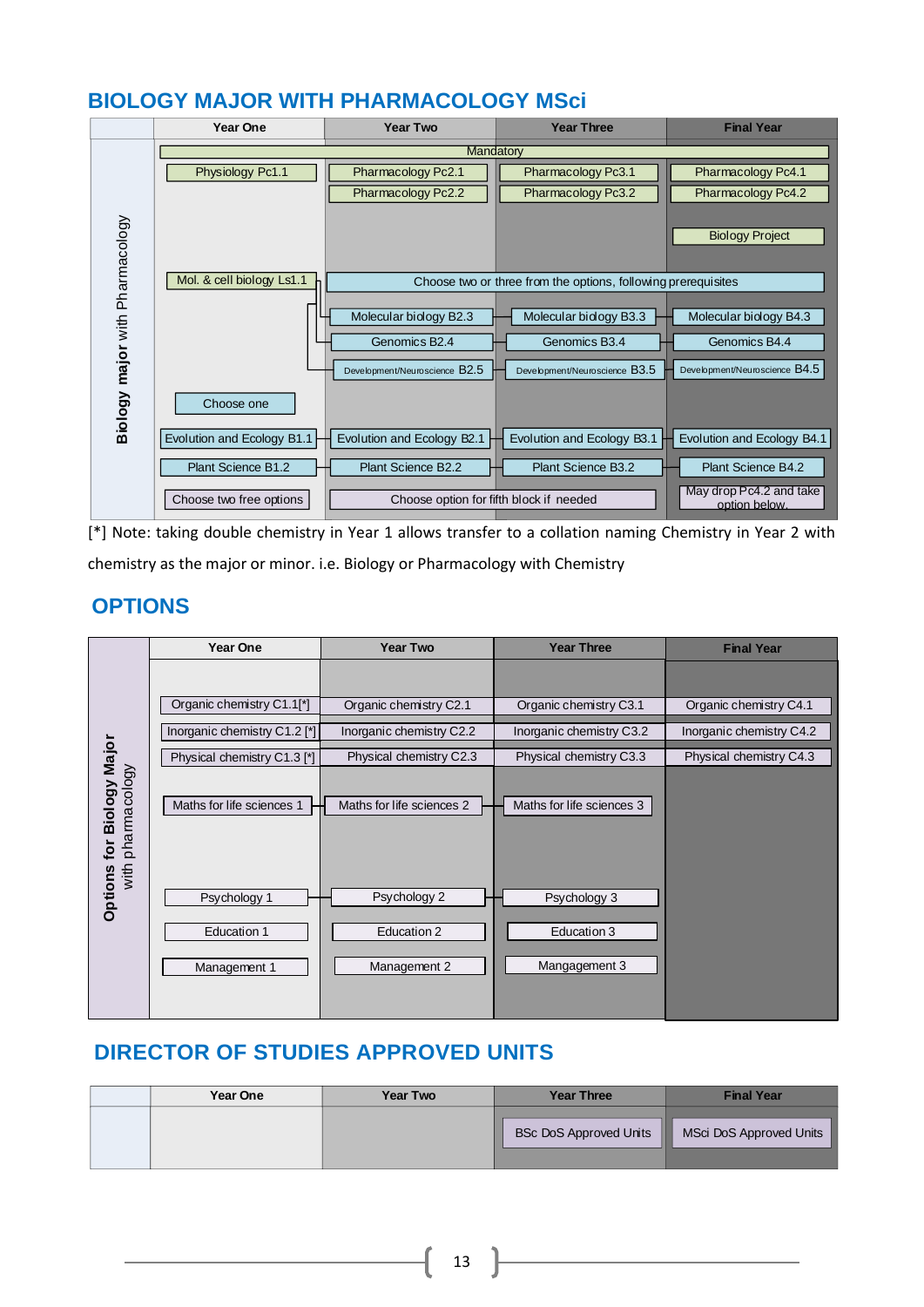### <span id="page-13-0"></span>**BIOLOGY MAJOR WITH PHARMACOLOGY MSci**

|                                 | Year One                     | <b>Year Two</b>                                                                                            | <b>Year Three</b>                                             | <b>Final Year</b>                        |
|---------------------------------|------------------------------|------------------------------------------------------------------------------------------------------------|---------------------------------------------------------------|------------------------------------------|
|                                 |                              | Mandatory                                                                                                  |                                                               |                                          |
|                                 | Physiology Pc1.1             | Pharmacology Pc2.1                                                                                         | Pharmacology Pc3.1                                            | Pharmacology Pc4.1                       |
|                                 |                              | Pharmacology Pc2.2                                                                                         | Pharmacology Pc3.2                                            | Pharmacology Pc4.2                       |
|                                 |                              |                                                                                                            |                                                               |                                          |
|                                 |                              |                                                                                                            |                                                               | <b>Biology Project</b>                   |
|                                 |                              |                                                                                                            |                                                               |                                          |
|                                 | Mol. & cell biology Ls1.1    |                                                                                                            | Choose two or three from the options, following prerequisites |                                          |
|                                 |                              |                                                                                                            |                                                               |                                          |
|                                 |                              | Molecular biology B2.3                                                                                     | Molecular biology B3.3                                        | Molecular biology B4.3                   |
|                                 |                              | Genomics B2.4                                                                                              | Genomics B3.4                                                 | Genomics B4.4                            |
| Biology major with Pharmacology |                              | Development/Neuroscience $\mathsf{B2.5}$                                                                   | Development/Neuroscience B3.5                                 | Development/Neuroscience B4.5            |
|                                 |                              |                                                                                                            |                                                               |                                          |
|                                 | Choose one                   |                                                                                                            |                                                               |                                          |
|                                 | Evolution and Ecology B1.1   | Evolution and Ecology B2.1                                                                                 | Evolution and Ecology B3.1                                    | Evolution and Ecology B4.1               |
|                                 |                              |                                                                                                            |                                                               |                                          |
|                                 | Plant Science B1.2           | Plant Science B2.2                                                                                         | Plant Science B3.2                                            | Plant Science B4.2                       |
|                                 | Choose two free options      | Choose option for fifth block if needed                                                                    |                                                               | May drop Pc4.2 and take<br>option below. |
|                                 |                              |                                                                                                            |                                                               |                                          |
|                                 |                              | [*] Note: taking double chemistry in Year 1 allows transfer to a collation naming Chemistry in Year 2 with |                                                               |                                          |
|                                 |                              | chemistry as the major or minor. i.e. Biology or Pharmacology with Chemistry                               |                                                               |                                          |
|                                 |                              |                                                                                                            |                                                               |                                          |
| <b>OPTIONS</b>                  |                              |                                                                                                            |                                                               |                                          |
|                                 |                              |                                                                                                            |                                                               |                                          |
|                                 | <b>Year One</b>              | <b>Year Two</b>                                                                                            | <b>Year Three</b>                                             | <b>Final Year</b>                        |
|                                 |                              |                                                                                                            |                                                               |                                          |
|                                 | Organic chemistry C1.1[*]    | Organic chemistry C2.1                                                                                     | Organic chemistry C3.1                                        | Organic chemistry C4.1                   |
|                                 |                              |                                                                                                            |                                                               |                                          |
| ajor                            | Inorganic chemistry C1.2 [*] | Inorganic chemistry C2.2                                                                                   | Inorganic chemistry C3.2                                      | Inorganic chemistry C4.2                 |
|                                 | Physical chemistry C1.3 [*]  | Physical chemistry C2.3                                                                                    | Physical chemistry C3.3                                       | Physical chemistry C4.3                  |

### **OPTIONS**

|                                     | <b>Year One</b>              | <b>Year Two</b>             | <b>Year Three</b>           | <b>Final Year</b>        |
|-------------------------------------|------------------------------|-----------------------------|-----------------------------|--------------------------|
|                                     |                              |                             |                             |                          |
|                                     | Organic chemistry C1.1[*]    | Organic chemistry C2.1      | Organic chemistry C3.1      | Organic chemistry C4.1   |
|                                     | Inorganic chemistry C1.2 [*] | Inorganic chemistry C2.2    | Inorganic chemistry C3.2    | Inorganic chemistry C4.2 |
| Major                               | Physical chemistry C1.3 [*]  | Physical chemistry C2.3     | Physical chemistry C3.3     | Physical chemistry C4.3  |
| phamacology<br><b>Biology</b><br>Įō | Maths for life sciences 1    | Maths for life sciences 2   | Maths for life sciences 3   |                          |
| with<br>Options                     | Psychology 1<br>Education 1  | Psychology 2<br>Education 2 | Psychology 3<br>Education 3 |                          |
|                                     | Management 1                 | Management 2                | Mangagement 3               |                          |

| Year One | <b>Year Two</b> | <b>Year Three</b>                  | <b>Final Year</b>       |
|----------|-----------------|------------------------------------|-------------------------|
|          |                 | <b>BSc DoS Approved Units</b><br>ш | MSci DoS Approved Units |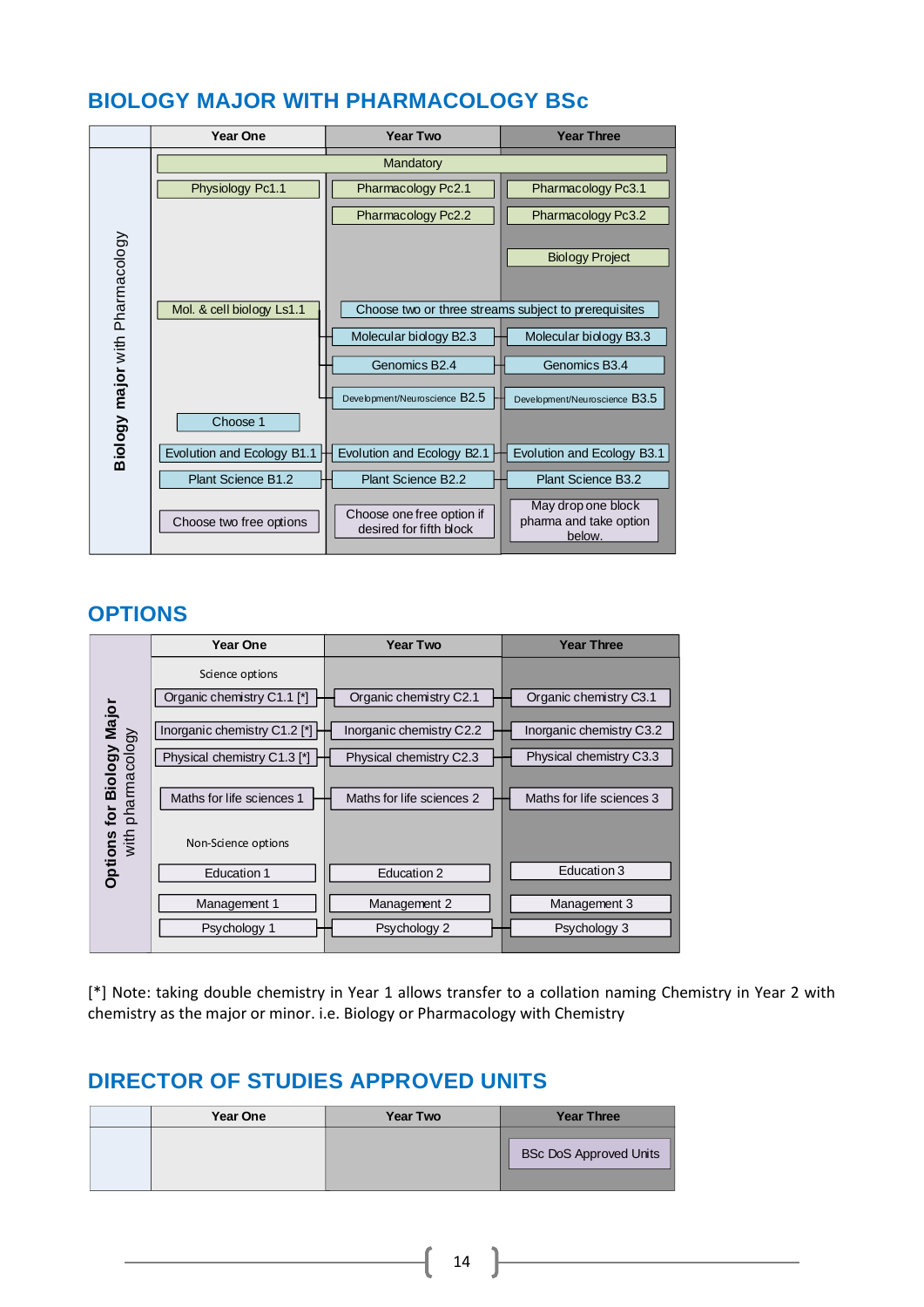### <span id="page-14-0"></span>**BIOLOGY MAJOR WITH PHARMACOLOGY BSc**



### **OPTIONS**

|                              | Year One                     | <b>Year Two</b>           | <b>Year Three</b>         |
|------------------------------|------------------------------|---------------------------|---------------------------|
|                              | Science options              |                           |                           |
|                              | Organic chemistry C1.1 [*]   | Organic chemistry C2.1    | Organic chemistry C3.1    |
| Biology Major                | Inorganic chemistry C1.2 [*] | Inorganic chemistry C2.2  | Inorganic chemistry C3.2  |
|                              | Physical chemistry C1.3 [*]  | Physical chemistry C2.3   | Physical chemistry C3.3   |
| pharmacology<br>for          | Maths for life sciences 1    | Maths for life sciences 2 | Maths for life sciences 3 |
| with <sub>l</sub><br>Options | Non-Science options          |                           |                           |
|                              | Education 1                  | Education 2               | Education 3               |
|                              | Management 1                 | Management 2              | Management 3              |
|                              | Psychology 1                 | Psychology 2              | Psychology 3              |
|                              |                              |                           |                           |

[\*] Note: taking double chemistry in Year 1 allows transfer to a collation naming Chemistry in Year 2 with chemistry as the major or minor. i.e. Biology or Pharmacology with Chemistry

| Year One | <b>Year Two</b> | <b>Year Three</b>             |
|----------|-----------------|-------------------------------|
|          |                 | <b>BSc DoS Approved Units</b> |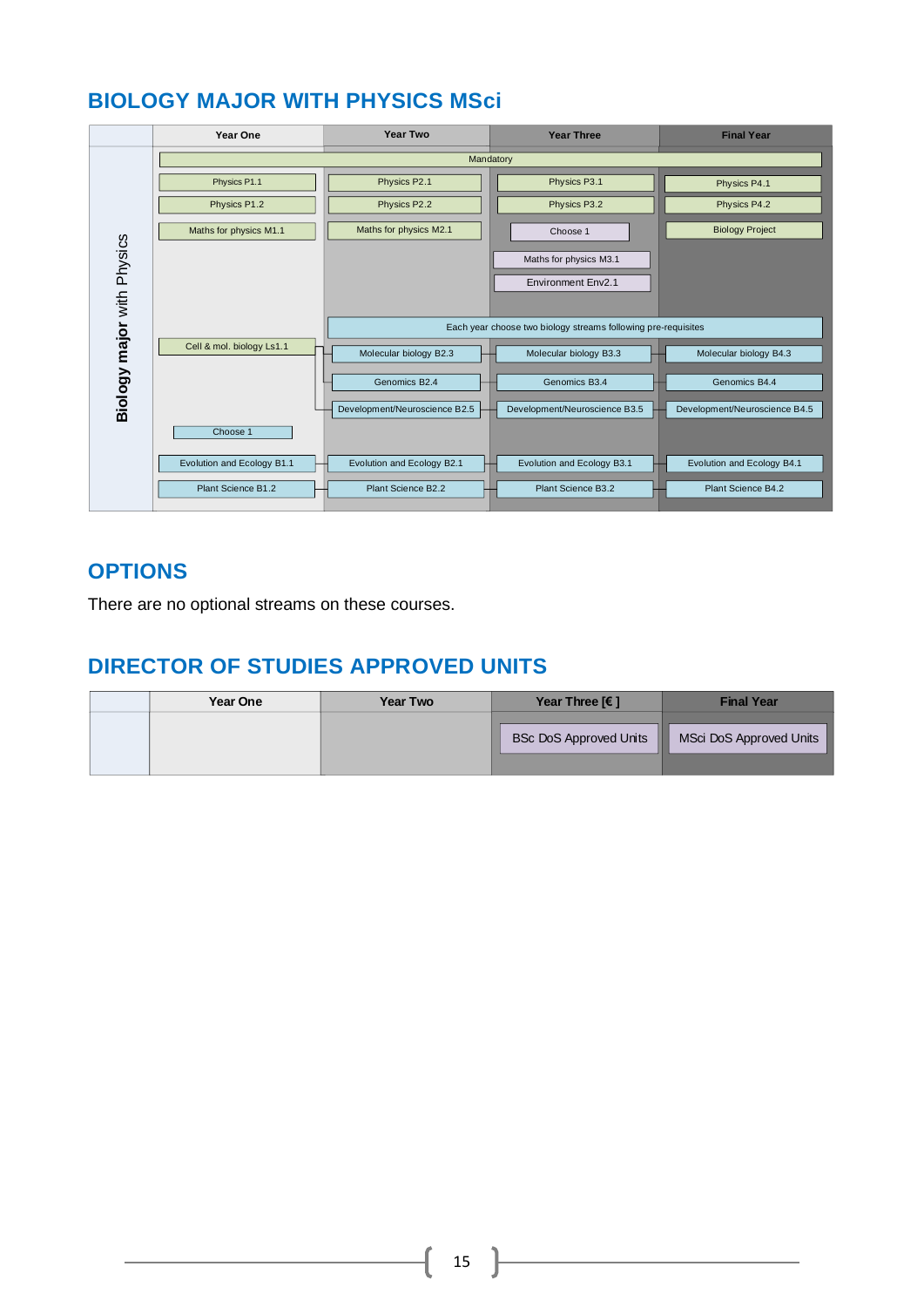### <span id="page-15-0"></span>**BIOLOGY MAJOR WITH PHYSICS MSci**

|                            | Year One                   | <b>Year Two</b>               | <b>Year Three</b>                                             | <b>Final Year</b>             |
|----------------------------|----------------------------|-------------------------------|---------------------------------------------------------------|-------------------------------|
|                            |                            |                               | Mandatory                                                     |                               |
|                            | Physics P1.1               | Physics P2.1                  | Physics P3.1                                                  | Physics P4.1                  |
|                            | Physics P1.2               | Physics P2.2                  | Physics P3.2                                                  | Physics P4.2                  |
|                            | Maths for physics M1.1     | Maths for physics M2.1        | Choose 1                                                      | <b>Biology Project</b>        |
| Biology major with Physics |                            |                               | Maths for physics M3.1                                        |                               |
|                            |                            |                               | <b>Environment Env2.1</b>                                     |                               |
|                            |                            |                               |                                                               |                               |
|                            |                            |                               | Each year choose two biology streams following pre-requisites |                               |
|                            | Cell & mol. biology Ls1.1  | Molecular biology B2.3        | Molecular biology B3.3                                        | Molecular biology B4.3        |
|                            |                            | Genomics B2.4                 | Genomics B3.4                                                 | Genomics B4.4                 |
|                            |                            | Development/Neuroscience B2.5 | Development/Neuroscience B3.5                                 | Development/Neuroscience B4.5 |
|                            | Choose 1                   |                               |                                                               |                               |
|                            | Evolution and Ecology B1.1 | Evolution and Ecology B2.1    | Evolution and Ecology B3.1                                    | Evolution and Ecology B4.1    |
|                            | Plant Science B1.2         | Plant Science B2.2            | Plant Science B3.2                                            | Plant Science B4.2            |

### **OPTIONS**

There are no optional streams on these courses.

| Year One | <b>Year Two</b> | Year Three $F$ 1              | <b>Final Year</b>            |
|----------|-----------------|-------------------------------|------------------------------|
|          |                 | <b>BSc DoS Approved Units</b> | ш<br>MSci DoS Approved Units |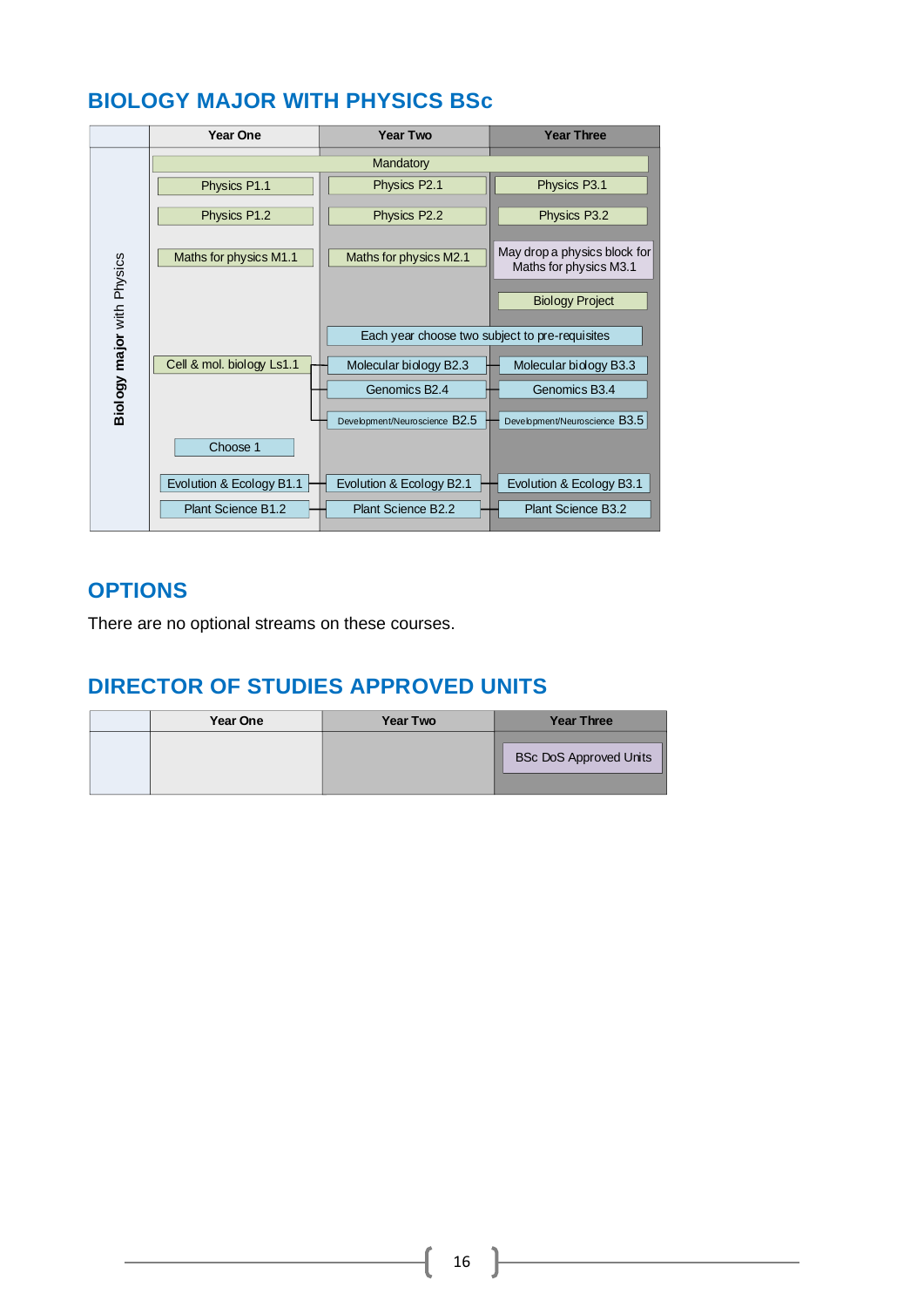## <span id="page-16-0"></span>**BIOLOGY MAJOR WITH PHYSICS BSc**

|                            | <b>Year One</b>           | <b>Year Two</b>                                | <b>Year Three</b>                                      |
|----------------------------|---------------------------|------------------------------------------------|--------------------------------------------------------|
|                            |                           | Mandatory                                      |                                                        |
|                            | Physics P1.1              | Physics P2.1                                   | Physics P3.1                                           |
|                            | Physics P1.2              | Physics P2.2                                   | Physics P3.2                                           |
|                            | Maths for physics M1.1    | Maths for physics M2.1                         | May drop a physics block for<br>Maths for physics M3.1 |
| Biology major with Physics |                           |                                                | <b>Biology Project</b>                                 |
|                            |                           | Each year choose two subject to pre-requisites |                                                        |
|                            | Cell & mol. biology Ls1.1 | Molecular biology B2.3                         | Molecular biology B3.3                                 |
|                            |                           | Genomics B <sub>2.4</sub>                      | Genomics B3.4                                          |
|                            |                           | Development/Neuroscience B2.5                  | Development/Neuroscience B3.5                          |
|                            | Choose 1                  |                                                |                                                        |
|                            | Evolution & Ecology B1.1  | Evolution & Ecology B2.1                       | Evolution & Ecology B3.1                               |
|                            | Plant Science B1.2        | Plant Science B2.2                             | <b>Plant Science B3.2</b>                              |

### **OPTIONS**

There are no optional streams on these courses.

| Year One | <b>Year Two</b> | <b>Year Three</b>             |
|----------|-----------------|-------------------------------|
|          |                 | <b>BSc DoS Approved Units</b> |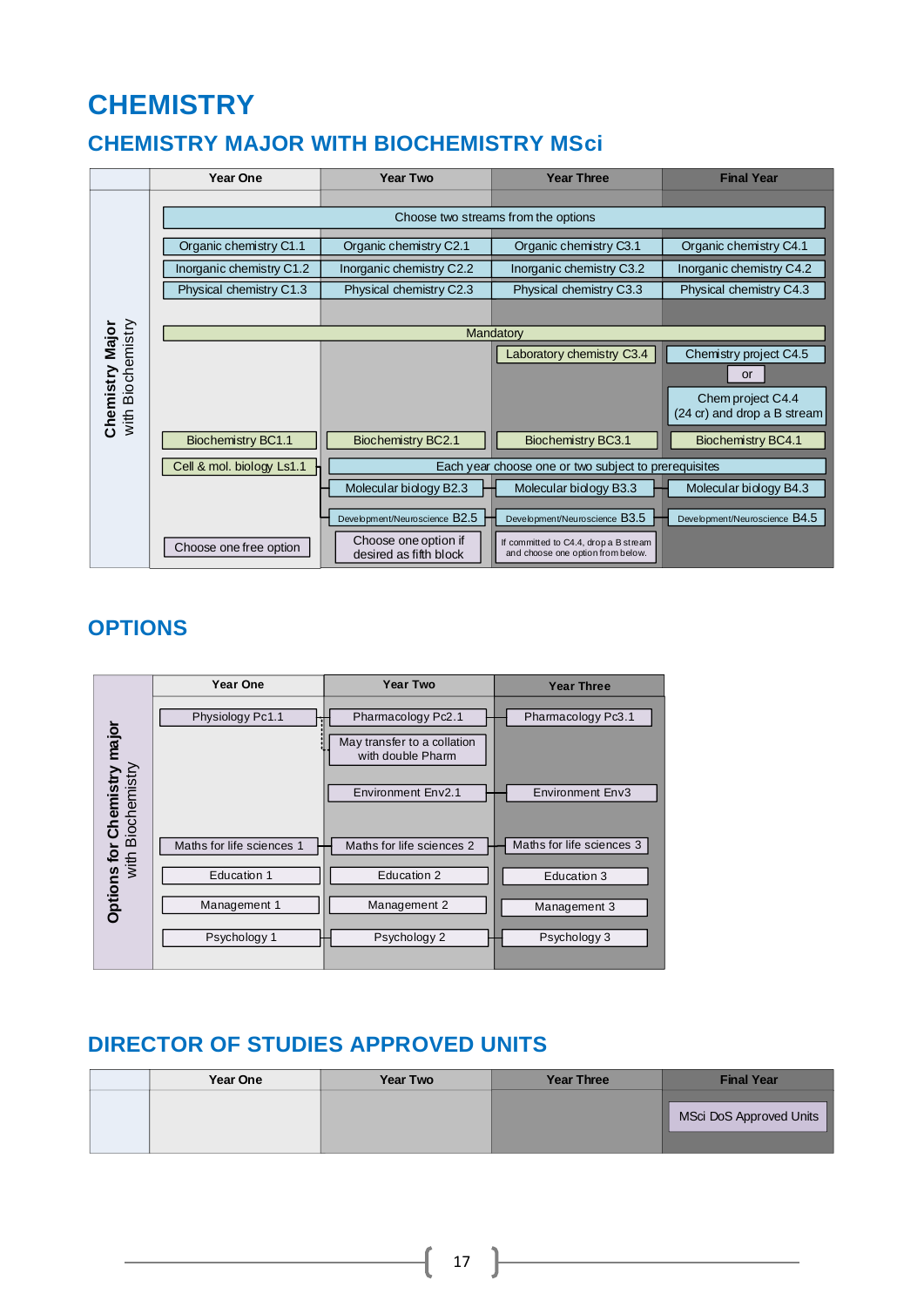# **CHEMISTRY**

### <span id="page-17-0"></span>**CHEMISTRY MAJOR WITH BIOCHEMISTRY MSci**



### **OPTIONS**



| Year One | <b>Year Two</b> | <b>Year Three</b> | <b>Final Year</b>       |
|----------|-----------------|-------------------|-------------------------|
|          |                 |                   | MSci DoS Approved Units |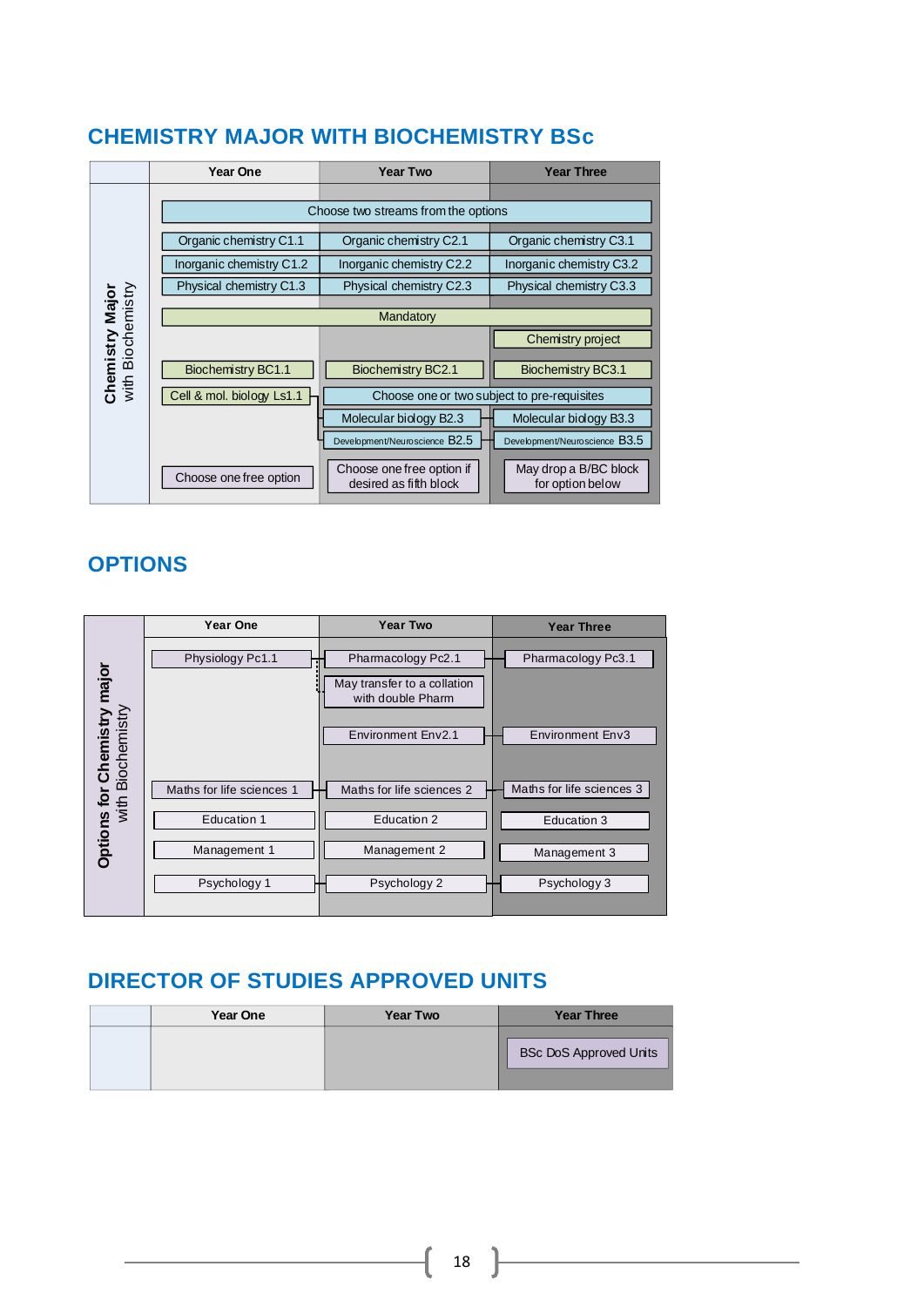#### **Year One Year Two Year Three** Choose two streams from the options Organic chemistry C1.1 Organic chemistry C2.1 Organic chemistry C3.1 Inorganic chemistry C1.2 Inorganic chemistry C2.2 Inorganic chemistry C3.2 Physical chemistry C1.3 Physical chemistry C2.3 Physical chemistry C3.3 Chemistry Major<br>with Biochemistry with Biochemistry **Chemistry Major Mandatory** Chemistry project Biochemistry BC1.1 | Biochemistry BC2.1 | Biochemistry BC3.1 Cell & mol. biology Ls1.1 Choose one or two subject to pre-requisites Molecular biology B2.3 Molecular biology B3.3 Development/Neuroscience B2.5 **Development/Neuroscience B3.5** May drop a B/BC block Choose one free option if Choose one free option desired as fifth block for option below

### <span id="page-18-0"></span>**CHEMISTRY MAJOR WITH BIOCHEMISTRY BSc**

### **OPTIONS**

|                                             | <b>Year One</b>           | <b>Year Two</b>                                                                              | <b>Year Three</b>                             |
|---------------------------------------------|---------------------------|----------------------------------------------------------------------------------------------|-----------------------------------------------|
| is for Chemistry major<br>with Biochemistry | Physiology Pc1.1          | Pharmacology Pc2.1<br>May transfer to a collation<br>with double Pharm<br>Environment Env2.1 | Pharmacology Pc3.1<br><b>Environment Env3</b> |
|                                             | Maths for life sciences 1 | Maths for life sciences 2                                                                    | Maths for life sciences 3                     |
|                                             | Education 1               | Education 2                                                                                  | Education 3                                   |
| <b>Options</b>                              | Management 1              | Management 2                                                                                 | Management 3                                  |
|                                             | Psychology 1              | Psychology 2                                                                                 | Psychology 3                                  |
|                                             |                           |                                                                                              |                                               |

| <b>Year One</b> | <b>Year Two</b> | <b>Year Three</b>             |
|-----------------|-----------------|-------------------------------|
|                 |                 | <b>BSc DoS Approved Units</b> |
|                 |                 |                               |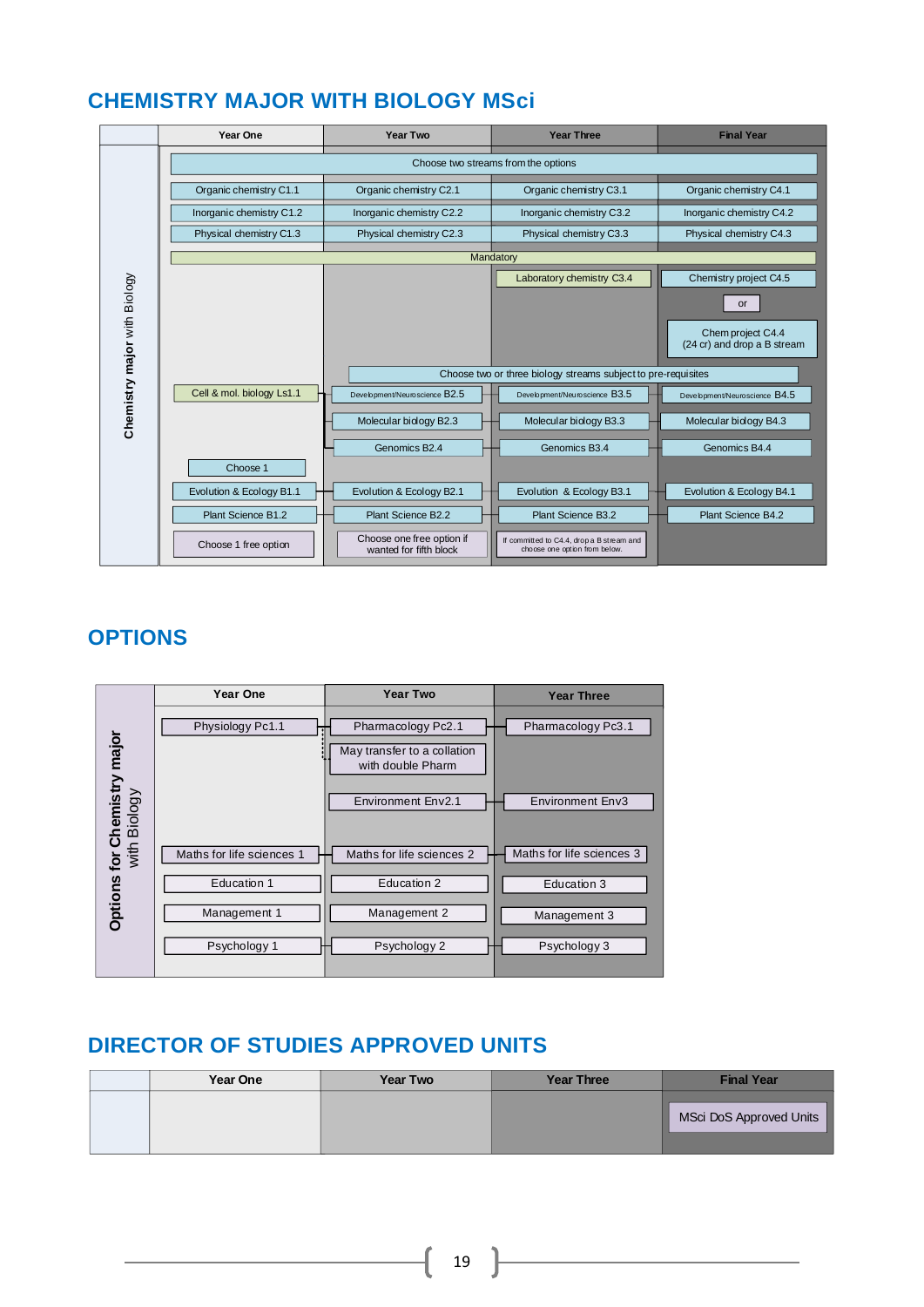### <span id="page-19-0"></span>**CHEMISTRY MAJOR WITH BIOLOGY MSci**

|                              | Year One                            | <b>Year Two</b>                                     | <b>Year Three</b>                                                          | <b>Final Year</b>                                |  |
|------------------------------|-------------------------------------|-----------------------------------------------------|----------------------------------------------------------------------------|--------------------------------------------------|--|
|                              | Choose two streams from the options |                                                     |                                                                            |                                                  |  |
|                              | Organic chemistry C1.1              | Organic chemistry C2.1                              | Organic chemistry C3.1                                                     | Organic chemistry C4.1                           |  |
|                              | Inorganic chemistry C1.2            | Inorganic chemistry C2.2                            | Inorganic chemistry C3.2                                                   | Inorganic chemistry C4.2                         |  |
|                              | Physical chemistry C1.3             | Physical chemistry C2.3                             | Physical chemistry C3.3                                                    | Physical chemistry C4.3                          |  |
|                              |                                     |                                                     | Mandatory                                                                  |                                                  |  |
|                              |                                     |                                                     | Laboratory chemistry C3.4                                                  | Chemistry project C4.5                           |  |
|                              |                                     |                                                     |                                                                            | or                                               |  |
| Chemistry major with Biology |                                     |                                                     |                                                                            | Chem project C4.4<br>(24 cr) and drop a B stream |  |
|                              |                                     |                                                     | Choose two or three biology streams subject to pre-requisites              |                                                  |  |
|                              | Cell & mol. biology Ls1.1           | Development/Neuroscience B2.5                       | Development/Neuroscience B3.5                                              | Development/Neuroscience B4.5                    |  |
|                              |                                     | Molecular biology B2.3                              | Molecular biology B3.3                                                     | Molecular biology B4.3                           |  |
|                              | Choose 1                            | Genomics B2.4                                       | Genomics B <sub>3.4</sub>                                                  | Genomics B4.4                                    |  |
|                              | Evolution & Ecology B1.1            | Evolution & Ecology B2.1                            | Evolution & Ecology B3.1                                                   | Evolution & Ecology B4.1                         |  |
|                              | Plant Science B1.2                  | Plant Science B2.2                                  | Plant Science B3.2                                                         | Plant Science B4.2                               |  |
|                              | Choose 1 free option                | Choose one free option if<br>wanted for fifth block | If committed to C4.4, drop a B stream and<br>choose one option from below. |                                                  |  |

### **OPTIONS**

|                                             | <b>Year One</b>           | <b>Year Two</b>                                  | <b>Year Three</b>         |
|---------------------------------------------|---------------------------|--------------------------------------------------|---------------------------|
|                                             | Physiology Pc1.1          | Pharmacology Pc2.1                               | Pharmacology Pc3.1        |
| Options for Chemistry major<br>with Biology |                           | May transfer to a collation<br>with double Pharm |                           |
|                                             |                           | Environment Env2.1                               | <b>Environment Env3</b>   |
|                                             | Maths for life sciences 1 | Maths for life sciences 2                        | Maths for life sciences 3 |
|                                             | Education 1               | Education 2                                      | Education 3               |
|                                             | Management 1              | Management 2                                     | Management 3              |
|                                             | Psychology 1              | Psychology 2                                     | Psychology 3              |
|                                             |                           |                                                  |                           |

### **DIRECTOR OF STUDIES APPROVED UNITS**

| Year One | <b>Year Two</b> | <b>Year Three</b> | <b>Final Year</b>       |
|----------|-----------------|-------------------|-------------------------|
|          |                 |                   | MSci DoS Approved Units |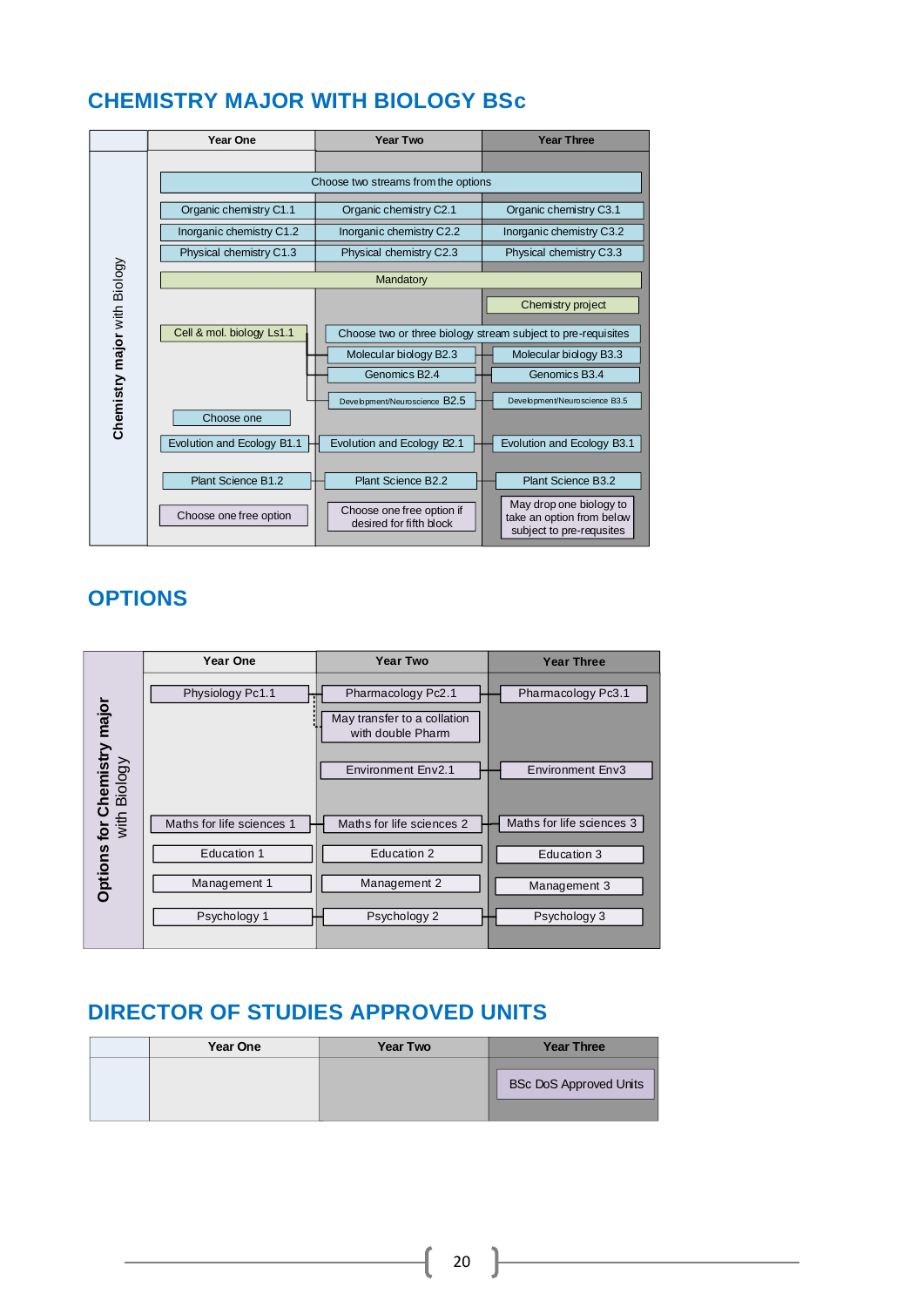### <span id="page-20-0"></span>**CHEMISTRY MAJOR WITH BIOLOGY BSc**

|                              | Year One                            | <b>Year Two</b>                                      | <b>Year Three</b>                                                                |  |  |
|------------------------------|-------------------------------------|------------------------------------------------------|----------------------------------------------------------------------------------|--|--|
|                              |                                     |                                                      |                                                                                  |  |  |
|                              | Choose two streams from the options |                                                      |                                                                                  |  |  |
|                              | Organic chemistry C1.1              | Organic chemistry C2.1                               | Organic chemistry C3.1                                                           |  |  |
|                              | Inorganic chemistry C1.2            | Inorganic chemistry C2.2                             | Inorganic chemistry C3.2                                                         |  |  |
|                              | Physical chemistry C1.3             | Physical chemistry C2.3                              | Physical chemistry C3.3                                                          |  |  |
|                              |                                     | Mandatory                                            |                                                                                  |  |  |
|                              |                                     |                                                      | Chemistry project                                                                |  |  |
|                              | Cell & mol. biology Ls1.1           |                                                      | Choose two or three biology stream subject to pre-requisites                     |  |  |
|                              |                                     | Molecular biology B2.3                               | Molecular biology B3.3                                                           |  |  |
|                              |                                     | Genomics B <sub>2.4</sub>                            | Genomics B <sub>3.4</sub>                                                        |  |  |
| Chemistry major with Biology | Choose one                          | Development/Neuroscience B2.5                        | Development/Neuroscience B3.5                                                    |  |  |
|                              | Evolution and Ecology B1.1          | Evolution and Ecology B2.1                           | Evolution and Ecology B3.1                                                       |  |  |
|                              | Plant Science B1.2                  | Plant Science B2.2                                   | Plant Science B3.2                                                               |  |  |
|                              | Choose one free option              | Choose one free option if<br>desired for fifth block | May drop one biology to<br>take an option from below<br>subject to pre-requsites |  |  |

### **OPTIONS**



|  | Year One | <b>Year Two</b> | <b>Year Three</b>             |
|--|----------|-----------------|-------------------------------|
|  |          |                 | <b>BSc DoS Approved Units</b> |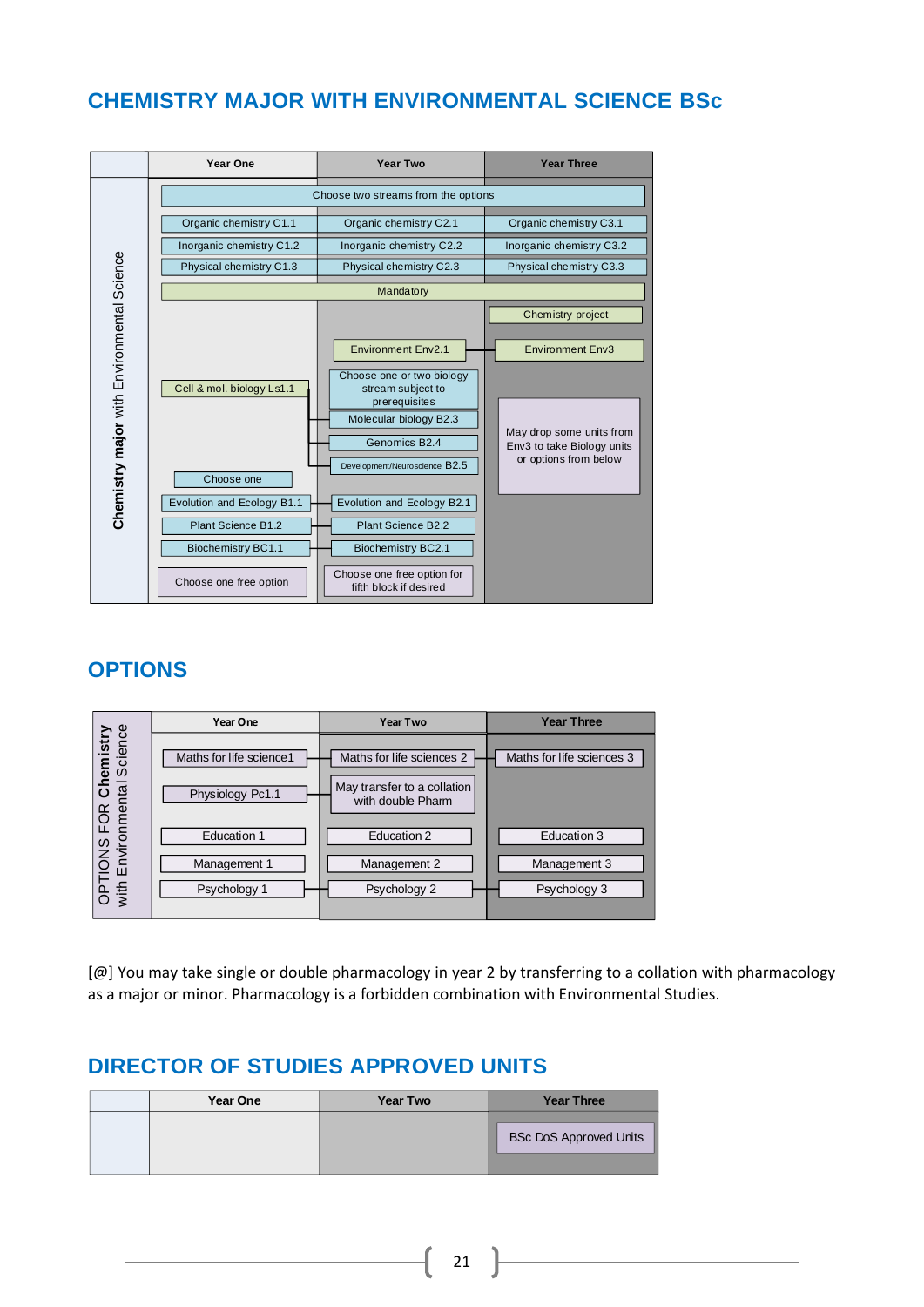### <span id="page-21-0"></span>**CHEMISTRY MAJOR WITH ENVIRONMENTAL SCIENCE BSc**



### **OPTIONS**

|                                      | Year One                 | Year Two                                                 | <b>Year Three</b>         |
|--------------------------------------|--------------------------|----------------------------------------------------------|---------------------------|
| Chemistry<br>tal Science             | Maths for life science 1 | Maths for life sciences 2<br>May transfer to a collation | Maths for life sciences 3 |
| OPTIONS FOR Ch<br>with Environmental | Physiology Pc1.1         | with double Pharm                                        |                           |
|                                      | <b>Education 1</b>       | Education 2                                              | Education 3               |
|                                      | Management 1             | Management 2                                             | Management 3              |
|                                      | Psychology 1             | Psychology 2                                             | Psychology 3              |

[@] You may take single or double pharmacology in year 2 by transferring to a collation with pharmacology as a major or minor. Pharmacology is a forbidden combination with Environmental Studies.

21

| <b>Year One</b> | <b>Year Two</b> | <b>Year Three</b>             |
|-----------------|-----------------|-------------------------------|
|                 |                 | <b>BSc DoS Approved Units</b> |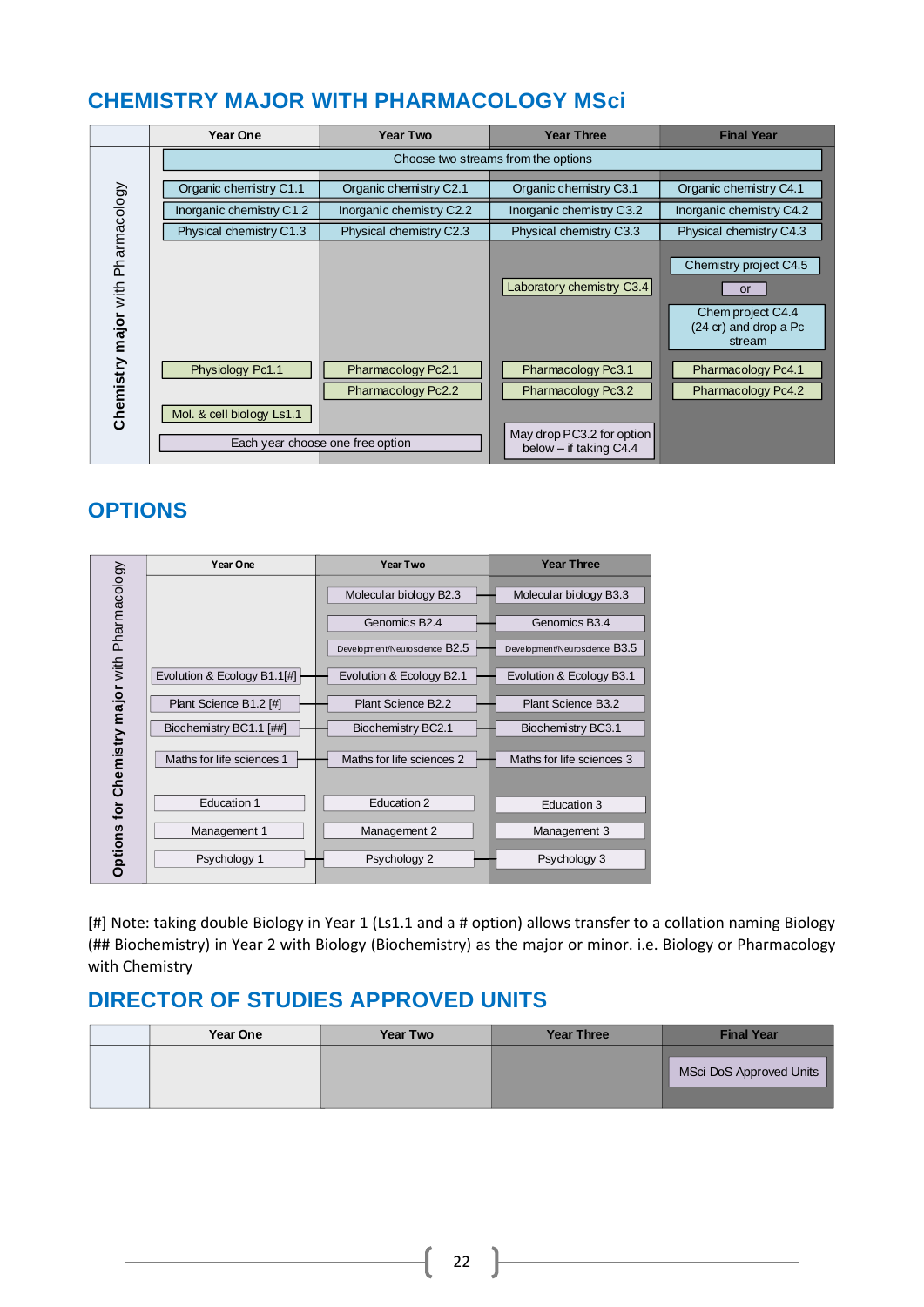### <span id="page-22-0"></span>**CHEMISTRY MAJOR WITH PHARMACOLOGY MSci**

|                                   | <b>Year One</b>                     | <b>Year Two</b>                                        | <b>Year Three</b>                                                           | <b>Final Year</b>                                                                           |
|-----------------------------------|-------------------------------------|--------------------------------------------------------|-----------------------------------------------------------------------------|---------------------------------------------------------------------------------------------|
|                                   | Choose two streams from the options |                                                        |                                                                             |                                                                                             |
|                                   | Organic chemistry C1.1              | Organic chemistry C2.1                                 | Organic chemistry C3.1                                                      | Organic chemistry C4.1                                                                      |
|                                   | Inorganic chemistry C1.2            | Inorganic chemistry C2.2                               | Inorganic chemistry C3.2                                                    | Inorganic chemistry C4.2                                                                    |
|                                   | Physical chemistry C1.3             | Physical chemistry C2.3                                | Physical chemistry C3.3                                                     | Physical chemistry C4.3                                                                     |
| Chemistry major with Pharmacology |                                     |                                                        | Laboratory chemistry C3.4                                                   | Chemistry project C4.5<br><b>or</b><br>Chem project C4.4<br>(24 cr) and drop a Pc<br>stream |
|                                   | Physiology Pc1.1                    | Pharmacology Pc2.1                                     | Pharmacology Pc3.1                                                          | Pharmacology Pc4.1                                                                          |
|                                   | Mol. & cell biology Ls1.1           | Pharmacology Pc2.2<br>Each year choose one free option | Pharmacology Pc3.2<br>May drop PC3.2 for option<br>below $-$ if taking C4.4 | Pharmacology Pc4.2                                                                          |

### **OPTIONS**

|                                   | Year One                    | <b>Year Two</b>               | <b>Year Three</b>             |
|-----------------------------------|-----------------------------|-------------------------------|-------------------------------|
| Chemistry major with Pharmacology |                             | Molecular biology B2.3        | Molecular biology B3.3        |
|                                   |                             | Genomics B <sub>2.4</sub>     | Genomics B <sub>3.4</sub>     |
|                                   |                             | Development/Neuroscience B2.5 | Development/Neuroscience B3.5 |
|                                   | Evolution & Ecology B1.1[#] | Evolution & Ecology B2.1      | Evolution & Ecology B3.1      |
|                                   | Plant Science B1.2 [#]      | Plant Science B2.2            | Plant Science B3.2            |
|                                   | Biochemistry BC1.1 [##]     | Biochemistry BC2.1            | Biochemistry BC3.1            |
|                                   | Maths for life sciences 1   | Maths for life sciences 2     | Maths for life sciences 3     |
|                                   |                             |                               |                               |
| for                               | Education 1                 | Education 2                   | Education 3                   |
|                                   | Management 1                | Management 2                  | Management 3                  |
| Options                           | Psychology 1                | Psychology 2                  | Psychology 3                  |

[#] Note: taking double Biology in Year 1 (Ls1.1 and a # option) allows transfer to a collation naming Biology (## Biochemistry) in Year 2 with Biology (Biochemistry) as the major or minor. i.e. Biology or Pharmacology with Chemistry

<span id="page-22-1"></span>

| Year One | <b>Year Two</b> | <b>Year Three</b> | <b>Final Year</b>       |
|----------|-----------------|-------------------|-------------------------|
|          |                 |                   | MSci DoS Approved Units |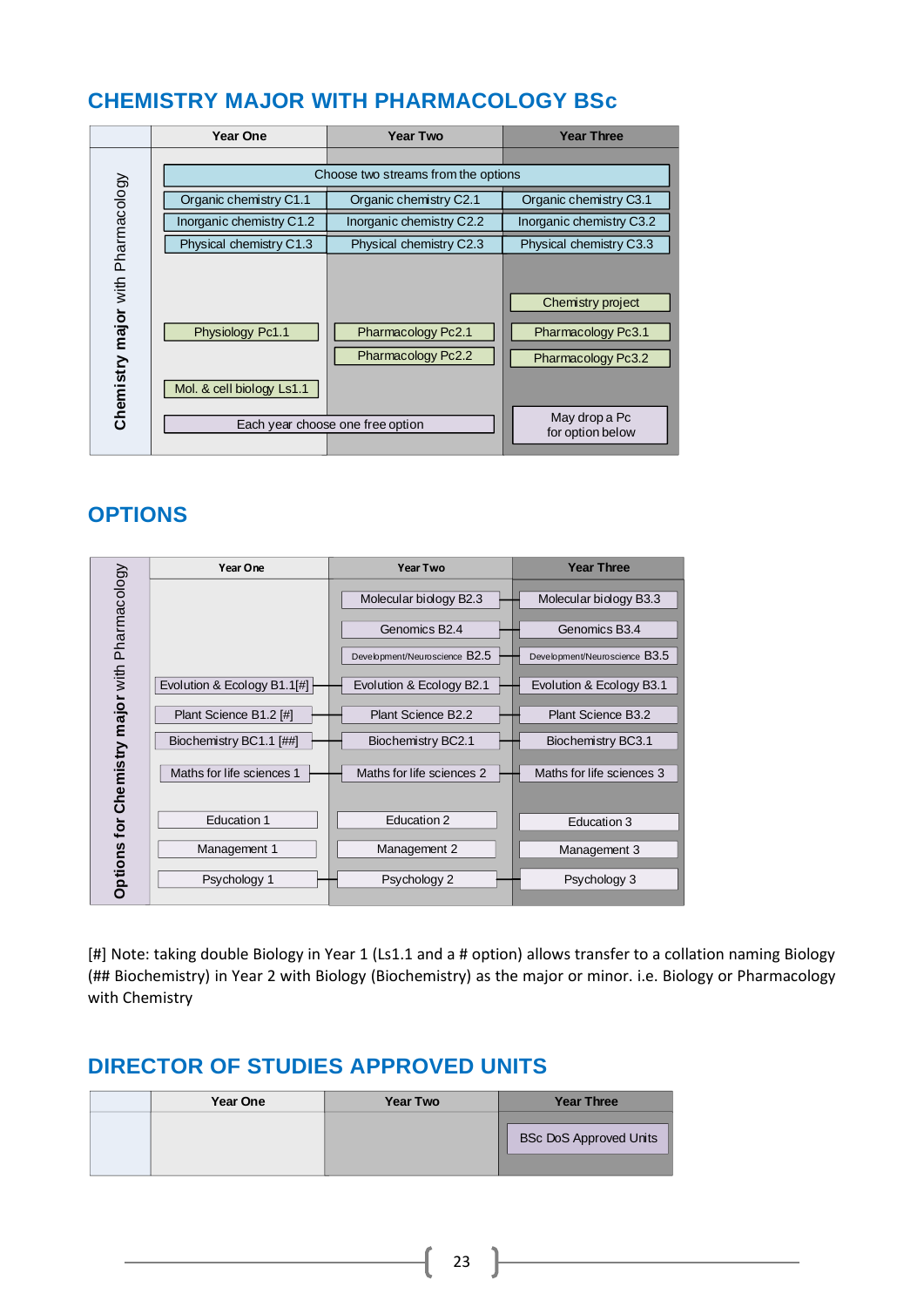### **CHEMISTRY MAJOR WITH PHARMACOLOGY BSc**

|                                   | Year One                                      | <b>Year Two</b>                                                              | <b>Year Three</b>                                                                                  |
|-----------------------------------|-----------------------------------------------|------------------------------------------------------------------------------|----------------------------------------------------------------------------------------------------|
|                                   |                                               | Choose two streams from the options                                          |                                                                                                    |
|                                   | Organic chemistry C1.1                        | Organic chemistry C2.1                                                       | Organic chemistry C3.1                                                                             |
|                                   | Inorganic chemistry C1.2                      | Inorganic chemistry C2.2                                                     | Inorganic chemistry C3.2                                                                           |
|                                   | Physical chemistry C1.3                       | Physical chemistry C2.3                                                      | Physical chemistry C3.3                                                                            |
| Chemistry major with Pharmacology | Physiology Pc1.1<br>Mol. & cell biology Ls1.1 | Pharmacology Pc2.1<br>Pharmacology Pc2.2<br>Each year choose one free option | Chemistry project<br>Pharmacology Pc3.1<br>Pharmacology Pc3.2<br>May drop a Pc<br>for option below |

### **OPTIONS**

|                                       | Year One                    | <b>Year Two</b>               | <b>Year Three</b>             |
|---------------------------------------|-----------------------------|-------------------------------|-------------------------------|
| for Chemistry major with Pharmacology |                             | Molecular biology B2.3        | Molecular biology B3.3        |
|                                       |                             | Genomics B <sub>2.4</sub>     | Genomics B3.4                 |
|                                       |                             | Development/Neuroscience B2.5 | Development/Neuroscience B3.5 |
|                                       | Evolution & Ecology B1.1[#] | Evolution & Ecology B2.1      | Evolution & Ecology B3.1      |
|                                       | Plant Science B1.2 [#]      | Plant Science B2.2            | Plant Science B3.2            |
|                                       | Biochemistry BC1.1 [##]     | Biochemistry BC2.1            | Biochemistry BC3.1            |
|                                       | Maths for life sciences 1   | Maths for life sciences 2     | Maths for life sciences 3     |
|                                       |                             |                               |                               |
|                                       | <b>Education 1</b>          | Education 2                   | Education 3                   |
|                                       | Management 1                | Management 2                  | Management 3                  |
| <b>Options</b>                        | Psychology 1                | Psychology 2                  | Psychology 3                  |

[#] Note: taking double Biology in Year 1 (Ls1.1 and a # option) allows transfer to a collation naming Biology (## Biochemistry) in Year 2 with Biology (Biochemistry) as the major or minor. i.e. Biology or Pharmacology with Chemistry

| <b>Year One</b> | <b>Year Two</b> | <b>Year Three</b>             |
|-----------------|-----------------|-------------------------------|
|                 |                 | <b>BSc DoS Approved Units</b> |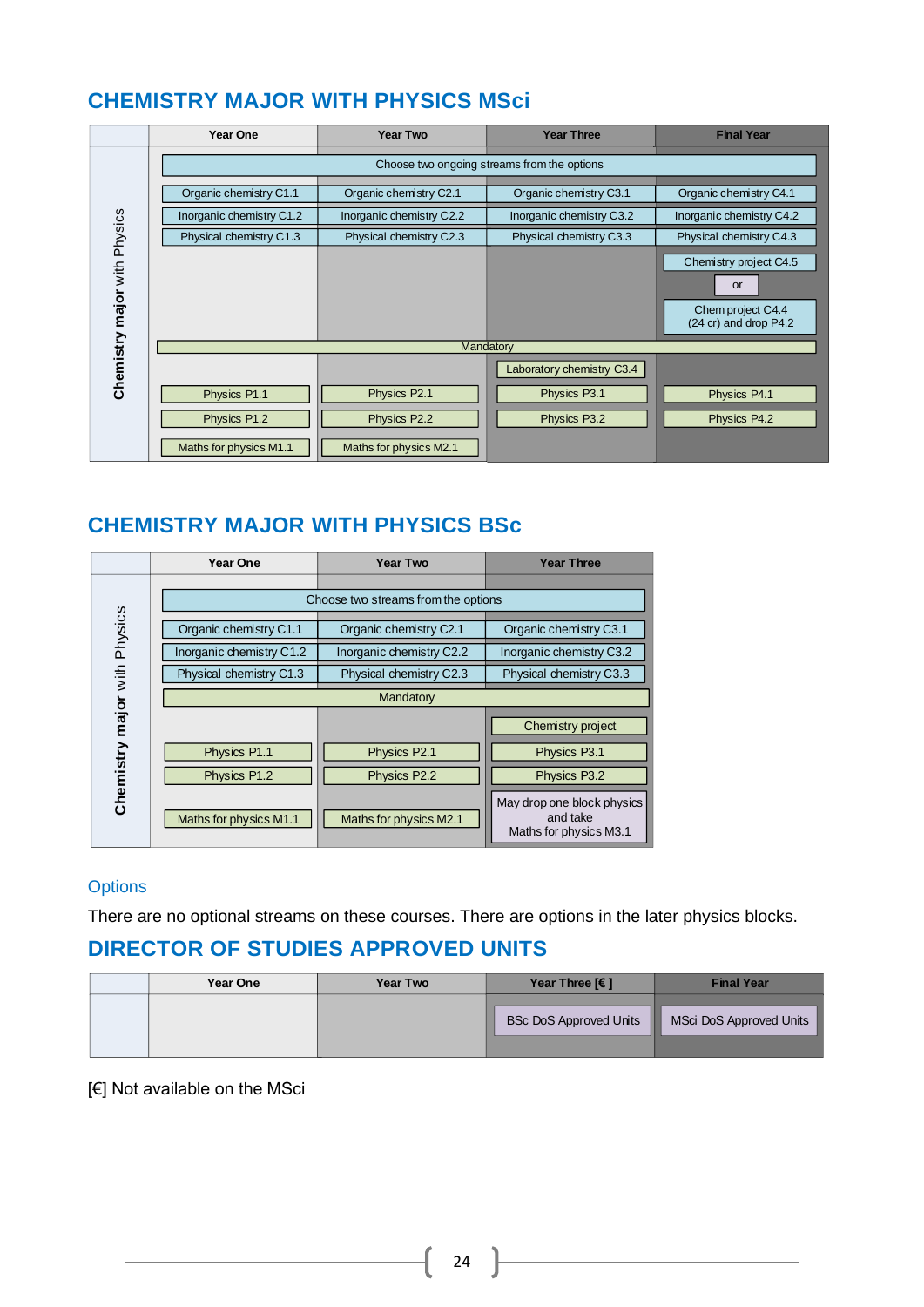### <span id="page-24-0"></span>**CHEMISTRY MAJOR WITH PHYSICS MSci**

|                              | <b>Year One</b>                             | <b>Year Two</b>          | <b>Year Three</b>         | <b>Final Year</b>                                    |  |
|------------------------------|---------------------------------------------|--------------------------|---------------------------|------------------------------------------------------|--|
|                              | Choose two ongoing streams from the options |                          |                           |                                                      |  |
|                              | Organic chemistry C1.1                      | Organic chemistry C2.1   | Organic chemistry C3.1    | Organic chemistry C4.1                               |  |
|                              | Inorganic chemistry C1.2                    | Inorganic chemistry C2.2 | Inorganic chemistry C3.2  | Inorganic chemistry C4.2                             |  |
|                              | Physical chemistry C1.3                     | Physical chemistry C2.3  | Physical chemistry C3.3   | Physical chemistry C4.3                              |  |
|                              |                                             |                          |                           | Chemistry project C4.5                               |  |
|                              |                                             |                          |                           | <b>or</b>                                            |  |
| Chemistry major with Physics |                                             |                          |                           | Chem project C4.4<br>$(24 \text{ cr})$ and drop P4.2 |  |
|                              |                                             | Mandatory                |                           |                                                      |  |
|                              |                                             |                          | Laboratory chemistry C3.4 |                                                      |  |
|                              | Physics P1.1                                | Physics P2.1             | Physics P3.1              | Physics P4.1                                         |  |
|                              | Physics P1.2                                | Physics P2.2             | Physics P3.2              | Physics P4.2                                         |  |
|                              | Maths for physics M1.1                      | Maths for physics M2.1   |                           |                                                      |  |

### <span id="page-24-1"></span>**CHEMISTRY MAJOR WITH PHYSICS BSc**

|                              | <b>Year One</b>          | <b>Year Two</b>                     | <b>Year Three</b>                                                |
|------------------------------|--------------------------|-------------------------------------|------------------------------------------------------------------|
|                              |                          |                                     |                                                                  |
|                              |                          | Choose two streams from the options |                                                                  |
|                              | Organic chemistry C1.1   | Organic chemistry C2.1              | Organic chemistry C3.1                                           |
|                              | Inorganic chemistry C1.2 | Inorganic chemistry C2.2            | Inorganic chemistry C3.2                                         |
|                              | Physical chemistry C1.3  | Physical chemistry C2.3             | Physical chemistry C3.3                                          |
|                              |                          | Mandatory                           |                                                                  |
| Chemistry major with Physics |                          |                                     | Chemistry project                                                |
|                              | Physics P1.1             | Physics P2.1                        | Physics P3.1                                                     |
|                              | Physics P1.2             | Physics P2.2                        | Physics P3.2                                                     |
|                              | Maths for physics M1.1   | Maths for physics M2.1              | May drop one block physics<br>and take<br>Maths for physics M3.1 |

### **Options**

There are no optional streams on these courses. There are options in the later physics blocks.

### **DIRECTOR OF STUDIES APPROVED UNITS**

| <b>Year One</b> | Year Two | Year Three $F$ 1              | <b>Final Year</b>       |
|-----------------|----------|-------------------------------|-------------------------|
|                 |          | NB.<br>BSc DoS Approved Units | MSci DoS Approved Units |

[€] Not available on the MSci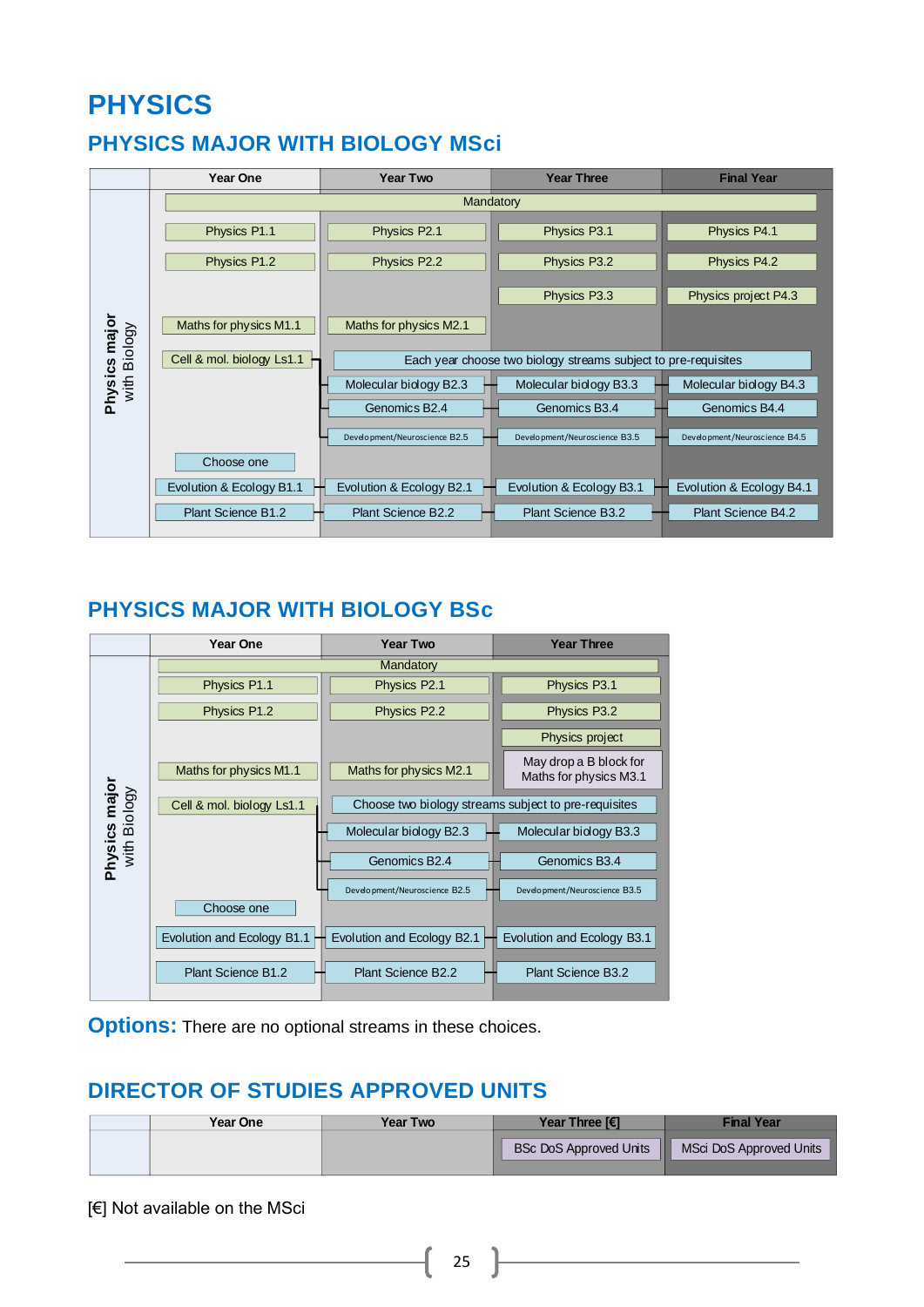# **PHYSICS**

## <span id="page-25-0"></span>**PHYSICS MAJOR WITH BIOLOGY MSci**

<span id="page-25-1"></span>

|               | Year One                  | <b>Year Two</b>               | <b>Year Three</b>                                              | <b>Final Year</b>             |
|---------------|---------------------------|-------------------------------|----------------------------------------------------------------|-------------------------------|
|               |                           |                               | Mandatory                                                      |                               |
|               | Physics P1.1              | Physics P2.1                  | Physics P3.1                                                   | Physics P4.1                  |
|               | Physics P1.2              | Physics P2.2                  | Physics P3.2                                                   | Physics P4.2                  |
|               |                           |                               | Physics P3.3                                                   | Physics project P4.3          |
| Physics major | Maths for physics M1.1    | Maths for physics M2.1        |                                                                |                               |
| with Biology  | Cell & mol. biology Ls1.1 |                               | Each year choose two biology streams subject to pre-requisites |                               |
|               |                           | Molecular biology B2.3        | Molecular biology B3.3                                         | Molecular biology B4.3        |
|               |                           | Genomics B <sub>2.4</sub>     | Genomics B3.4                                                  | Genomics B4.4                 |
|               |                           | Development/Neuroscience B2.5 | Development/Neuroscience B3.5                                  | Development/Neuroscience B4.5 |
|               | Choose one                |                               |                                                                |                               |
|               | Evolution & Ecology B1.1  | Evolution & Ecology B2.1      | Evolution & Ecology B3.1                                       | Evolution & Ecology B4.1      |
|               | Plant Science B1.2        | Plant Science B2.2            | Plant Science B3.2                                             | Plant Science B4.2            |

### **PHYSICS MAJOR WITH BIOLOGY BSc**



**Options:** There are no optional streams in these choices.

### **DIRECTOR OF STUDIES APPROVED UNITS**

| <b>Year One</b> | Year Two | Year Three [€]                | Final Year              |
|-----------------|----------|-------------------------------|-------------------------|
|                 |          | <b>BSc DoS Approved Units</b> | MSci DoS Approved Units |

[€] Not available on the MSci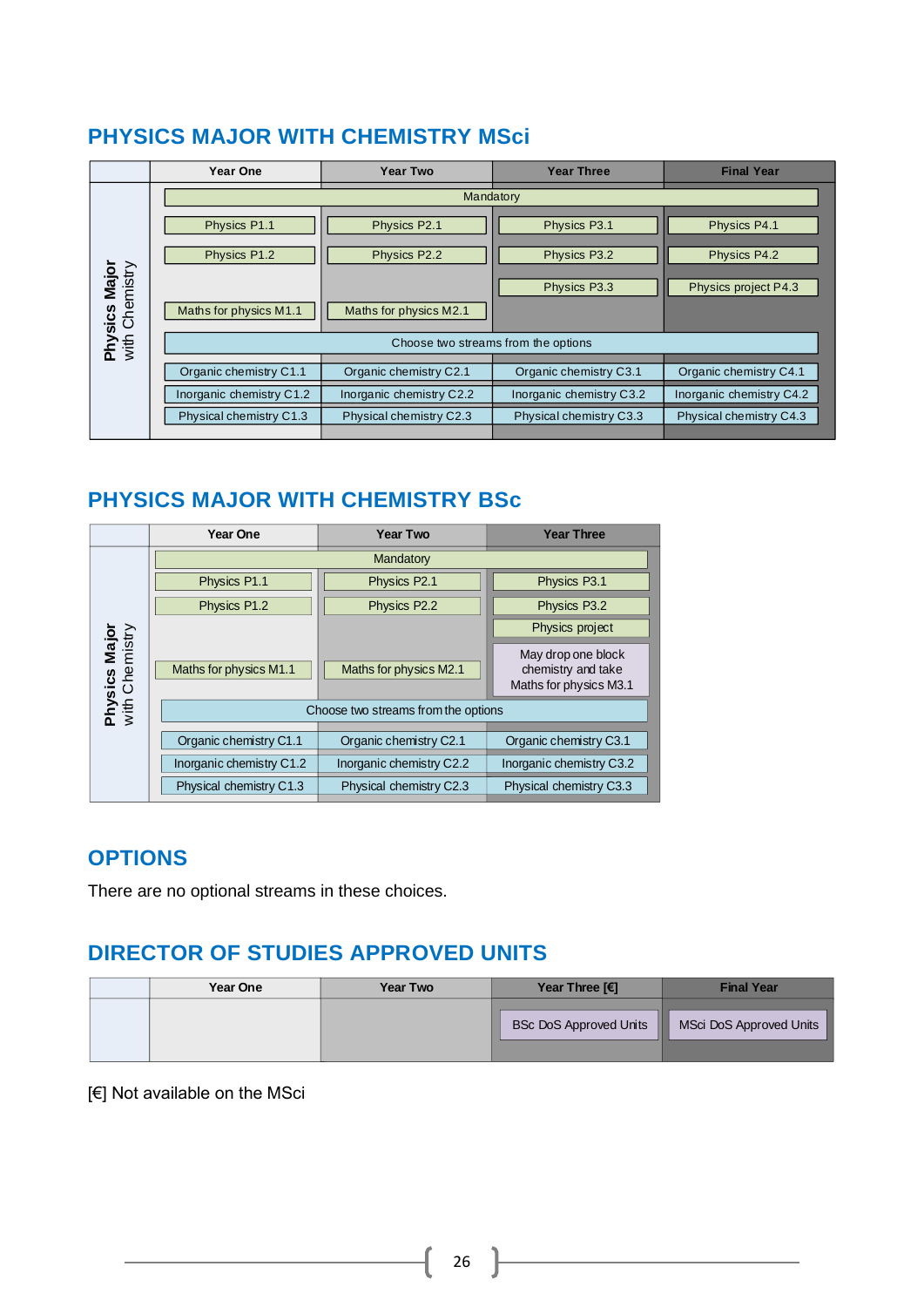### <span id="page-26-0"></span>**PHYSICS MAJOR WITH CHEMISTRY MSci**

|                                        | Year One                            | Year Two                 | <b>Year Three</b>        | <b>Final Year</b>        |  |  |
|----------------------------------------|-------------------------------------|--------------------------|--------------------------|--------------------------|--|--|
|                                        |                                     | Mandatory                |                          |                          |  |  |
|                                        | Physics P1.1                        | Physics P2.1             | Physics P3.1             | Physics P4.1             |  |  |
|                                        | Physics P1.2                        | Physics P2.2             | Physics P3.2             | Physics P4.2             |  |  |
|                                        |                                     |                          | Physics P3.3             | Physics project P4.3     |  |  |
| <b>Physics Major</b><br>with Chemistry | Maths for physics M1.1              | Maths for physics M2.1   |                          |                          |  |  |
|                                        | Choose two streams from the options |                          |                          |                          |  |  |
|                                        | Organic chemistry C1.1              | Organic chemistry C2.1   | Organic chemistry C3.1   | Organic chemistry C4.1   |  |  |
|                                        |                                     |                          |                          |                          |  |  |
|                                        | Inorganic chemistry C1.2            | Inorganic chemistry C2.2 | Inorganic chemistry C3.2 | Inorganic chemistry C4.2 |  |  |
|                                        | Physical chemistry C1.3             | Physical chemistry C2.3  | Physical chemistry C3.3  | Physical chemistry C4.3  |  |  |
|                                        |                                     |                          |                          |                          |  |  |

### <span id="page-26-1"></span>**PHYSICS MAJOR WITH CHEMISTRY BSc**

|                                 | Year One                            | <b>Year Two</b>          | <b>Year Three</b>                                                  |
|---------------------------------|-------------------------------------|--------------------------|--------------------------------------------------------------------|
|                                 |                                     | Mandatory                |                                                                    |
|                                 | Physics P1.1                        | Physics P2.1             | Physics P3.1                                                       |
|                                 | Physics P1.2                        | Physics P2.2             | Physics P3.2                                                       |
|                                 |                                     |                          | Physics project                                                    |
| Physics Major<br>with Chemistry | Maths for physics M1.1              | Maths for physics M2.1   | May drop one block<br>chemistry and take<br>Maths for physics M3.1 |
|                                 | Choose two streams from the options |                          |                                                                    |
|                                 | Organic chemistry C1.1              | Organic chemistry C2.1   | Organic chemistry C3.1                                             |
|                                 | Inorganic chemistry C1.2            | Inorganic chemistry C2.2 | Inorganic chemistry C3.2                                           |
|                                 | Physical chemistry C1.3             | Physical chemistry C2.3  | Physical chemistry C3.3                                            |

### **OPTIONS**

There are no optional streams in these choices.

### **DIRECTOR OF STUDIES APPROVED UNITS**

| <b>Year One</b> | <b>Year Two</b> | Year Three $F$                     | <b>Final Year</b>       |
|-----------------|-----------------|------------------------------------|-------------------------|
|                 |                 | <b>BSc DoS Approved Units</b><br>ш | MSci DoS Approved Units |

[€] Not available on the MSci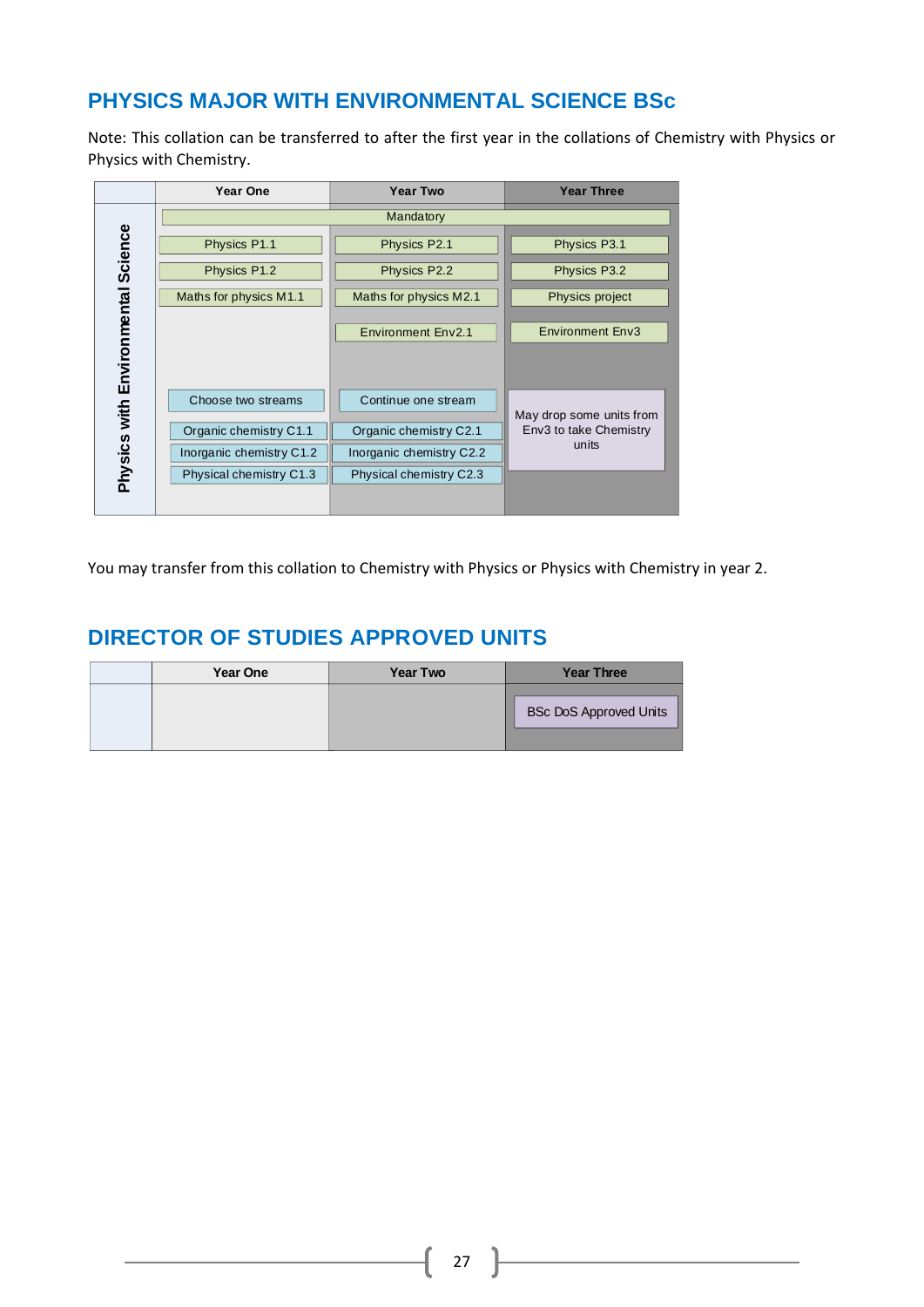### <span id="page-27-0"></span>**PHYSICS MAJOR WITH ENVIRONMENTAL SCIENCE BSc**

Note: This collation can be transferred to after the first year in the collations of Chemistry with Physics or Physics with Chemistry.

|                                    | Year One                 | <b>Year Two</b>           | <b>Year Three</b>        |
|------------------------------------|--------------------------|---------------------------|--------------------------|
|                                    |                          | Mandatory                 |                          |
|                                    | Physics P1.1             | Physics P2.1              | Physics P3.1             |
|                                    | Physics P1.2             | Physics P2.2              | Physics P3.2             |
|                                    | Maths for physics M1.1   | Maths for physics M2.1    | Physics project          |
|                                    |                          | <b>Environment Env2.1</b> | <b>Environment Env3</b>  |
| Physics with Environmental Science |                          |                           |                          |
|                                    | Choose two streams       | Continue one stream       | May drop some units from |
|                                    | Organic chemistry C1.1   | Organic chemistry C2.1    | Env3 to take Chemistry   |
|                                    | Inorganic chemistry C1.2 | Inorganic chemistry C2.2  | units                    |
|                                    | Physical chemistry C1.3  | Physical chemistry C2.3   |                          |
|                                    |                          |                           |                          |

You may transfer from this collation to Chemistry with Physics or Physics with Chemistry in year 2.

| Year One | <b>Year Two</b> | <b>Year Three</b>             |
|----------|-----------------|-------------------------------|
|          |                 | <b>BSc DoS Approved Units</b> |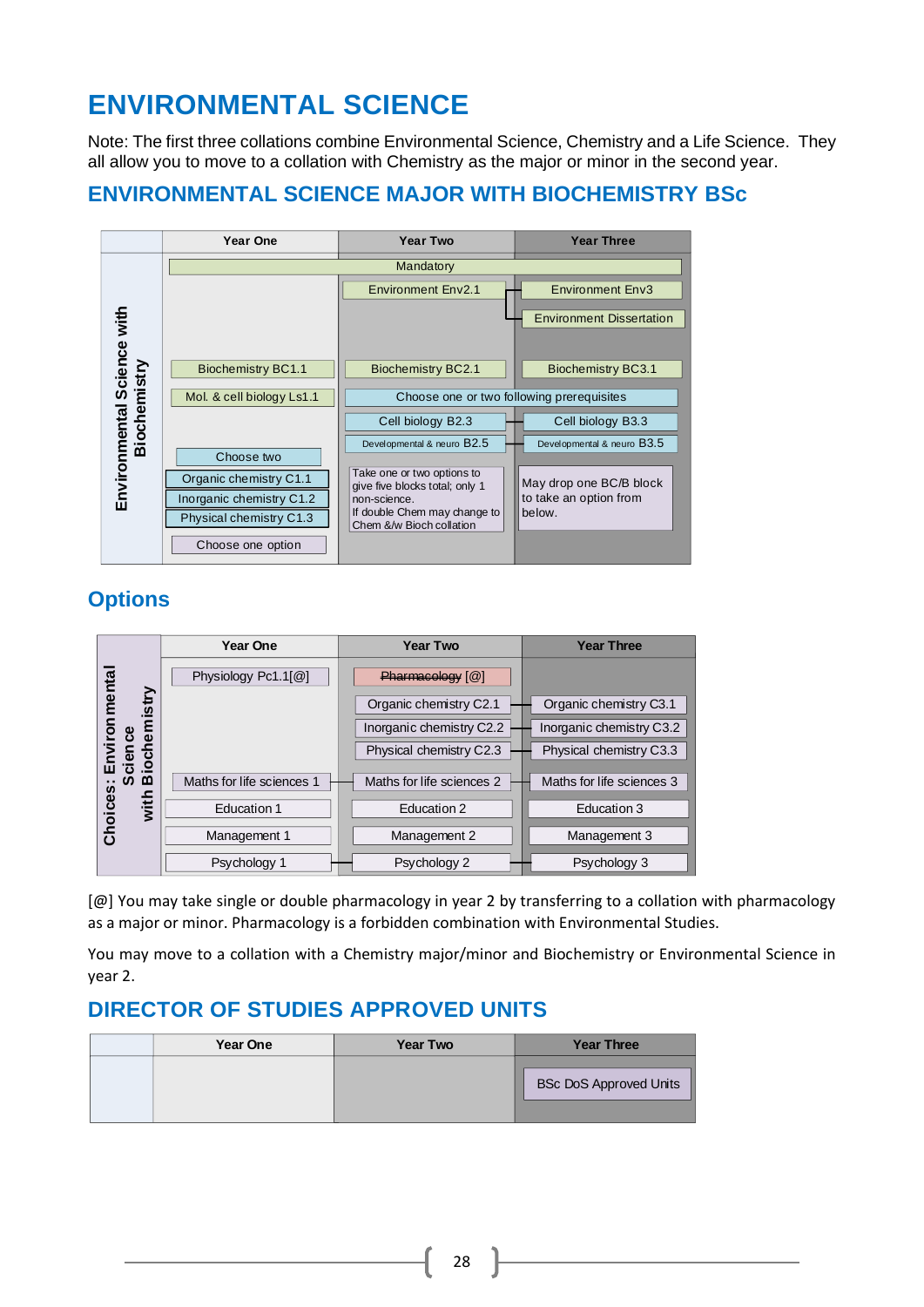# **ENVIRONMENTAL SCIENCE**

Note: The first three collations combine Environmental Science, Chemistry and a Life Science. They all allow you to move to a collation with Chemistry as the major or minor in the second year.

### <span id="page-28-0"></span>**ENVIRONMENTAL SCIENCE MAJOR WITH BIOCHEMISTRY BSc**



### **Options**

|                       | <b>Year One</b>           | <b>Year Two</b>           | <b>Year Three</b>         |
|-----------------------|---------------------------|---------------------------|---------------------------|
|                       | Physiology Pc1.1[@]       | Pharmaeology [@]          |                           |
| Environmenta<br>istry |                           | Organic chemistry C2.1    | Organic chemistry C3.1    |
|                       |                           | Inorganic chemistry C2.2  | Inorganic chemistry C3.2  |
| cience<br>ioch        |                           | Physical chemistry C2.3   | Physical chemistry C3.3   |
| മ                     | Maths for life sciences 1 | Maths for life sciences 2 | Maths for life sciences 3 |
| Choices<br>with       | Education 1               | Education 2               | Education 3               |
|                       | Management 1              | Management 2              | Management 3              |
|                       | Psychology 1              | Psychology 2              | Psychology 3              |

[@] You may take single or double pharmacology in year 2 by transferring to a collation with pharmacology as a major or minor. Pharmacology is a forbidden combination with Environmental Studies.

You may move to a collation with a Chemistry major/minor and Biochemistry or Environmental Science in year 2.

| Year One | <b>Year Two</b> | <b>Year Three</b>      |
|----------|-----------------|------------------------|
|          |                 | BSc DoS Approved Units |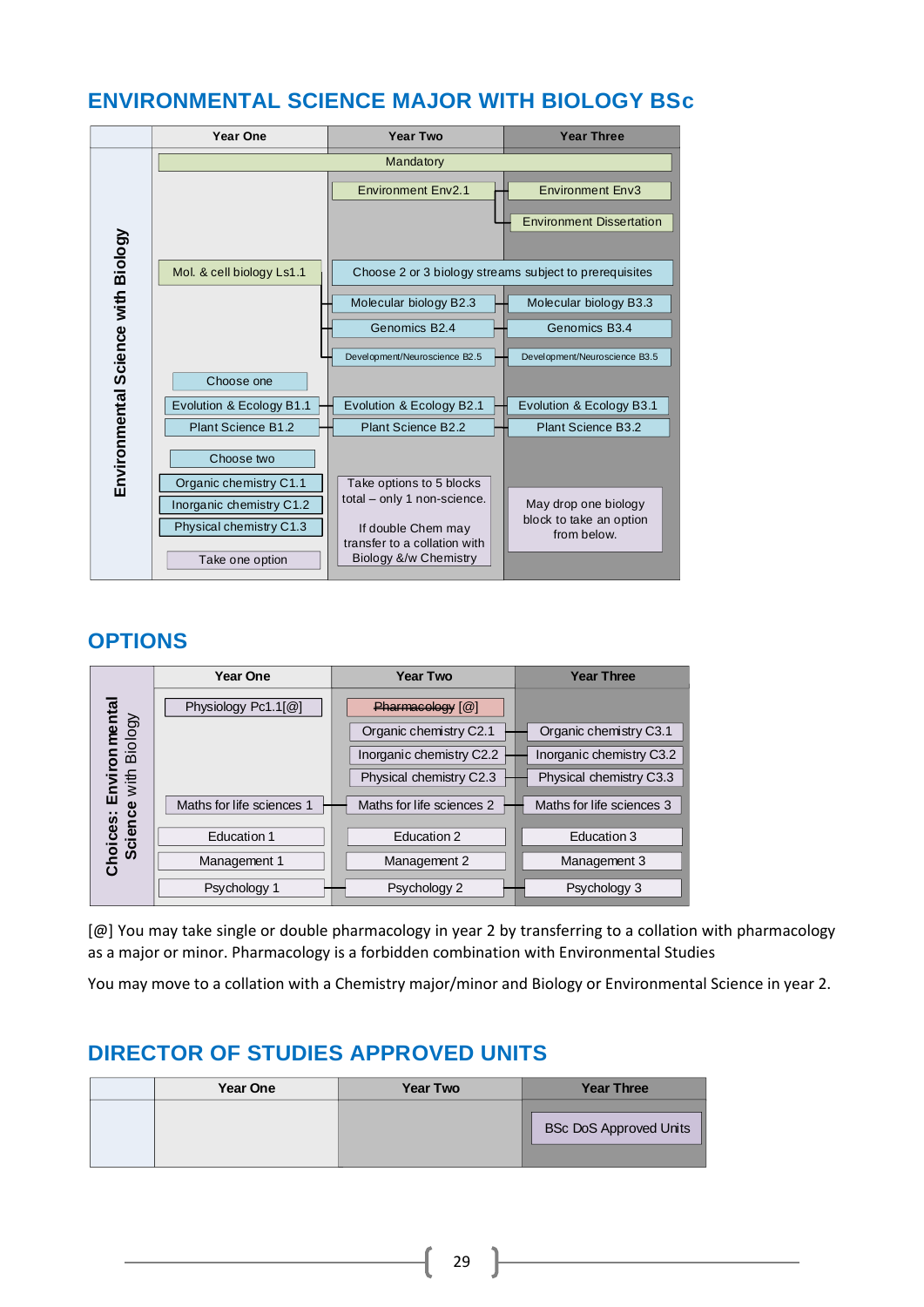### <span id="page-29-0"></span>**ENVIRONMENTAL SCIENCE MAJOR WITH BIOLOGY BSc**



### **OPTIONS**

|                         | Year One                  | <b>Year Two</b>           | <b>Year Three</b>         |
|-------------------------|---------------------------|---------------------------|---------------------------|
|                         | Physiology Pc1.1[@]       | $Pharmaeoleqv$ [ $@$ ]    |                           |
| ron mental<br>1 Biology |                           | Organic chemistry C2.1    | Organic chemistry C3.1    |
|                         |                           | Inorganic chemistry C2.2  | Inorganic chemistry C3.2  |
| Envir<br>e with         |                           | Physical chemistry C2.3   | Physical chemistry C3.3   |
| <b>Science</b>          | Maths for life sciences 1 | Maths for life sciences 2 | Maths for life sciences 3 |
|                         | Education 1               | Education 2               | Education 3               |
| Choices:                | Management 1              | Management 2              | Management 3              |
|                         | Psychology 1              | Psychology 2              | Psychology 3              |

[@] You may take single or double pharmacology in year 2 by transferring to a collation with pharmacology as a major or minor. Pharmacology is a forbidden combination with Environmental Studies

You may move to a collation with a Chemistry major/minor and Biology or Environmental Science in year 2.

| <b>Year One</b> | <b>Year Two</b> | <b>Year Three</b>             |
|-----------------|-----------------|-------------------------------|
|                 |                 | <b>BSc DoS Approved Units</b> |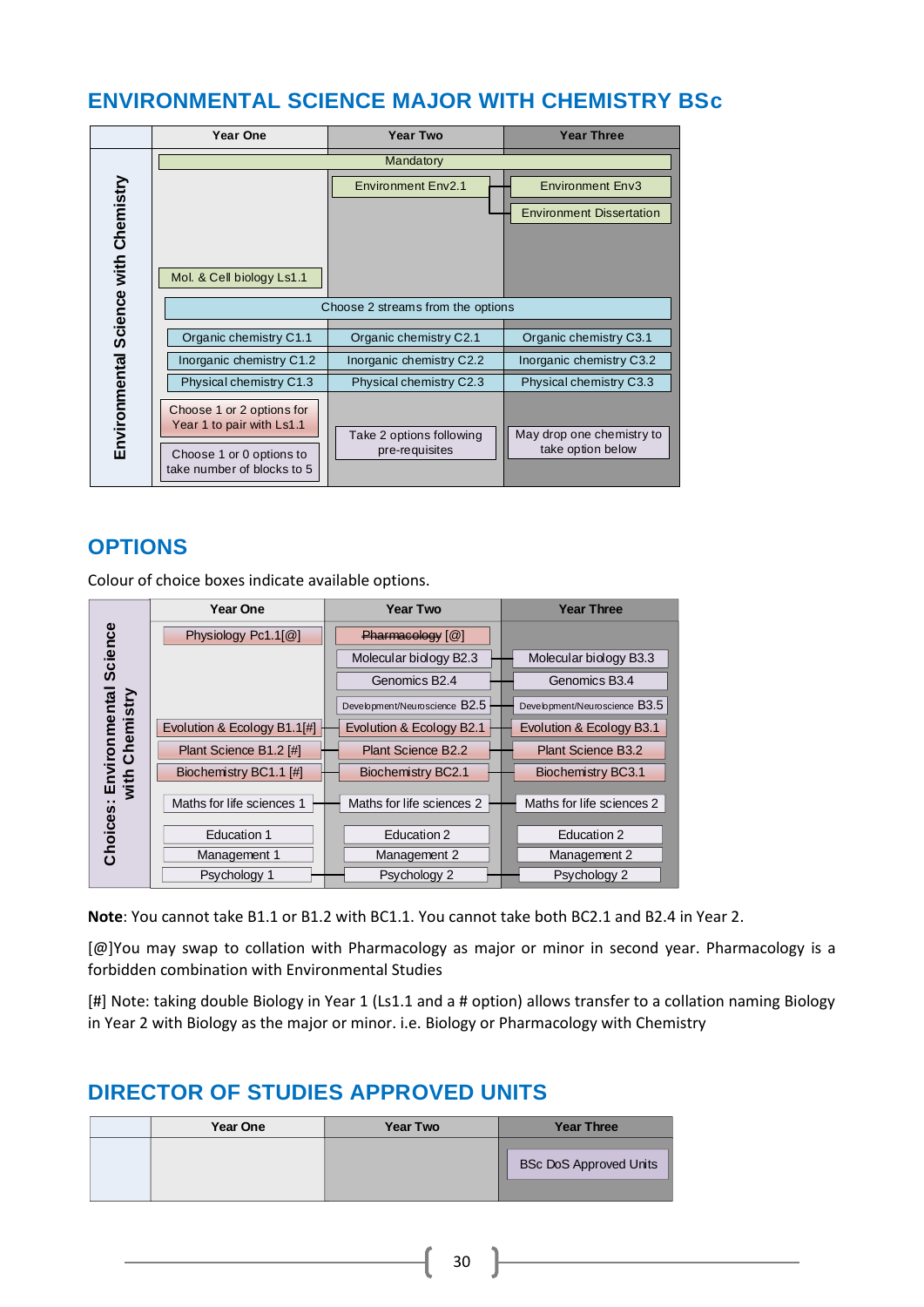### <span id="page-30-0"></span>**ENVIRONMENTAL SCIENCE MAJOR WITH CHEMISTRY BSc**

|                                      | Year One                                                                                                         | <b>Year Two</b>                            | <b>Year Three</b>                                          |
|--------------------------------------|------------------------------------------------------------------------------------------------------------------|--------------------------------------------|------------------------------------------------------------|
|                                      |                                                                                                                  | Mandatory                                  |                                                            |
| Environmental Science with Chemistry | Mol. & Cell biology Ls1.1                                                                                        | <b>Environment Env2.1</b>                  | <b>Environment Env3</b><br><b>Environment Dissertation</b> |
|                                      | Choose 2 streams from the options                                                                                |                                            |                                                            |
|                                      | Organic chemistry C1.1                                                                                           | Organic chemistry C2.1                     | Organic chemistry C3.1                                     |
|                                      | Inorganic chemistry C1.2                                                                                         | Inorganic chemistry C2.2                   | Inorganic chemistry C3.2                                   |
|                                      | Physical chemistry C1.3                                                                                          | Physical chemistry C2.3                    | Physical chemistry C3.3                                    |
|                                      | Choose 1 or 2 options for<br>Year 1 to pair with Ls1.1<br>Choose 1 or 0 options to<br>take number of blocks to 5 | Take 2 options following<br>pre-requisites | May drop one chemistry to<br>take option below             |

### **OPTIONS**

Colour of choice boxes indicate available options.

|                            | <b>Year One</b>             | <b>Year Two</b>               | <b>Year Three</b>             |
|----------------------------|-----------------------------|-------------------------------|-------------------------------|
| Science                    | Physiology Pc1.1[@]         | $Pharmaeoleqv$ [ $@$ ]        |                               |
|                            |                             | Molecular biology B2.3        | Molecular biology B3.3        |
|                            |                             | Genomics B <sub>2.4</sub>     | Genomics B3.4                 |
| nviron mental<br>Chemistry |                             | Development/Neuroscience B2.5 | Development/Neuroscience B3.5 |
|                            | Evolution & Ecology B1.1[#] | Evolution & Ecology B2.1      | Evolution & Ecology B3.1      |
|                            | Plant Science B1.2 [#]      | <b>Plant Science B2.2</b>     | <b>Plant Science B3.2</b>     |
| with                       | Biochemistry BC1.1 [#]      | Biochemistry BC2.1            | Biochemistry BC3.1            |
| 靣<br>Choices:              | Maths for life sciences 1   | Maths for life sciences 2     | Maths for life sciences 2     |
|                            | <b>Education 1</b>          | Education 2                   | Education 2                   |
|                            | Management 1                | Management 2                  | Management 2                  |
|                            | Psychology 1                | Psychology 2                  | Psychology 2                  |

**Note**: You cannot take B1.1 or B1.2 with BC1.1. You cannot take both BC2.1 and B2.4 in Year 2.

[@]You may swap to collation with Pharmacology as major or minor in second year. Pharmacology is a forbidden combination with Environmental Studies

[#] Note: taking double Biology in Year 1 (Ls1.1 and a # option) allows transfer to a collation naming Biology in Year 2 with Biology as the major or minor. i.e. Biology or Pharmacology with Chemistry

| <b>Year One</b> | <b>Year Two</b> | <b>Year Three</b>             |
|-----------------|-----------------|-------------------------------|
|                 |                 | <b>BSc DoS Approved Units</b> |
|                 |                 |                               |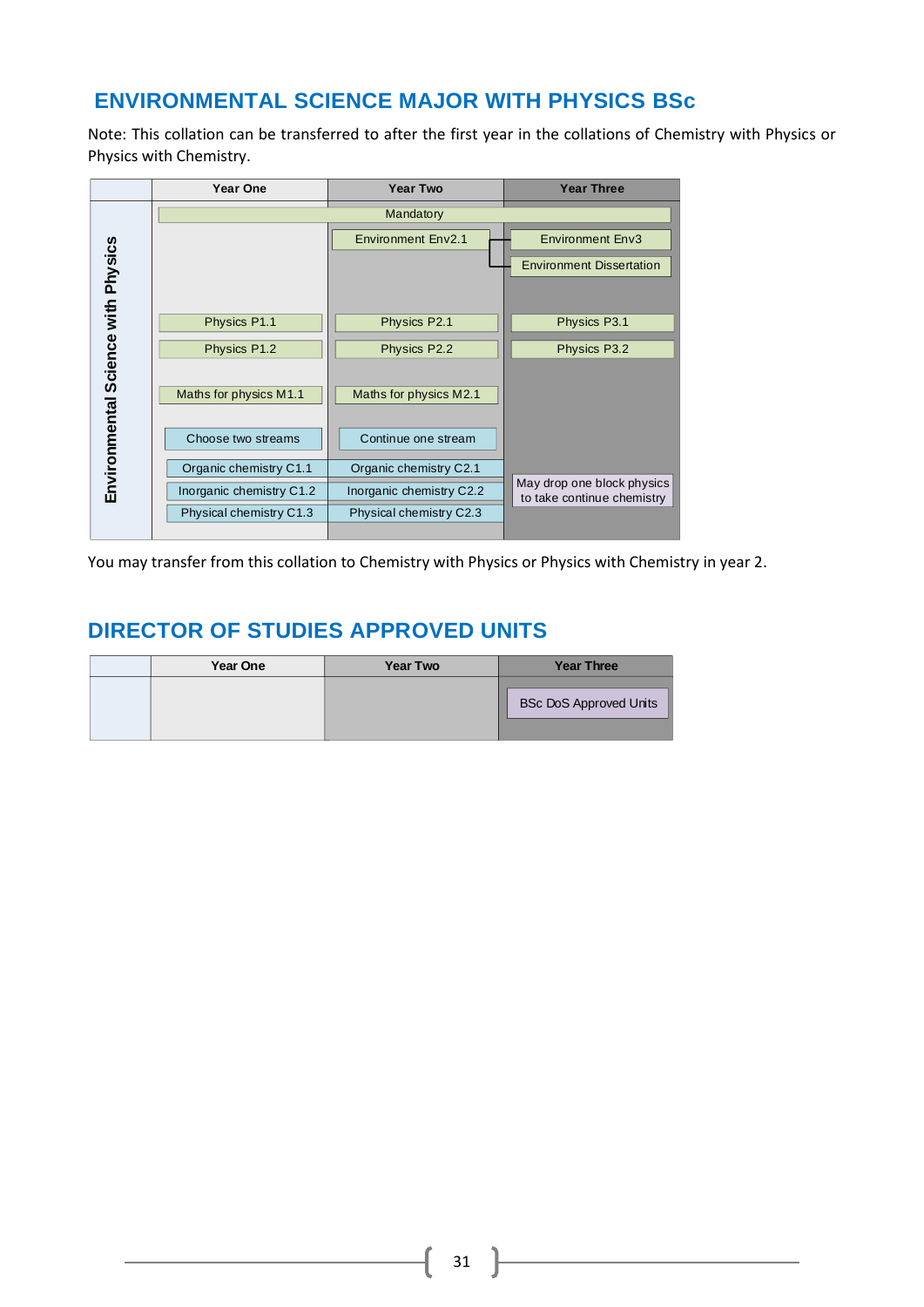### <span id="page-31-0"></span>**ENVIRONMENTAL SCIENCE MAJOR WITH PHYSICS BSc**

Note: This collation can be transferred to after the first year in the collations of Chemistry with Physics or Physics with Chemistry.

|                                    | Year One                 | <b>Year Two</b>           | <b>Year Three</b>                                        |
|------------------------------------|--------------------------|---------------------------|----------------------------------------------------------|
|                                    |                          | Mandatory                 |                                                          |
|                                    |                          | <b>Environment Env2.1</b> | <b>Environment Env3</b>                                  |
|                                    |                          |                           | <b>Environment Dissertation</b>                          |
|                                    |                          |                           |                                                          |
|                                    | Physics P1.1             | Physics P2.1              | Physics P3.1                                             |
|                                    | Physics P1.2             | Physics P2.2              | Physics P3.2                                             |
|                                    |                          |                           |                                                          |
|                                    | Maths for physics M1.1   | Maths for physics M2.1    |                                                          |
| Environmental Science with Physics | Choose two streams       | Continue one stream       |                                                          |
|                                    | Organic chemistry C1.1   | Organic chemistry C2.1    |                                                          |
|                                    | Inorganic chemistry C1.2 | Inorganic chemistry C2.2  | May drop one block physics<br>to take continue chemistry |
|                                    | Physical chemistry C1.3  | Physical chemistry C2.3   |                                                          |
|                                    |                          |                           |                                                          |

You may transfer from this collation to Chemistry with Physics or Physics with Chemistry in year 2.

| <b>Year One</b> | <b>Year Two</b> | <b>Year Three</b>             |
|-----------------|-----------------|-------------------------------|
|                 |                 | <b>BSc DoS Approved Units</b> |
|                 |                 |                               |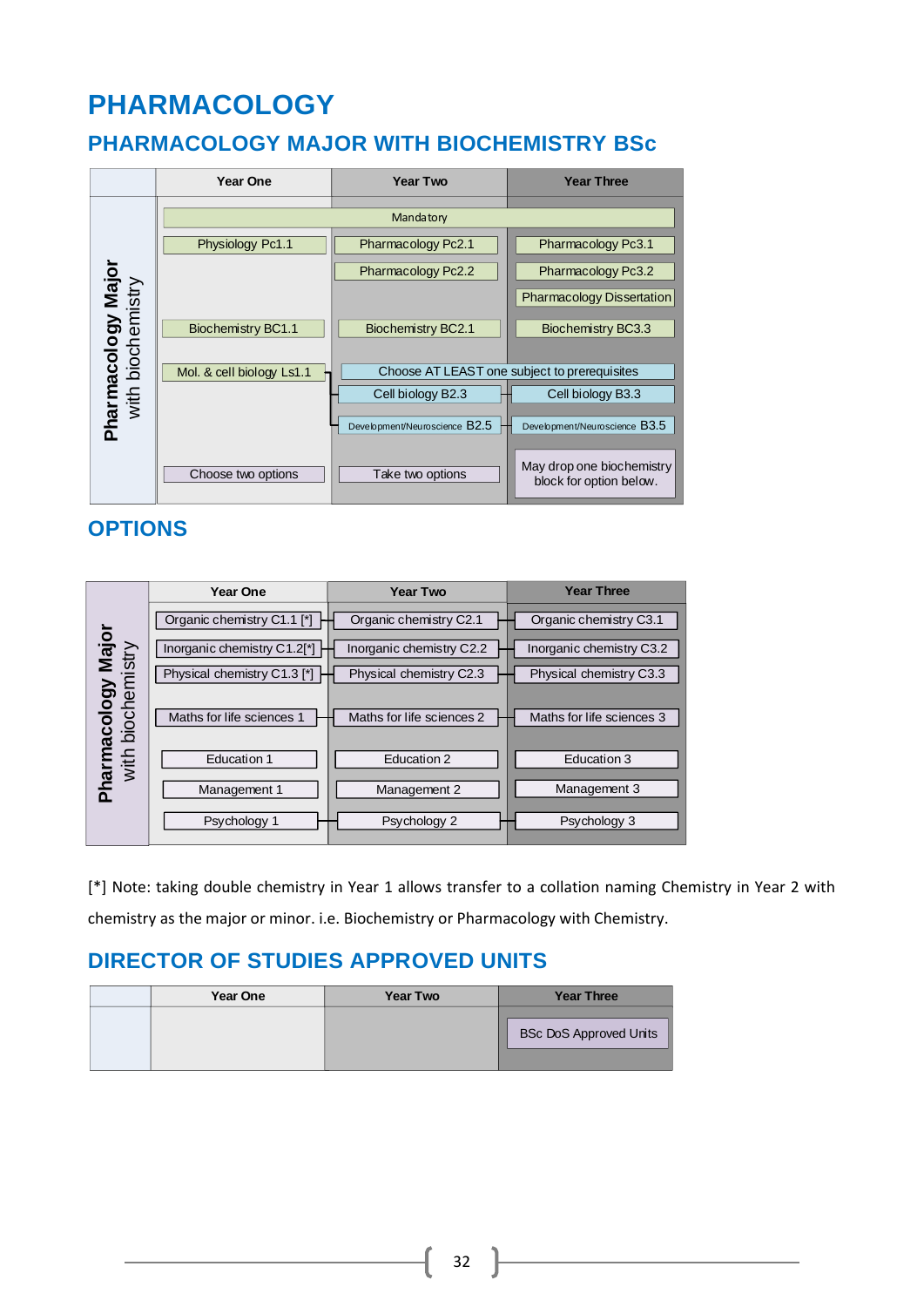# **PHARMACOLOGY**

### <span id="page-32-0"></span>**PHARMACOLOGY MAJOR WITH BIOCHEMISTRY BSc**



### **OPTIONS**

|                                               | <b>Year One</b>             | <b>Year Two</b>           | <b>Year Three</b>         |
|-----------------------------------------------|-----------------------------|---------------------------|---------------------------|
|                                               | Organic chemistry C1.1 [*]  | Organic chemistry C2.1    | Organic chemistry C3.1    |
|                                               | Inorganic chemistry C1.2[*] | Inorganic chemistry C2.2  | Inorganic chemistry C3.2  |
|                                               | Physical chemistry C1.3 [*] | Physical chemistry C2.3   | Physical chemistry C3.3   |
| acology Major<br>biochemistry<br><b>Moops</b> | Maths for life sciences 1   | Maths for life sciences 2 | Maths for life sciences 3 |
| with                                          | Education 1                 | Education 2               | Education 3               |
| nai                                           | Management 1                | Management 2              | Management 3              |
|                                               | Psychology 1                | Psychology 2              | Psychology 3              |

[\*] Note: taking double chemistry in Year 1 allows transfer to a collation naming Chemistry in Year 2 with chemistry as the major or minor. i.e. Biochemistry or Pharmacology with Chemistry.

|  | Year One | <b>Year Two</b> | <b>Year Three</b>             |
|--|----------|-----------------|-------------------------------|
|  |          |                 | <b>BSc DoS Approved Units</b> |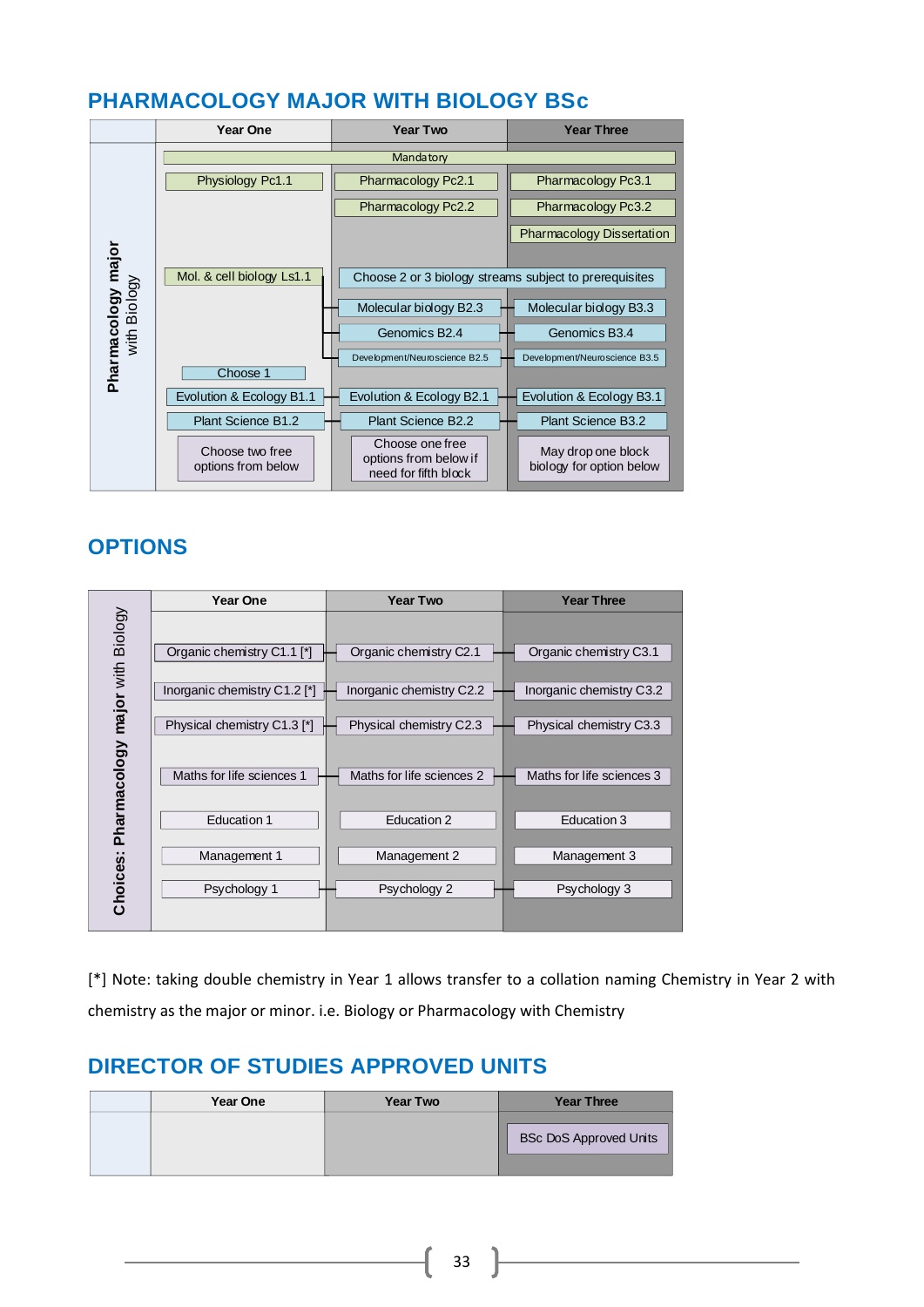### <span id="page-33-0"></span>**PHARMACOLOGY MAJOR WITH BIOLOGY BSc**



### **OPTIONS**

|                                 | <b>Year One</b>              | <b>Year Two</b>           | <b>Year Three</b>         |
|---------------------------------|------------------------------|---------------------------|---------------------------|
| Pharmacology major with Biology |                              |                           |                           |
|                                 | Organic chemistry C1.1 [*]   | Organic chemistry C2.1    | Organic chemistry C3.1    |
|                                 |                              |                           |                           |
|                                 | Inorganic chemistry C1.2 [*] | Inorganic chemistry C2.2  | Inorganic chemistry C3.2  |
|                                 | Physical chemistry C1.3 [*]  | Physical chemistry C2.3   | Physical chemistry C3.3   |
|                                 |                              |                           |                           |
|                                 | Maths for life sciences 1    | Maths for life sciences 2 | Maths for life sciences 3 |
|                                 |                              |                           |                           |
|                                 | <b>Education 1</b>           | Education 2               | Education 3               |
| Choices:                        | Management 1                 | Management 2              | Management 3              |
|                                 | Psychology 1                 | Psychology 2              | Psychology 3              |
|                                 |                              |                           |                           |

[\*] Note: taking double chemistry in Year 1 allows transfer to a collation naming Chemistry in Year 2 with chemistry as the major or minor. i.e. Biology or Pharmacology with Chemistry

| <b>Year One</b> | <b>Year Two</b> | <b>Year Three</b>             |
|-----------------|-----------------|-------------------------------|
|                 |                 | <b>BSc DoS Approved Units</b> |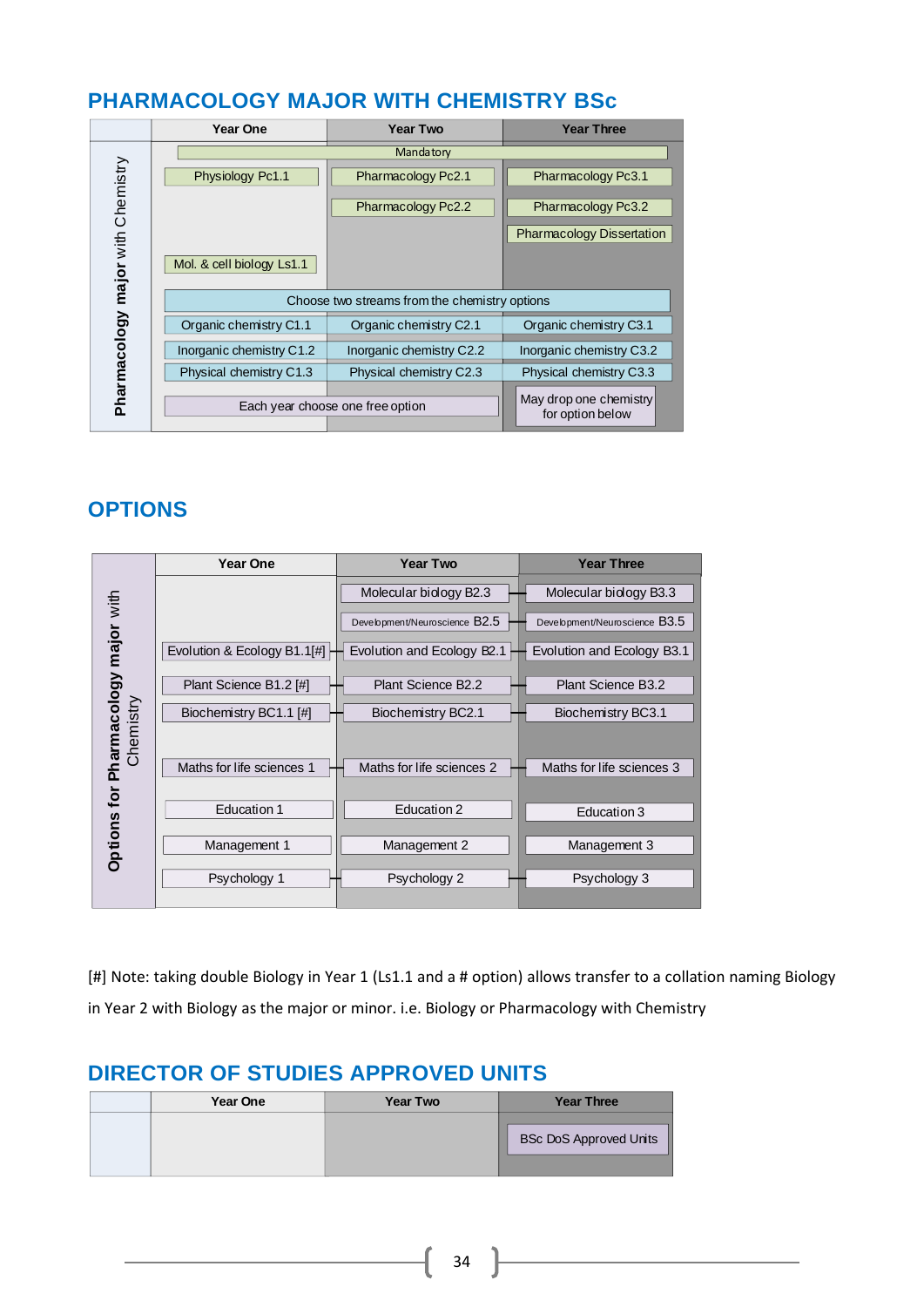### <span id="page-34-0"></span>**PHARMACOLOGY MAJOR WITH CHEMISTRY BSc**

|                                   | <b>Year One</b>                               | <b>Year Two</b>          | <b>Year Three</b>                          |
|-----------------------------------|-----------------------------------------------|--------------------------|--------------------------------------------|
|                                   | Mandatory                                     |                          |                                            |
|                                   | Physiology Pc1.1                              | Pharmacology Pc2.1       | Pharmacology Pc3.1                         |
|                                   |                                               | Pharmacology Pc2.2       | Pharmacology Pc3.2                         |
|                                   |                                               |                          | <b>Pharmacology Dissertation</b>           |
| Pharmacology major with Chemistry | Mol. & cell biology Ls1.1                     |                          |                                            |
|                                   | Choose two streams from the chemistry options |                          |                                            |
|                                   | Organic chemistry C1.1                        | Organic chemistry C2.1   | Organic chemistry C3.1                     |
|                                   | Inorganic chemistry C1.2                      | Inorganic chemistry C2.2 | Inorganic chemistry C3.2                   |
|                                   | Physical chemistry C1.3                       | Physical chemistry C2.3  | Physical chemistry C3.3                    |
|                                   | Each year choose one free option              |                          | May drop one chemistry<br>for option below |

### **OPTIONS**

|                         | Year One                    | <b>Year Two</b>               | <b>Year Three</b>             |
|-------------------------|-----------------------------|-------------------------------|-------------------------------|
|                         |                             | Molecular biology B2.3        | Molecular biology B3.3        |
| Pharmacology major with |                             | Development/Neuroscience B2.5 | Development/Neuroscience B3.5 |
|                         | Evolution & Ecology B1.1[#] | Evolution and Ecology B2.1    | Evolution and Ecology B3.1    |
|                         | Plant Science B1.2 [#]      | Plant Science B2.2            | Plant Science B3.2            |
|                         | Biochemistry BC1.1 [#]      | Biochemistry BC2.1            | Biochemistry BC3.1            |
| Chemistry               |                             |                               |                               |
|                         | Maths for life sciences 1   | Maths for life sciences 2     | Maths for life sciences 3     |
| tor                     | <b>Education 1</b>          | Education 2                   | Education 3                   |
| Options                 | Management 1                | Management 2                  | Management 3                  |
|                         | Psychology 1                | Psychology 2                  | Psychology 3                  |

[#] Note: taking double Biology in Year 1 (Ls1.1 and a # option) allows transfer to a collation naming Biology in Year 2 with Biology as the major or minor. i.e. Biology or Pharmacology with Chemistry

| Year One | <b>Year Two</b> | <b>Year Three</b>             |
|----------|-----------------|-------------------------------|
|          |                 | <b>BSc DoS Approved Units</b> |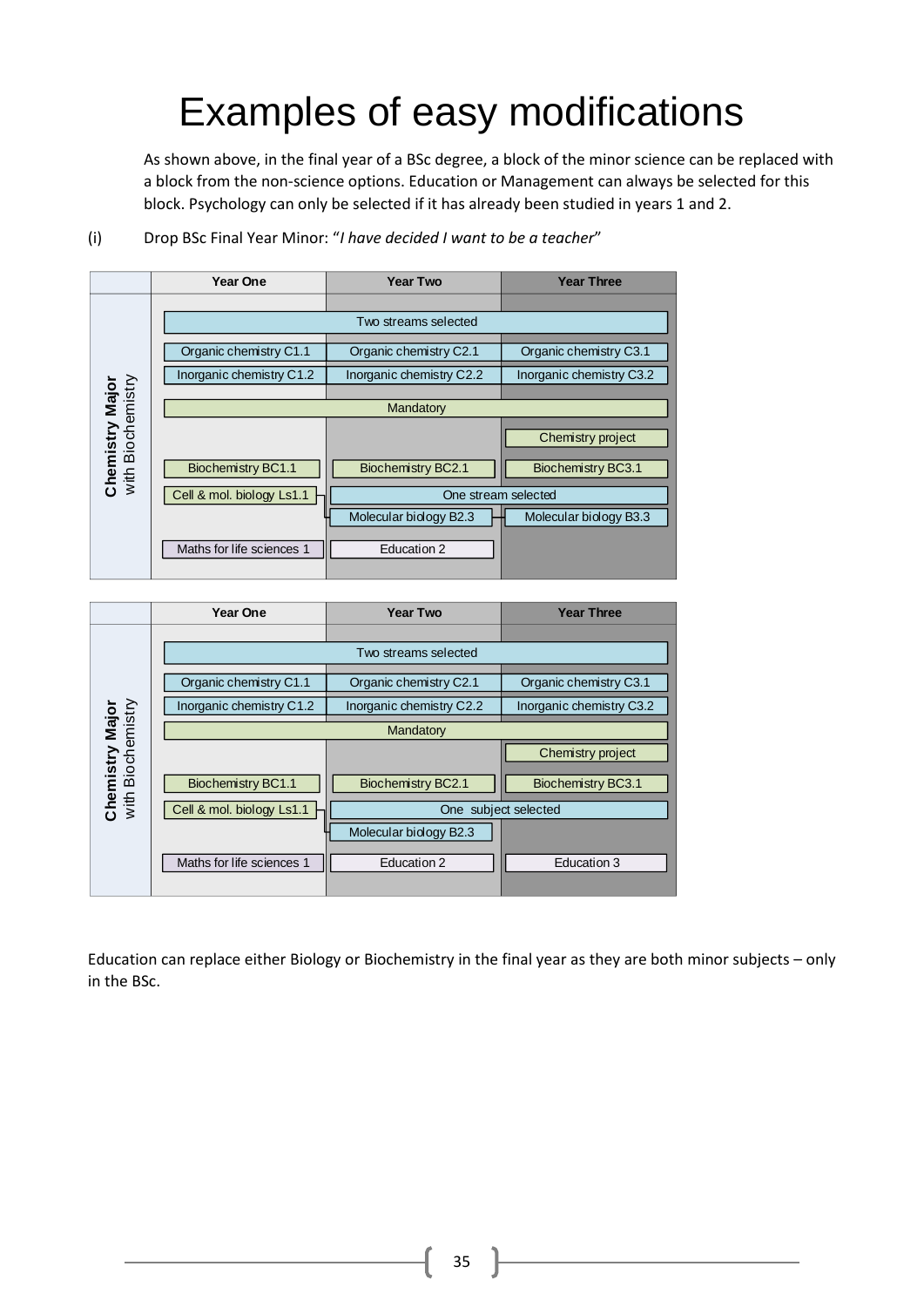# Examples of easy modifications

As shown above, in the final year of a BSc degree, a block of the minor science can be replaced with a block from the non-science options. Education or Management can always be selected for this block. Psychology can only be selected if it has already been studied in years 1 and 2.



(i) Drop BSc Final Year Minor: "*I have decided I want to be a teacher*"

|                                             | Year One                  | <b>Year Two</b>          | <b>Year Three</b>        |  |
|---------------------------------------------|---------------------------|--------------------------|--------------------------|--|
|                                             |                           |                          |                          |  |
|                                             | Two streams selected      |                          |                          |  |
|                                             | Organic chemistry C1.1    | Organic chemistry C2.1   | Organic chemistry C3.1   |  |
|                                             | Inorganic chemistry C1.2  | Inorganic chemistry C2.2 | Inorganic chemistry C3.2 |  |
|                                             | Mandatory                 |                          |                          |  |
| <b>Chemistry Major</b><br>with Biochemistry |                           |                          | Chemistry project        |  |
|                                             | <b>Biochemistry BC1.1</b> | Biochemistry BC2.1       | Biochemistry BC3.1       |  |
|                                             | Cell & mol. biology Ls1.1 | One subject selected     |                          |  |
|                                             |                           | Molecular biology B2.3   |                          |  |
|                                             | Maths for life sciences 1 | Education 2              | Education 3              |  |
|                                             |                           |                          |                          |  |

Education can replace either Biology or Biochemistry in the final year as they are both minor subjects – only in the BSc.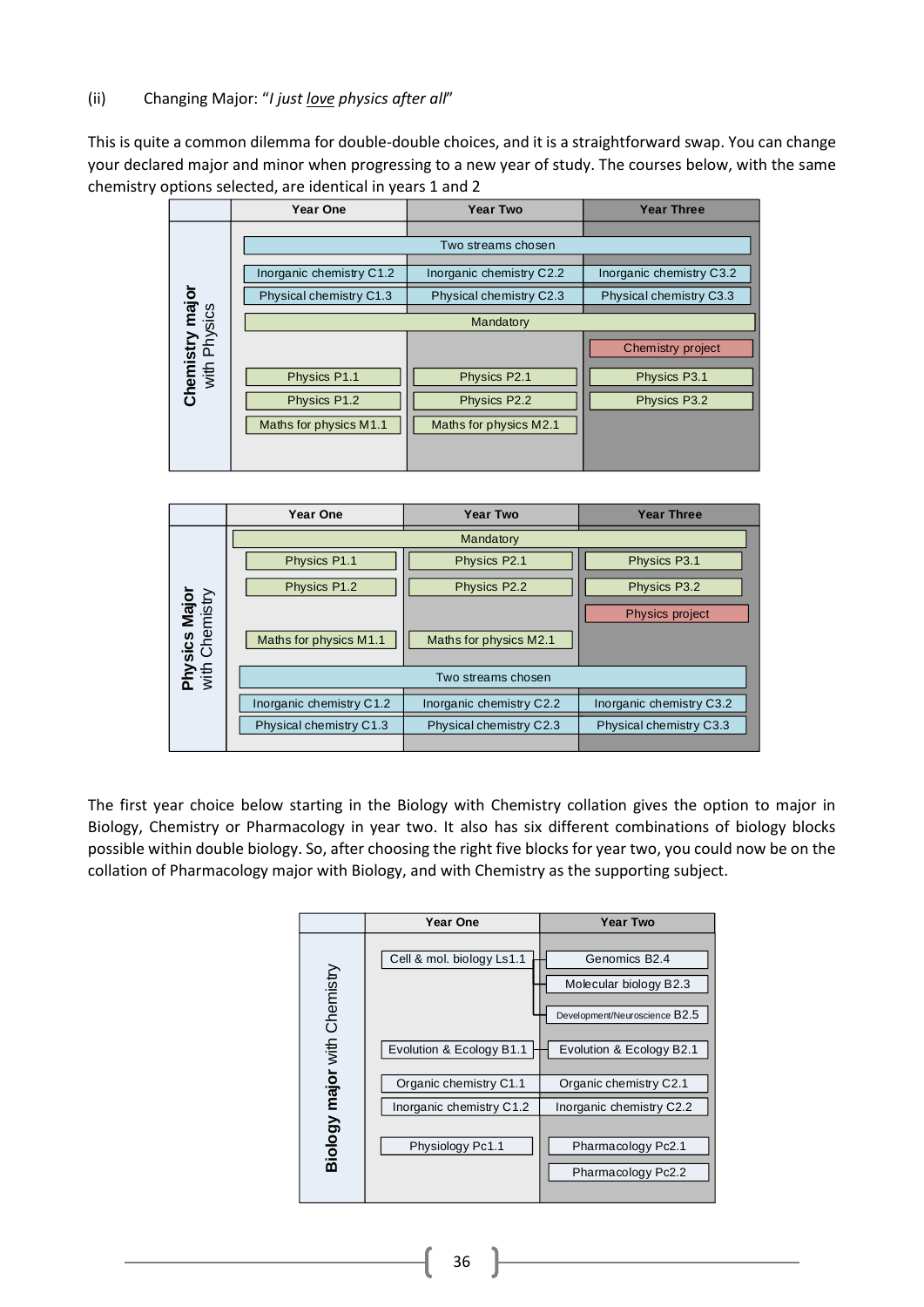#### (ii) Changing Major: "*I just love physics after all*"

This is quite a common dilemma for double-double choices, and it is a straightforward swap. You can change your declared major and minor when progressing to a new year of study. The courses below, with the same chemistry options selected, are identical in years 1 and 2

|                                 | Year One                 | <b>Year Two</b>          | <b>Year Three</b>        |
|---------------------------------|--------------------------|--------------------------|--------------------------|
|                                 |                          |                          |                          |
|                                 | Two streams chosen       |                          |                          |
| Chemistry major<br>with Physics | Inorganic chemistry C1.2 | Inorganic chemistry C2.2 | Inorganic chemistry C3.2 |
|                                 | Physical chemistry C1.3  | Physical chemistry C2.3  | Physical chemistry C3.3  |
|                                 | Mandatory                |                          |                          |
|                                 |                          |                          | Chemistry project        |
|                                 | Physics P1.1             | Physics P2.1             | Physics P3.1             |
|                                 | Physics P1.2             | Physics P2.2             | Physics P3.2             |
|                                 | Maths for physics M1.1   | Maths for physics M2.1   |                          |
|                                 |                          |                          |                          |



The first year choice below starting in the Biology with Chemistry collation gives the option to major in Biology, Chemistry or Pharmacology in year two. It also has six different combinations of biology blocks possible within double biology. So, after choosing the right five blocks for year two, you could now be on the collation of Pharmacology major with Biology, and with Chemistry as the supporting subject.

|                              | Year One                  | <b>Year Two</b>                                                                      |
|------------------------------|---------------------------|--------------------------------------------------------------------------------------|
| Biology major with Chemistry | Cell & mol. biology Ls1.1 | Genomics B <sub>2.4</sub><br>Molecular biology B2.3<br>Development/Neuroscience B2.5 |
|                              | Evolution & Ecology B1.1  | Evolution & Ecology B2.1                                                             |
|                              | Organic chemistry C1.1    | Organic chemistry C2.1                                                               |
|                              | Inorganic chemistry C1.2  | Inorganic chemistry C2.2                                                             |
|                              | Physiology Pc1.1          | Pharmacology Pc2.1<br>Pharmacology Pc2.2                                             |